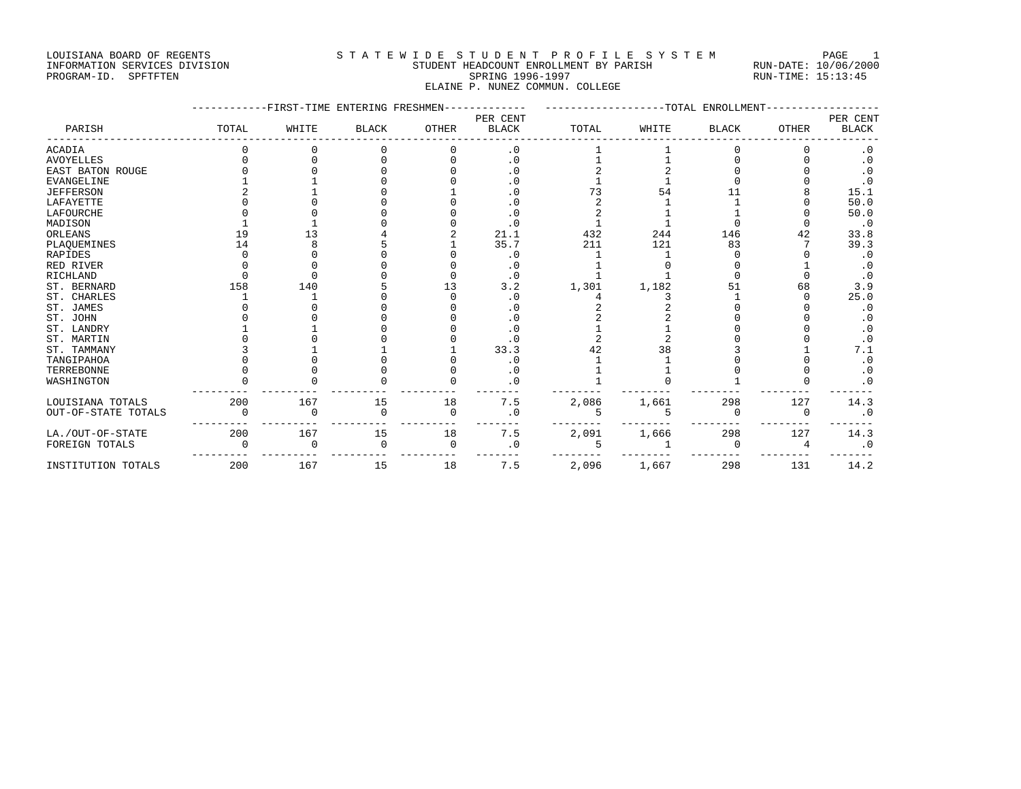## LOUISIANA BOARD OF REGENTS STATEWIDE STUDENT PROFILE SYSTEM PAGE 1 INFORMATION SERVICES DIVISION STUDENT HEADCOUNT ENROLLMENT BY PARISH RUN-DATE: 10/06/2000

## PROGRAM-ID. SPFTFTEN SARE SERING 1996-1997 SPRING 1996-1997 RUN-TIME: 15:13:45 ELAINE P. NUNEZ COMMUN. COLLEGE

|                     |       | FIRST-TIME ENTERING FRESHMEN |              |          | -TOTAL<br>ENROLLMENT |       |       |              |              |                        |
|---------------------|-------|------------------------------|--------------|----------|----------------------|-------|-------|--------------|--------------|------------------------|
|                     |       |                              |              |          | PER CENT             |       |       |              |              | PER CENT               |
| PARISH              | TOTAL | WHITE                        | <b>BLACK</b> | OTHER    | <b>BLACK</b>         | TOTAL | WHITE | <b>BLACK</b> | <b>OTHER</b> | <b>BLACK</b>           |
| ACADIA              |       |                              |              |          | $\cdot$ 0            |       |       |              |              | $\cdot$ 0              |
| <b>AVOYELLES</b>    |       |                              |              |          | $\cdot$ 0            |       |       |              |              | $\cdot$ 0              |
| EAST BATON ROUGE    |       |                              |              |          | $\cdot$ 0            |       |       |              |              | $\cdot$ 0              |
| <b>EVANGELINE</b>   |       |                              |              |          | $\cdot$ 0            |       |       |              |              | $\boldsymbol{\cdot}$ 0 |
| <b>JEFFERSON</b>    |       |                              |              |          | $\cdot$ 0            | 73    | 54    |              |              | 15.1                   |
| LAFAYETTE           |       |                              |              |          |                      |       |       |              |              | 50.0                   |
| LAFOURCHE           |       |                              |              |          | . 0                  |       |       |              |              | 50.0                   |
| MADISON             |       |                              |              |          | $\cdot$ 0            |       |       |              |              | $\cdot$ 0              |
| ORLEANS             | 19    | 13                           |              |          | 21.1                 | 432   | 244   | 146          | 42           | 33.8                   |
| PLAQUEMINES         | 14    |                              |              |          | 35.7                 | 211   | 121   | 83           |              | 39.3                   |
| RAPIDES             |       |                              |              |          | . 0                  |       |       |              |              | $\cdot$ 0              |
| RED RIVER           |       |                              |              |          | $\cdot$ 0            |       |       |              |              | $\cdot$ 0              |
| RICHLAND            |       |                              |              |          | $\cdot$ 0            |       |       |              |              | $\cdot$ 0              |
| ST. BERNARD         | 158   | 140                          |              | 13       | 3.2                  | 1,301 | 1,182 | 51           | 68           | 3.9                    |
| ST. CHARLES         |       |                              |              |          | . 0                  |       |       |              |              | 25.0                   |
| ST. JAMES           |       |                              |              |          | $\cdot$ 0            |       |       |              |              | $\cdot$ 0              |
| ST. JOHN            |       |                              |              |          | . 0                  |       |       |              |              | $\cdot$ 0              |
| ST. LANDRY          |       |                              |              |          |                      |       |       |              |              | $\cdot$ 0              |
| ST. MARTIN          |       |                              |              |          | . 0                  |       |       |              |              | $\cdot$ 0              |
| ST. TAMMANY         |       |                              |              |          | 33.3                 | 42    | 38    |              |              | 7.1                    |
| TANGIPAHOA          |       |                              |              |          | $\cdot$ 0            |       |       |              |              | $\cdot$ 0              |
| TERREBONNE          |       |                              |              |          | $\cdot$ 0            |       |       |              |              | $\cdot$ 0              |
| WASHINGTON          |       |                              |              |          | $\cdot$ 0            |       |       |              |              | . 0                    |
| LOUISIANA TOTALS    | 200   | 167                          | 15           | 18       | 7.5                  | 2,086 | 1,661 | 298          | 127          | 14.3                   |
| OUT-OF-STATE TOTALS |       | $\Omega$                     | $\Omega$     | $\Omega$ | $\cdot$ 0            |       |       | $\Omega$     | $\Omega$     | $\boldsymbol{\cdot}$ 0 |
| LA./OUT-OF-STATE    | 200   | 167                          | 15           | 18       | 7.5                  | 2,091 | 1,666 | 298          | 127          | 14.3                   |
| FOREIGN TOTALS      |       | $\cap$                       | $\Omega$     | $\Omega$ | . 0                  | 5     |       | $\cap$       | 4            | $\cdot$ 0              |
| INSTITUTION TOTALS  | 200   | 167                          | 15           | 18       | 7.5                  | 2,096 | 1,667 | 298          | 131          | 14.2                   |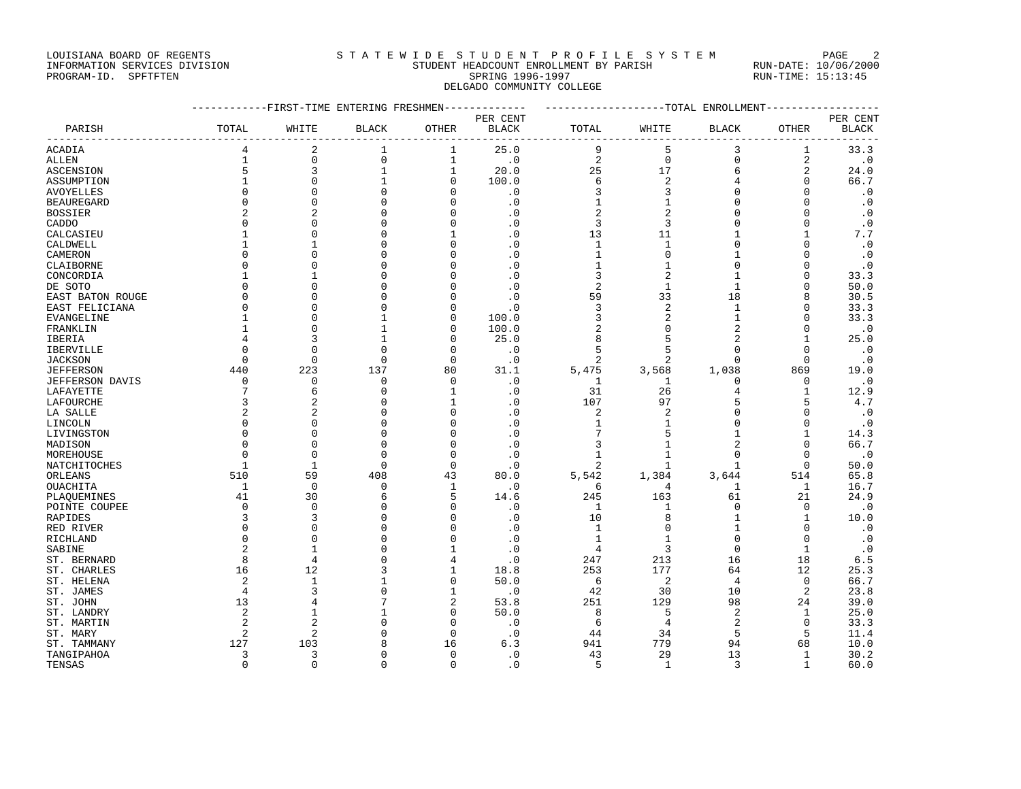### LOUISIANA BOARD OF REGENTS STATEWIDE STUDENT PROFILE SYSTEM PAGE 2 INFORMATION SERVICES DIVISION STUDENT HEADCOUNT ENROLLMENT BY PARISH RUN-DATE: 10/06/2000

# PROGRAM-ID. SPFTFTEN SARE SERING 1996-1997 SPRING 1996-1997 RUN-TIME: 15:13:45 DELGADO COMMUNITY COLLEGE

|                   |                | ----------FIRST-TIME ENTERING FRESHMEN------------- |              |              |                         | ------------------TOTAL ENROLLMENT----------------- |                |                |                |              |
|-------------------|----------------|-----------------------------------------------------|--------------|--------------|-------------------------|-----------------------------------------------------|----------------|----------------|----------------|--------------|
|                   |                |                                                     |              |              | PER CENT                |                                                     |                |                |                | PER CENT     |
| PARISH            | TOTAL          | WHITE                                               | <b>BLACK</b> | OTHER        | <b>BLACK</b>            | TOTAL                                               | WHITE          | BLACK          | OTHER          | <b>BLACK</b> |
| <b>ACADIA</b>     | 4              | 2                                                   | 1            | 1            | $- - - - - - -$<br>25.0 | 9                                                   | 5              | 3              | 1              | 33.3         |
| <b>ALLEN</b>      | $\mathbf{1}$   | 0                                                   | $\mathbf 0$  | $\mathbf 1$  | $\cdot$ 0               | $\sqrt{2}$                                          | $\mathsf{O}$   | $\mathsf 0$    | $\overline{a}$ | $\cdot$ 0    |
| ASCENSION         | 5              | 3                                                   | $1\,$        | 1            | 20.0                    | 25                                                  | 17             | 6              | 2              | 24.0         |
| ASSUMPTION        |                | 0                                                   | $\mathbf{1}$ | $\mathbf 0$  | 100.0                   | 6                                                   | $\overline{2}$ | 4              | $\mathbf 0$    | 66.7         |
| <b>AVOYELLES</b>  | $\Omega$       | $\Omega$                                            | $\Omega$     | O            | $\cdot$ 0               | 3                                                   | 3              | $\Omega$       | $\Omega$       | $\cdot$ 0    |
| <b>BEAUREGARD</b> | $\Omega$       | $\mathbf 0$                                         | $\Omega$     |              | $\cdot$ 0               |                                                     | $\mathbf{1}$   | 0              | $\mathbf 0$    | $\cdot$ 0    |
| <b>BOSSIER</b>    |                | $\overline{2}$                                      | $\Omega$     |              | $\cdot$ 0               | $\overline{2}$                                      | $\overline{2}$ | $\Omega$       | $\Omega$       | $\cdot$ 0    |
| CADDO             | $\Omega$       | $\Omega$                                            | C            |              | $\cdot$ 0               | 3                                                   | 3              | $\Omega$       | $\mathbf 0$    | $\cdot$ 0    |
| CALCASIEU         |                | 0                                                   | C            |              | $\cdot$ 0               | 13                                                  | 11             |                | 1              | 7.7          |
| CALDWELL          |                | 1                                                   | $\Omega$     |              | $\cdot$ 0               | $\mathbf{1}$                                        | $\mathbf{1}$   | $\Omega$       | $\Omega$       | $\cdot$ 0    |
| CAMERON           |                | O                                                   | C            |              | $\cdot$ 0               | 1                                                   | $\mathbf 0$    | -1             | $\mathbf 0$    | $\cdot$ 0    |
| CLAIBORNE         | $\cap$         | O                                                   | C            |              | $\cdot$ 0               | 1                                                   | $\mathbf{1}$   | $\Omega$       | $\Omega$       | $\cdot$ 0    |
| CONCORDIA         | $\mathbf{1}$   | 1                                                   | C            |              | $\cdot$ 0               | 3                                                   | $\overline{2}$ | $\overline{1}$ | $\mathbf 0$    | 33.3         |
| DE SOTO           | $\cap$         | $\Omega$                                            | C            |              | $\cdot$ 0               | 2                                                   | $\mathbf{1}$   | $\mathbf{1}$   | $\Omega$       | 50.0         |
| EAST BATON ROUGE  | $\Omega$       | O                                                   | C            |              | $\cdot$ 0               | 59                                                  | 33             | 18             | 8              | 30.5         |
| EAST FELICIANA    | $\Omega$       | $\Omega$                                            | C            | $\cap$       | $\cdot$ 0               | 3                                                   | $\overline{2}$ | 1              | $\Omega$       | 33.3         |
| <b>EVANGELINE</b> |                | $\Omega$                                            | $\mathbf{1}$ | $\Omega$     | 100.0                   | 3                                                   | $\overline{2}$ | $\mathbf{1}$   | $\Omega$       | 33.3         |
| FRANKLIN          |                | $\Omega$                                            | $\mathbf{1}$ | $\cap$       | 100.0                   | $\overline{2}$                                      | $\mathbf{0}$   | $\overline{2}$ | $\Omega$       | $\cdot$ 0    |
| IBERIA            | 4              | 3                                                   | $\mathbf{1}$ | $\Omega$     | 25.0                    | 8                                                   | 5              | $\overline{2}$ | 1              | 25.0         |
| IBERVILLE         |                | $\Omega$                                            | $\Omega$     | $\Omega$     | $\cdot$ 0               | 5                                                   | 5              | $\Omega$       | $\Omega$       | $\cdot$ 0    |
| <b>JACKSON</b>    | $\Omega$       | $\Omega$                                            | $\Omega$     | $\Omega$     | $\cdot$ 0               | $\overline{a}$                                      | $\overline{2}$ | $\Omega$       | $\Omega$       | $\cdot$ 0    |
| <b>JEFFERSON</b>  | 440            | 223                                                 | 137          | 80           | 31.1                    | 5,475                                               | 3,568          | 1,038          | 869            | 19.0         |
| JEFFERSON DAVIS   | $\Omega$       | $\Omega$                                            | $\Omega$     | $\Omega$     | $\cdot$ 0               | 1                                                   | $\mathbf{1}$   | $\Omega$       | $\mathbf 0$    | $\cdot$ 0    |
| LAFAYETTE         | 7              | 6                                                   | $\Omega$     | 1            | $\cdot$ 0               | 31                                                  | 26             | 4              | $\mathbf{1}$   | 12.9         |
| LAFOURCHE         |                | $\overline{a}$                                      | $\cap$       | 1            | $\cdot$ 0               | 107                                                 | 97             | 5              | 5              | 4.7          |
| LA SALLE          |                | 2                                                   | $\Omega$     | $\Omega$     | $\cdot$ 0               | 2                                                   | $\overline{c}$ | $\Omega$       | $\mathbf{0}$   | $\cdot$ 0    |
| LINCOLN           |                | $\Omega$                                            | C            | ∩            | $\cdot$ 0               | -1                                                  | $\mathbf{1}$   | $\Omega$       | $\Omega$       | $\cdot$ 0    |
| LIVINGSTON        | $\Omega$       | $\Omega$                                            | $\Omega$     |              | $\cdot$ 0               |                                                     | 5              | $\mathbf{1}$   | $\mathbf{1}$   | 14.3         |
| MADISON           | U              | $\Omega$                                            | $\Omega$     | ∩            | $\cdot$ 0               | 3                                                   | $\mathbf{1}$   | $\overline{c}$ | $\Omega$       | 66.7         |
| MOREHOUSE         | $\Omega$       | $\Omega$                                            | $\Omega$     | $\Omega$     | $\cdot$ 0               | 1                                                   | $\mathbf{1}$   | $\Omega$       | $\Omega$       | $\cdot$ 0    |
| NATCHITOCHES      | 1              | 1                                                   | $\Omega$     | $\Omega$     | $\cdot$ 0               | 2                                                   | $\mathbf{1}$   | $\mathbf{1}$   | $\mathbf 0$    | 50.0         |
| ORLEANS           | 510            | 59                                                  | 408          | 43           | 80.0                    | 5,542                                               | 1,384          | 3,644          | 514            | 65.8         |
| OUACHITA          | 1              | $\Omega$                                            | $\Omega$     | 1            | $\cdot$ 0               | 6                                                   | 4              | 1              | 1              | 16.7         |
| PLAQUEMINES       | 41             | 30                                                  | 6            | 5            | 14.6                    | 245                                                 | 163            | 61             | 21             | 24.9         |
| POINTE COUPEE     | $\mathbf 0$    | 0                                                   | $\Omega$     | $\Omega$     | $\cdot$ 0               | 1                                                   | 1              | $\mathbf 0$    | $\mathbf 0$    | $\cdot$ 0    |
| RAPIDES           | 3              | 3                                                   | $\Omega$     | $\cap$       | $\cdot$ 0               | 10                                                  | 8              | $\mathbf{1}$   | 1              | 10.0         |
| RED RIVER         | $\Omega$       | $\mathbf 0$                                         | $\Omega$     | $\Omega$     | $\cdot$ 0               | $\mathbf{1}$                                        | $\mathbf 0$    | $\mathbf{1}$   | $\mathbf 0$    | $\cdot$ 0    |
| RICHLAND          | $\cap$         | $\Omega$                                            | $\cap$       | $\cap$       | $\cdot$ 0               |                                                     | $\mathbf{1}$   | $\Omega$       | $\Omega$       | $\cdot$ 0    |
| SABINE            | 2              | $\mathbf{1}$                                        | C            | 1            | $\cdot$ 0               | 4                                                   | 3              | $\overline{0}$ | $\mathbf{1}$   | $\cdot$ 0    |
| ST. BERNARD       | 8              | 4                                                   | C            | 4            | $\cdot$ 0               | 247                                                 | 213            | 16             | 18             | 6.5          |
| ST. CHARLES       | 16             | 12                                                  | 3            | 1            | 18.8                    | 253                                                 | 177            | 64             | 12             | 25.3         |
| ST. HELENA        | $\overline{2}$ | $\mathbf{1}$                                        |              | $\Omega$     | 50.0                    | 6                                                   | 2              | $\overline{4}$ | $\Omega$       | 66.7         |
| ST. JAMES         | 4              | 3                                                   | $\Omega$     | 1            | $\cdot$ 0               | 42                                                  | 30             | 10             | 2              | 23.8         |
| ST. JOHN          | 13             | 4                                                   | 7            | 2            | 53.8                    | 251                                                 | 129            | 98             | 24             | 39.0         |
| ST. LANDRY        | $\overline{2}$ | $\mathbf{1}$                                        | $\mathbf{1}$ | $\Omega$     | 50.0                    | 8                                                   | 5              | $\overline{2}$ | 1              | 25.0         |
| ST. MARTIN        | $\mathfrak{D}$ | $\overline{2}$                                      | $\Omega$     | $\Omega$     | $\cdot$ 0               | 6                                                   | $\overline{4}$ | 2              | $\Omega$       | 33.3         |
| ST. MARY          | 2              | $\overline{2}$                                      | $\Omega$     | $\Omega$     | $\cdot$ 0               | 44                                                  | 34             | 5              | 5              | 11.4         |
| ST. TAMMANY       | 127            | 103                                                 | 8            | 16           | 6.3                     | 941                                                 | 779            | 94             | 68             | 10.0         |
| TANGIPAHOA        | 3              | 3                                                   | $\Omega$     | $\mathbf{0}$ | $\cdot$ 0               | 43                                                  | 29             | 13             | $\mathbf{1}$   | 30.2         |
| TENSAS            | $\Omega$       | $\Omega$                                            | $\Omega$     | $\Omega$     | $\cdot$ 0               | 5                                                   | $\mathbf{1}$   | 3              | $\mathbf{1}$   | 60.0         |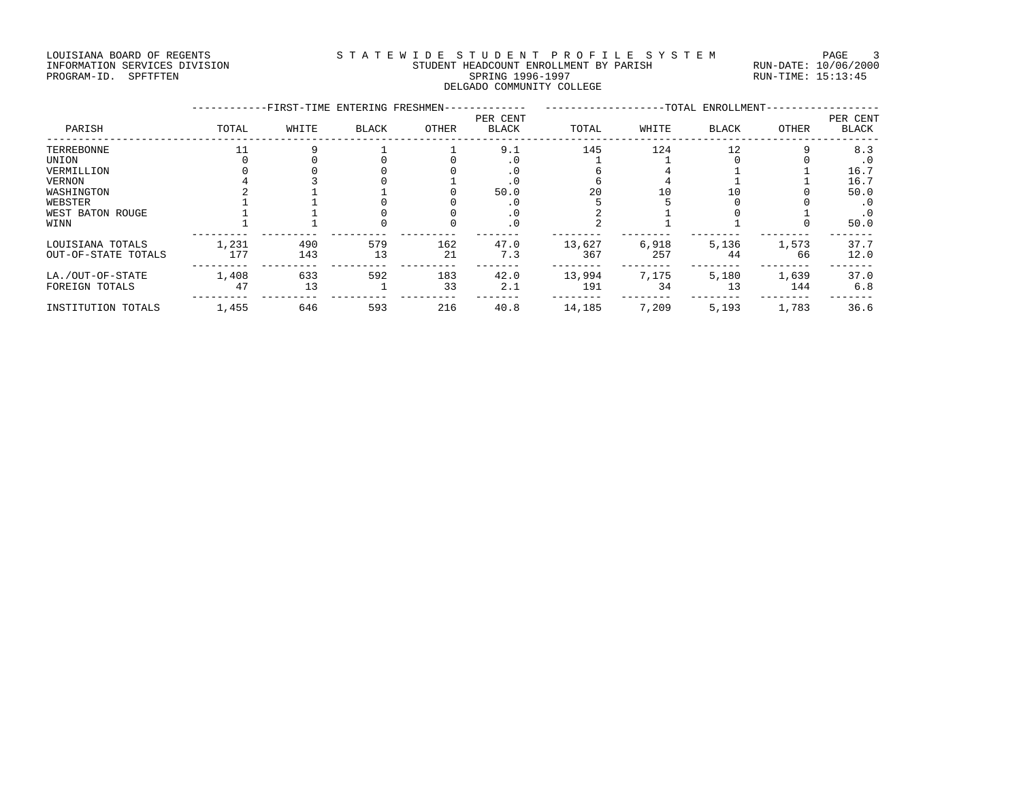LOUISIANA BOARD OF REGENTS STATEWIDE STUDENT PROFILE SYSTEM PAGE 3 INFORMATION SERVICES DIVISION STUDENT HEADCOUNT ENROLLMENT BY PARISH RUN-DATE: 10/06/2000 PROGRAM-ID. SPFTFTEN SARE SERING 1996-1997 SPRING 1996-1997 RUN-TIME: 15:13:45 DELGADO COMMUNITY COLLEGE

|                                         |              |            | -FIRST-TIME ENTERING FRESHMEN- |           | -TOTAL ENROLLMENT-       |               |              |              |              |                          |
|-----------------------------------------|--------------|------------|--------------------------------|-----------|--------------------------|---------------|--------------|--------------|--------------|--------------------------|
| PARISH                                  | TOTAL        | WHITE      | <b>BLACK</b>                   | OTHER     | PER CENT<br><b>BLACK</b> | TOTAL         | WHITE        | <b>BLACK</b> | <b>OTHER</b> | PER CENT<br><b>BLACK</b> |
| TERREBONNE                              |              |            |                                |           | 9.1                      | 145           | 124          | 12           |              | 8.3                      |
| UNION                                   |              |            |                                |           |                          |               |              |              |              | $\cdot$ 0                |
| VERMILLION                              |              |            |                                |           |                          |               |              |              |              | 16.7                     |
| VERNON                                  |              |            |                                |           |                          |               |              |              |              | 16.7                     |
| WASHINGTON                              |              |            |                                |           | 50.0                     | 20            | 10           | 10           |              | 50.0                     |
| WEBSTER                                 |              |            |                                |           |                          |               |              |              |              | . 0                      |
| WEST BATON ROUGE                        |              |            |                                |           | . v                      |               |              |              |              | $\cdot$ 0                |
| WINN                                    |              |            |                                |           | . 0                      |               |              |              |              | 50.0                     |
| LOUISIANA TOTALS<br>OUT-OF-STATE TOTALS | 1,231<br>177 | 490<br>143 | 579<br>13                      | 162<br>21 | 47.0<br>7.3              | 13,627<br>367 | 6,918<br>257 | 5,136<br>44  | 1,573<br>66  | 37.7<br>12.0             |
|                                         |              |            |                                |           |                          |               |              |              |              |                          |
| LA./OUT-OF-STATE<br>FOREIGN TOTALS      | 1,408<br>47  | 633<br>13  | 592                            | 183<br>33 | 42.0<br>2.1              | 13,994<br>191 | 7,175<br>34  | 5,180<br>13  | 1,639<br>144 | 37.0<br>6.8              |
| INSTITUTION TOTALS                      | 1,455        | 646        | 593                            | 216       | 40.8                     | 14,185        | 7,209        | 5,193        | 1,783        | 36.6                     |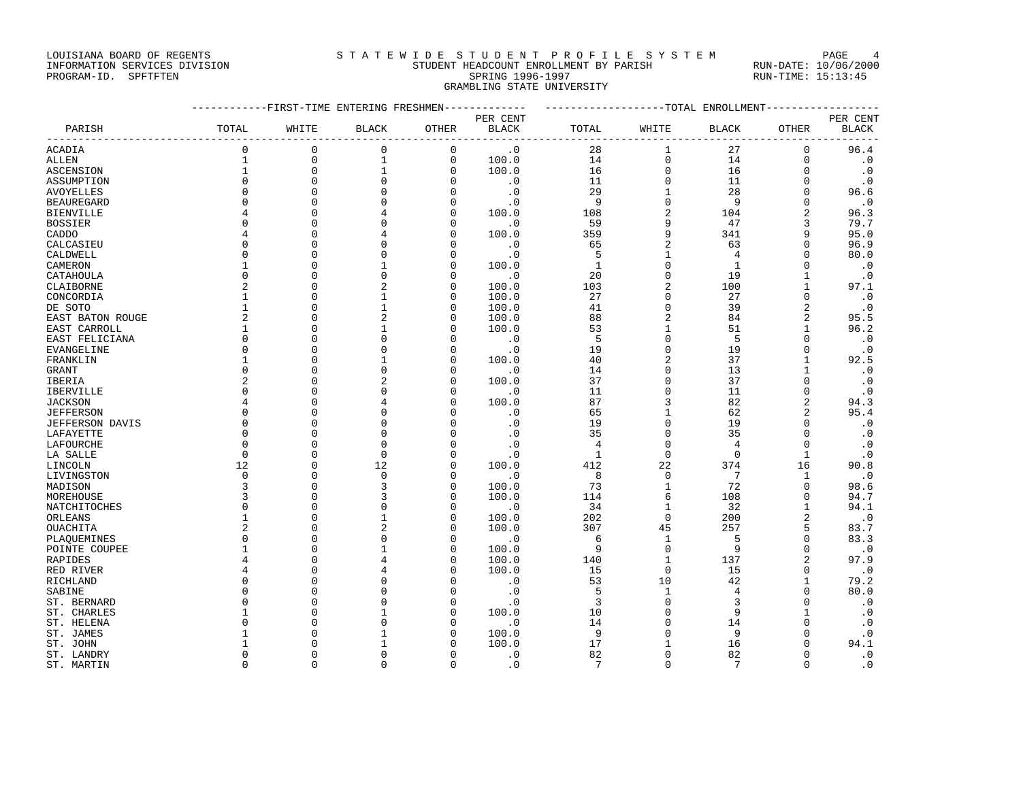### LOUISIANA BOARD OF REGENTS STA TEWIDE STUDENT PROFILE SYSTEM PAGE 4 INFORMATION SERVICES DIVISION STUDENT HEADCOUNT ENROLLMENT BY PARISH RUN-DATE: 10/06/2000

| PROGRAM-ID. SPFTFTEN |       |                                  |       |       | SPRING 1996-1997<br>GRAMBLING STATE UNIVERSITY |                            |       |            | RUN-TIME: 15:13:45 |                      |  |  |
|----------------------|-------|----------------------------------|-------|-------|------------------------------------------------|----------------------------|-------|------------|--------------------|----------------------|--|--|
|                      |       | --FIRST-TIME ENTERING FRESHMEN-- |       |       | ----------                                     | ---------TOTAL ENROLLMENT- |       |            |                    |                      |  |  |
|                      |       |                                  |       |       | PER CENT                                       |                            |       |            |                    | PER CENT             |  |  |
| PARISH               | TOTAL | WHITE                            | BLACK | OTHER | BLACK                                          | TOTAL                      | WHITE | BLACK      | OTHER              | <b>BLACK</b>         |  |  |
| ACADIA               |       |                                  |       |       | $\cdot$ 0                                      | 28                         |       | 27         |                    | 96.4                 |  |  |
| ALLEN                |       |                                  |       |       | 100.0                                          | 14                         |       | 14         |                    |                      |  |  |
| ASCENSION            |       |                                  |       |       | 100.0                                          | 16                         |       | 16         |                    |                      |  |  |
| ASSUMPTION           |       |                                  |       |       | . 0                                            | 11                         |       | 11         |                    |                      |  |  |
| AVOYELLES            |       |                                  |       |       |                                                | 29                         |       | 28         |                    | 96.6                 |  |  |
| BEAUREGARD           |       |                                  |       |       |                                                |                            |       |            |                    |                      |  |  |
| <b>BIENVILLE</b>     |       |                                  |       |       | 100.0                                          | 108                        |       | 104        |                    | 96.3                 |  |  |
| <b>BOSSIER</b>       |       |                                  |       |       | $\cdot$ 0                                      | 59                         |       | 47         |                    | 79.7                 |  |  |
| CADDO                |       |                                  |       |       | 100.0                                          | 359                        |       | 341        |                    | 95.0                 |  |  |
| CALCASIEU            |       |                                  |       |       |                                                | 65                         |       | 63         |                    | 96.9                 |  |  |
| CALDWELL             |       |                                  |       |       |                                                |                            |       |            |                    | 80.0                 |  |  |
| CAMERON              |       |                                  |       |       | 100.0                                          |                            |       |            |                    |                      |  |  |
| CATAHOULA            |       |                                  |       |       | $\cdot$ 0                                      | 20                         |       | 19         |                    |                      |  |  |
| CLAIBORNE            |       |                                  |       |       | 100.0                                          | 103                        |       | 100        |                    | 97.1                 |  |  |
| CONCORDIA            |       |                                  |       |       | 100.0                                          | 27                         |       | 27         |                    |                      |  |  |
| DE SOTO              |       |                                  |       |       | 100.0                                          | 41                         |       | 39         |                    |                      |  |  |
| EAST BATON ROUGE     |       |                                  |       |       | 100.0                                          | 88                         |       | 84         |                    | 95.5                 |  |  |
| EAST CARROLL         |       |                                  |       |       | 100.0                                          | 53                         |       | 51         |                    | 96.2                 |  |  |
| EAST FELICIANA       |       |                                  |       |       |                                                |                            |       |            |                    |                      |  |  |
| EVANGELINE           |       |                                  |       |       |                                                | 19                         |       | 19         |                    |                      |  |  |
| _________            |       |                                  |       |       | $\sim$ $\sim$ $\sim$                           | $\sim$                     |       | $\sim$ $-$ |                    | $\sim$ $\sim$ $\sim$ |  |  |

| PARISH           | TOTAL        | WHITE       | <b>BLACK</b>   | <b>OTHER</b> | <b>BLACK</b> | TOTAL        | WHITE       | <b>BLACK</b>   | <b>OTHER</b>   | <b>BLACK</b> |
|------------------|--------------|-------------|----------------|--------------|--------------|--------------|-------------|----------------|----------------|--------------|
| ACADIA           | $\mathbf 0$  | $\mathbf 0$ | 0              | 0            | $\cdot$ 0    | 28           | 1           | 27             | $\mathbf 0$    | 96.4         |
| ALLEN            | $\mathbf{1}$ | $\mathbf 0$ | $\mathbf{1}$   | 0            | 100.0        | 14           | 0           | 14             | $\mathbf 0$    | $\cdot$ 0    |
| ASCENSION        | 1            | $\mathbf 0$ | $\mathbf{1}$   | $\mathbf 0$  | 100.0        | 16           | 0           | 16             | $\Omega$       | $\cdot$ 0    |
| ASSUMPTION       |              | $\Omega$    | $\Omega$       | $\Omega$     | $\cdot$ 0    | 11           | 0           | 11             | $\Omega$       | $\cdot$ 0    |
| AVOYELLES        |              | $\Omega$    | $\mathbf 0$    | O            | $\cdot$ 0    | 29           | 1           | 28             | $\Omega$       | 96.6         |
| BEAUREGARD       |              | $\Omega$    | $\Omega$       | $\Omega$     | $\cdot$ 0    | 9            | 0           | 9              | $\Omega$       | $\cdot$ 0    |
| BIENVILLE        |              | $\Omega$    | 4              | $\Omega$     | 100.0        | 108          | 2           | 104            | $\overline{a}$ | 96.3         |
| BOSSIER          |              | $\Omega$    | 0              | $\Omega$     | $\cdot$ 0    | 59           | 9           | 47             | 3              | 79.7         |
| CADDO            |              | O           | 4              | N            | 100.0        | 359          | 9           | 341            | 9              | 95.0         |
| CALCASIEU        |              | $\Omega$    | $\Omega$       | N            | $\cdot$ 0    | 65           | 2           | 63             | $\Omega$       | 96.9         |
| CALDWELL         |              | $\Omega$    | $\Omega$       | $\Omega$     | $\cdot$ 0    | 5            | 1           | 4              | <sup>0</sup>   | 80.0         |
| CAMERON          |              | $\Omega$    | $\mathbf{1}$   | $\Omega$     | 100.0        | $\mathbf{1}$ | 0           | $\mathbf{1}$   | $\Omega$       | $\cdot$ 0    |
| CATAHOULA        | $\Omega$     | $\Omega$    | $\Omega$       | O            | $\cdot$ 0    | 20           | 0           | 19             | 1              | $\cdot$ 0    |
| CLAIBORNE        |              | $\Omega$    | $\overline{a}$ | $\Omega$     | 100.0        | 103          | 2           | 100            | 1              | 97.1         |
| CONCORDIA        |              | $\Omega$    | $\mathbf{1}$   | 0            | 100.0        | 27           | 0           | 27             | $\Omega$       | $\cdot$ 0    |
| DE SOTO          |              | $\Omega$    | $\mathbf{1}$   | $\Omega$     | 100.0        | 41           | 0           | 39             | $\overline{2}$ | $\cdot$ 0    |
| EAST BATON ROUGE | 2            | $\Omega$    | $\overline{a}$ | $\Omega$     | 100.0        | 88           | 2           | 84             | $\overline{a}$ | 95.5         |
| EAST CARROLL     |              | $\Omega$    | 1              | $\Omega$     | 100.0        | 53           | 1           | 51             | 1              | 96.2         |
| EAST FELICIANA   | $\Omega$     | $\Omega$    | $\Omega$       | U            | $\cdot$ 0    | 5            | 0           | 5              | $\Omega$       | $\cdot$ 0    |
| EVANGELINE       |              | $\Omega$    | $\Omega$       | $\Omega$     | $\cdot$ 0    | 19           | $\Omega$    | 19             | $\Omega$       | $\cdot$ 0    |
| FRANKLIN         |              | $\Omega$    | 1              | $\Omega$     | 100.0        | 40           | 2           | 37             | 1              | 92.5         |
| GRANT            |              | O           | 0              | N            | $\cdot$ 0    | 14           | 0           | 13             |                | $\cdot$ 0    |
| IBERIA           |              | $\Omega$    | $\overline{2}$ | N            | 100.0        | 37           | 0           | 37             | $\Omega$       | $\cdot$ 0    |
| IBERVILLE        |              | $\Omega$    | $\Omega$       | O            | $\cdot$ 0    | 11           | O           | 11             | $\Omega$       | $\cdot$ 0    |
| JACKSON          |              | O           | 4              | $\Omega$     | 100.0        | 87           | 3           | 82             | $\overline{2}$ | 94.3         |
| JEFFERSON        |              | $\Omega$    | $\Omega$       |              | $\cdot$ 0    | 65           | 1           | 62             | $\overline{2}$ | 95.4         |
| JEFFERSON DAVIS  |              | $\Omega$    | $\Omega$       |              | $\cdot$ 0    | 19           | $\Omega$    | 19             | $\Omega$       | $\cdot$ 0    |
| LAFAYETTE        |              | $\Omega$    | 0              | N            | $\cdot$ 0    | 35           | 0           | 35             |                | $\cdot$ 0    |
| LAFOURCHE        | ∩            | $\Omega$    | $\mathbf 0$    | O            | $\cdot$ 0    | 4            | 0           | 4              | <sup>0</sup>   | $\cdot$ 0    |
| LA SALLE         | $\Omega$     | $\Omega$    | $\mathbf 0$    | $\Omega$     | $\cdot$ 0    | $\mathbf{1}$ | $\mathbf 0$ | $\mathbf 0$    | 1              | $\cdot$ 0    |
| LINCOLN          | 12           | O           | 12             | $\Omega$     | 100.0        | 412          | 22          | 374            | 16             | 90.8         |
| LIVINGSTON       | $\Omega$     | $\Omega$    | $\mathbf 0$    | 0            | $\cdot$ 0    | 8            | 0           | $\overline{7}$ | 1              | $\cdot$ 0    |
| MADISON          | 3            | $\Omega$    | 3              | $\Omega$     | 100.0        | 73           | 1           | 72             | $\mathbf 0$    | 98.6         |
| MOREHOUSE        | 3            | $\Omega$    | 3              | $\Omega$     | 100.0        | 114          | 6           | 108            | $\Omega$       | 94.7         |
| NATCHITOCHES     |              | $\Omega$    | 0              | N            | $\cdot$ 0    | 34           | 1           | 32             | 1              | 94.1         |
| ORLEANS          |              | $\Omega$    | $\mathbf{1}$   | $\Omega$     | 100.0        | 202          | $\mathbf 0$ | 200            | $\overline{2}$ | $\cdot$ 0    |
| OUACHITA         | 2            | $\Omega$    | $\overline{a}$ | U            | 100.0        | 307          | 45          | 257            | 5              | 83.7         |
| PLAOUEMINES      |              | $\Omega$    | 0              | 0            | $\cdot$ 0    | 6            | 1           | 5              | $\Omega$       | 83.3         |
| POINTE COUPEE    |              | $\Omega$    | 1              | O            | 100.0        | 9            | $\mathbf 0$ | 9              | $\Omega$       | $\cdot$ 0    |
| RAPIDES          |              | $\Omega$    | 4              | O            | 100.0        | 140          | 1           | 137            | $\overline{2}$ | 97.9         |
| RED RIVER        |              | $\Omega$    | 4              | N            | 100.0        | 15           | $\Omega$    | 15             | $\Omega$       | $\cdot$ 0    |
| RICHLAND         |              | $\Omega$    | $\Omega$       |              | $\cdot$ 0    | 53           | 10          | 42             | 1              | 79.2         |
| SABINE           | U            | $\Omega$    | $\Omega$       | O            | $\cdot$ 0    | 5            | 1           | $\overline{4}$ | $\Omega$       | 80.0         |
| ST. BERNARD      |              | $\Omega$    | $\Omega$       | $\Omega$     | $\cdot$ 0    | 3            | 0           | 3              | $\Omega$       | $\cdot$ 0    |
| ST. CHARLES      |              | O           | 1              | O            | 100.0        | 10           | 0           | 9              |                | $\cdot$ 0    |
| ST. HELENA       |              | O           | 0              | O            | $\cdot$ 0    | 14           | 0           | 14             | $\Omega$       | $\cdot$ 0    |
| ST. JAMES        |              |             | 1              | U            | 100.0        | 9            | O           | 9              | $\Omega$       | $\cdot$ 0    |
| ST. JOHN         |              | O           | 1              |              | 100.0        | 17           |             | 16             | $\Omega$       | 94.1         |
| ST. LANDRY       | $\Omega$     | $\Omega$    | $\Omega$       | $\Omega$     | $\cdot$ 0    | 82           | $\Omega$    | 82             | $\Omega$       | $\cdot$ 0    |

ST. MARTIN 0 0 0 0 .0 7 0 7 0 .0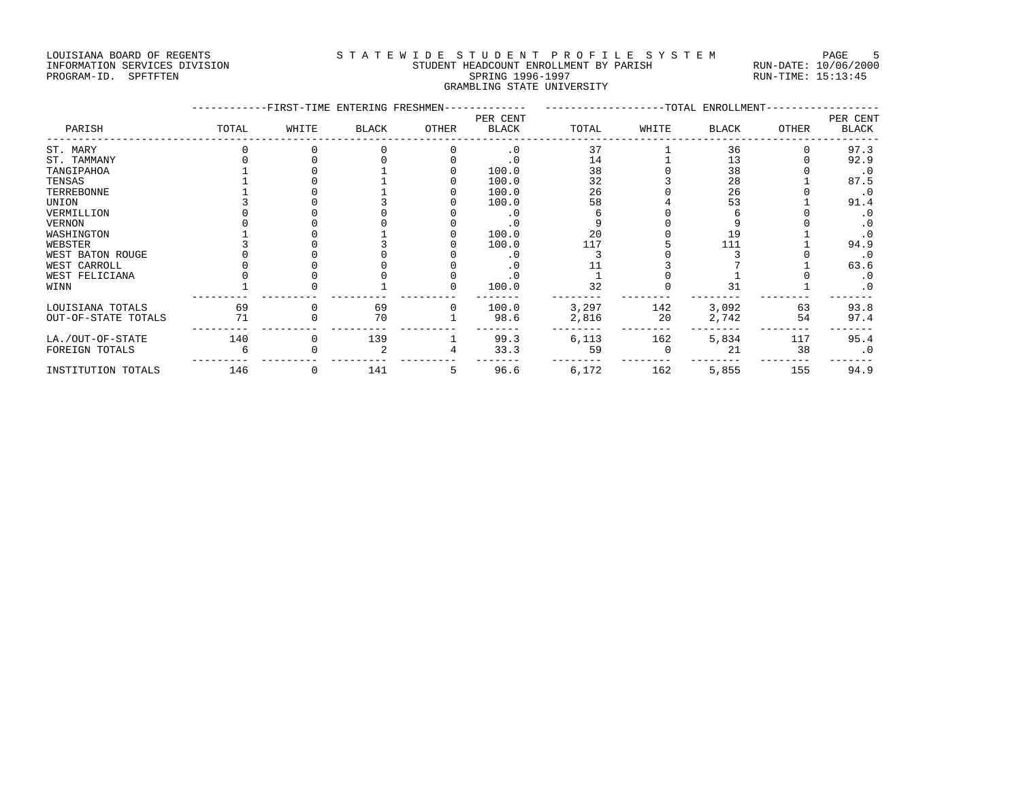## LOUISIANA BOARD OF REGENTS STATEWIDE STUDENT PROFILE SYSTEM PAGE 5 INFORMATION SERVICES DIVISION STUDENT HEADCOUNT ENROLLMENT BY PARISH RUN-DATE: 10/06/2000

# PROGRAM-ID. SPFTFTEN SARE SERING 1996-1997 SPRING 1996-1997 RUN-TIME: 15:13:45 GRAMBLING STATE UNIVERSITY

|                     |       |       | -FIRST-TIME ENTERING FRESHMEN- |              |                          |       | ------------------TOTAL ENROLLMENT- |       |       |                          |  |
|---------------------|-------|-------|--------------------------------|--------------|--------------------------|-------|-------------------------------------|-------|-------|--------------------------|--|
| PARISH              | TOTAL | WHITE | <b>BLACK</b>                   | OTHER        | PER CENT<br><b>BLACK</b> | TOTAL | WHITE                               | BLACK | OTHER | PER CENT<br><b>BLACK</b> |  |
| ST. MARY            |       |       |                                |              | $\cdot$ 0                | 37    |                                     | 36    |       | 97.3                     |  |
| ST. TAMMANY         |       |       |                                |              | . 0                      | 14    |                                     | 13    |       | 92.9                     |  |
| TANGIPAHOA          |       |       |                                |              | 100.0                    | 38    |                                     | 38    |       | $\cdot$ 0                |  |
| TENSAS              |       |       |                                |              | 100.0                    | 32    |                                     | 28    |       | 87.5                     |  |
| TERREBONNE          |       |       |                                |              | 100.0                    | 26    |                                     | 26    |       | $\cdot$ 0                |  |
| UNION               |       |       |                                |              | 100.0                    | 58    |                                     | 53    |       | 91.4                     |  |
| VERMILLION          |       |       |                                |              | $\cdot$ 0                |       |                                     |       |       | $\cdot$ 0                |  |
| VERNON              |       |       |                                |              |                          |       |                                     |       |       | $\cdot$ 0                |  |
| WASHINGTON          |       |       |                                |              | 100.0                    | 20    |                                     | 19    |       | $\cdot$ 0                |  |
| WEBSTER             |       |       |                                |              | 100.0                    | 117   |                                     | 111   |       | 94.9                     |  |
| WEST BATON ROUGE    |       |       |                                |              | . 0                      |       |                                     |       |       | $\cdot$ 0                |  |
| WEST CARROLL        |       |       |                                |              | . 0                      |       |                                     |       |       | 63.6                     |  |
| WEST FELICIANA      |       |       |                                |              |                          |       |                                     |       |       | $\cdot$ 0                |  |
| WINN                |       |       |                                |              | 100.0                    | 32    |                                     | 31    |       | $\cdot$ 0                |  |
| LOUISIANA TOTALS    | 69    |       | 69                             | <sup>0</sup> | 100.0                    | 3,297 | 142                                 | 3,092 | 63    | 93.8                     |  |
| OUT-OF-STATE TOTALS | 71    |       | 70                             |              | 98.6                     | 2,816 | 20                                  | 2,742 | 54    | 97.4                     |  |
| LA./OUT-OF-STATE    | 140   |       | 139                            |              | 99.3                     | 6,113 | 162                                 | 5,834 | 117   | 95.4                     |  |
| FOREIGN TOTALS      |       |       |                                |              | 33.3                     | 59    |                                     | 21    | 38    | $\cdot$ 0                |  |
| INSTITUTION TOTALS  | 146   |       | 141                            | 5            | 96.6                     | 6,172 | 162                                 | 5,855 | 155   | 94.9                     |  |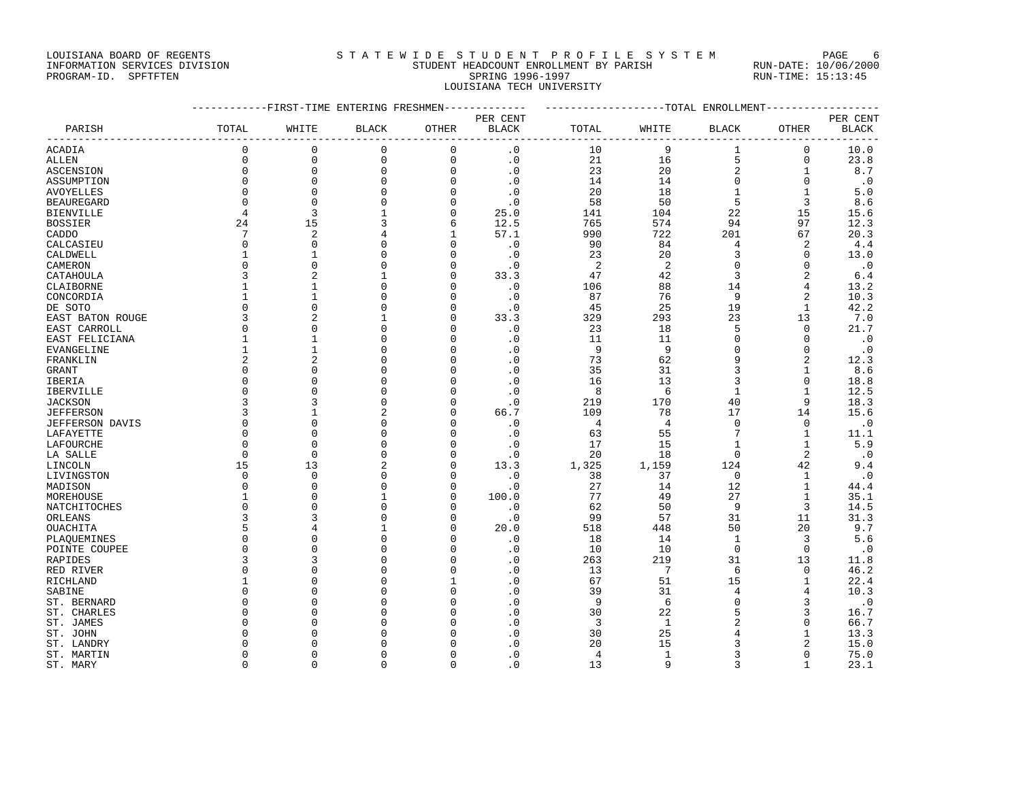## LOUISIANA BOARD OF REGENTS STATEWIDE STUDENT PROFILE SYSTEM PAGE 6 INFORMATION SERVICES DIVISION STUDENT HEADCOUNT ENROLLMENT BY PARISH RUN-DATE: 10/06/2000

# PROGRAM-ID. SPFTFTEN SARE SERING 1996-1997 SPRING 1996-1997 RUN-TIME: 15:13:45 LOUISIANA TECH UNIVERSITY

|                           |                         | ---------FIRST-TIME ENTERING FRESHMEN------------- |                      |               |                                                | -------------------TOTAL ENROLLMENT-- |                |                      |                               |               |
|---------------------------|-------------------------|----------------------------------------------------|----------------------|---------------|------------------------------------------------|---------------------------------------|----------------|----------------------|-------------------------------|---------------|
|                           |                         |                                                    |                      |               | PER CENT                                       |                                       |                |                      |                               | PER CENT      |
| PARISH                    | TOTAL                   | WHITE                                              | <b>BLACK</b>         | OTHER         | <b>BLACK</b><br>------------------------------ | TOTAL                                 | WHITE          | BLACK                | OTHER<br>-------------------- | <b>BLACK</b>  |
| ACADIA                    | $\Omega$                | $\mathbf{0}$                                       | 0                    | $\mathbf 0$   | $\cdot$ 0                                      | 10                                    | 9              | 1                    | 0                             | 10.0          |
| ALLEN                     | $\mathbf 0$             | $\mathbf 0$                                        | $\mathbf 0$          | $\mathbf 0$   | $\cdot$ 0                                      | 21                                    | 16             | 5                    | $\mathbf 0$                   | 23.8          |
| ASCENSION                 | $\Omega$                | $\mathbf{0}$                                       | 0                    | $\mathbf 0$   | $\cdot$ 0                                      | 23                                    | 20             | $\sqrt{2}$           | $\mathbf{1}$                  | 8.7           |
| ASSUMPTION                | $\Omega$                | $\mathbf{0}$                                       | $\Omega$             | $\Omega$      | $\cdot$ 0                                      | 14                                    | 14             | $\mathbf 0$          | $\Omega$                      | $\cdot$ 0     |
| AVOYELLES                 | $\mathbf 0$             | $\mathbf{0}$                                       | $\mathbf 0$          | $\mathbf 0$   | $\cdot$ 0                                      | 20                                    | 18             | $\mathbf{1}$         | $\mathbf{1}$                  | 5.0           |
| <b>BEAUREGARD</b>         | $\Omega$                | $\mathbf 0$                                        | $\mathbf 0$          | 0             | $\cdot$ 0                                      | 58                                    | 50             | 5                    | $\overline{3}$                | 8.6           |
| <b>BIENVILLE</b>          | $\overline{4}$          | 3                                                  | $\mathbf{1}$         | $\mathbf 0$   | 25.0                                           | 141                                   | 104            | 22                   | 15                            | 15.6          |
| <b>BOSSIER</b>            | 24                      | 15                                                 | 3                    | 6             | 12.5                                           | 765                                   | 574            | 94                   | 97                            | 12.3          |
| CADDO                     | $7\phantom{.0}$         | $\overline{2}$                                     | 4                    | 1             | 57.1                                           | 990                                   | 722            | 201                  | 67                            | 20.3          |
| CALCASIEU                 | $\Omega$                | $\Omega$                                           | $\Omega$             | $\Omega$      | $\cdot$ 0                                      | 90                                    | 84             | 4                    | 2                             | 4.4           |
| CALDWELL                  | $\mathbf{1}$            | $\mathbf{1}$                                       | $\mathbf 0$          | $\mathbf 0$   | $\cdot$ 0                                      | 23                                    | 20             | 3                    | $\mathbf 0$                   | 13.0          |
| CAMERON                   | $\Omega$                | $\Omega$                                           | $\Omega$             | $\Omega$      | $\cdot$ 0                                      | 2                                     | 2              | $\Omega$             | $\Omega$                      | $\cdot$ 0     |
| CATAHOULA                 | 3                       | $\overline{2}$                                     | $\mathbf{1}$         | $\Omega$      | 33.3                                           | 47                                    | 42             | $\overline{3}$       | $\overline{2}$                | 6.4           |
| CLAIBORNE                 | $\mathbf{1}$            | $\mathbf{1}$                                       | 0                    | $\mathbf 0$   | $\cdot$ 0                                      | 106                                   | 88             | 14                   | 4                             | 13.2          |
| CONCORDIA                 | $\mathbf{1}$            | $\mathbf{1}$                                       | $\Omega$             | $\Omega$      | $\cdot$ 0                                      | 87                                    | 76             | 9                    | $\overline{2}$                | 10.3          |
| DE SOTO                   | $\Omega$                | $\Omega$                                           | 0                    | $\mathbf 0$   | $\cdot$ 0                                      | 45                                    | 25             | 19                   | $\mathbf{1}$                  | 42.2          |
| EAST BATON ROUGE          | 3                       | $\overline{2}$                                     | $\mathbf{1}$         | $\Omega$      | 33.3                                           | 329                                   | 293            | 23                   | 13                            | 7.0           |
| EAST CARROLL              | $\mathbf 0$             | $\mathbf{0}$                                       | 0                    | 0             | $\cdot$ 0                                      | 23                                    | 18             | 5                    | $\mathbf 0$                   | 21.7          |
| EAST FELICIANA            | $\mathbf{1}$            | $\mathbf{1}$                                       | $\Omega$             | $\Omega$      | $\cdot$ 0                                      | 11                                    | 11             | $\Omega$             | $\Omega$                      | $\cdot$ 0     |
| EVANGELINE                | $1\,$                   | $\mathbf{1}$                                       | $\Omega$             | $\Omega$      | $\cdot$ 0                                      | 9                                     | 9              | $\Omega$             | $\Omega$                      | $\cdot$ 0     |
| FRANKLIN                  | 2                       | $\overline{2}$                                     |                      | $\Omega$      | $\overline{0}$                                 | 73                                    | 62             | 9                    | $\overline{2}$                | 12.3          |
| <b>GRANT</b>              | $\mathbf 0$             | $\Omega$                                           | $\Omega$             | $\Omega$      | $\cdot$ 0                                      | 35                                    | 31             | 3                    | $\mathbf{1}$                  | 8.6           |
| IBERIA                    | $\mathbf 0$             | $\Omega$                                           | $\Omega$             | $\Omega$      | $\cdot$ 0                                      | 16                                    | 13             | 3                    | $\mathbf 0$                   | 18.8          |
| <b>IBERVILLE</b>          | $\Omega$                | $\Omega$                                           | $\Omega$             | $\Omega$      | $\cdot$ 0                                      | 8                                     | 6              | $\mathbf{1}$         | $\mathbf{1}$                  | 12.5          |
| <b>JACKSON</b>            | 3                       | 3                                                  | $\Omega$             | $\Omega$      | $\cdot$ 0                                      | 219                                   | 170            | 40                   | 9                             | 18.3          |
| <b>JEFFERSON</b>          | 3                       | $\mathbf{1}$                                       | 2                    | $\Omega$      | 66.7                                           | 109                                   | 78             | 17                   | 14                            | 15.6          |
| <b>JEFFERSON DAVIS</b>    | $\mathbf 0$             | $\Omega$                                           | 0                    | $\mathbf 0$   | $\cdot$ 0                                      | $\overline{4}$                        | $\overline{4}$ | $\Omega$             | $\mathbf 0$                   | $\cdot$ 0     |
| LAFAYETTE                 | $\Omega$                | $\Omega$                                           | $\Omega$             | $\Omega$      | $\cdot$ 0                                      | 63                                    | 55             |                      | $\mathbf{1}$                  | 11.1          |
| LAFOURCHE                 | $\Omega$                | $\Omega$                                           | $\Omega$             | $\mathbf 0$   | $\cdot$ 0                                      | 17                                    | 15             | $\mathbf{1}$         | $\mathbf{1}$                  | 5.9           |
| LA SALLE                  | $\mathbf 0$             | $\mathbf 0$                                        | $\Omega$             | $\mathbf 0$   | $\cdot$ 0                                      | 20                                    | 18             | $\mathbf 0$          | 2                             | $\cdot$ . $0$ |
| LINCOLN                   | 15                      | 13<br>$\Omega$                                     |                      | $\Omega$      | 13.3                                           | 1,325                                 | 1,159          | 124                  | 42                            | 9.4           |
| LIVINGSTON                | $\mathbf 0$<br>$\Omega$ | $\Omega$                                           | $\Omega$<br>$\Omega$ | 0<br>$\Omega$ | $\cdot$ 0                                      | 38<br>27                              | 37<br>14       | $\overline{0}$<br>12 | $\mathbf{1}$<br>$\mathbf{1}$  | $\cdot$ 0     |
| MADISON                   |                         | $\cap$                                             | 1                    |               | $\cdot$ 0                                      | 77                                    |                | 27                   |                               | 44.4          |
| MOREHOUSE<br>NATCHITOCHES | $\mathbf 1$<br>$\Omega$ | $\Omega$                                           | $\Omega$             | 0<br>$\Omega$ | 100.0<br>$\cdot$ 0                             | 62                                    | 49<br>50       | 9                    | $\mathbf{1}$<br>3             | 35.1<br>14.5  |
| ORLEANS                   | 3                       | 3                                                  | $\Omega$             | $\mathbf 0$   | $\cdot$ 0                                      | 99                                    | 57             | 31                   | 11                            | 31.3          |
| OUACHITA                  | 5                       |                                                    |                      | $\Omega$      | 20.0                                           | 518                                   | 448            | 50                   | 20                            | 9.7           |
| PLAQUEMINES               | $\mathbf 0$             | $\cap$                                             | $\Omega$             | $\Omega$      | $\cdot$ 0                                      | 18                                    | 14             | $\mathbf{1}$         | 3                             | 5.6           |
| POINTE COUPEE             | $\mathbf 0$             | $\Omega$                                           | $\Omega$             | 0             | $\cdot$ 0                                      | 10                                    | 10             | $\mathbf 0$          | $\mathbf 0$                   | $\cdot$ 0     |
| RAPIDES                   | 3                       | 3                                                  | $\Omega$             | $\Omega$      | $\cdot$ 0                                      | 263                                   | 219            | 31                   | 13                            | 11.8          |
| RED RIVER                 | $\mathbf 0$             | $\Omega$                                           |                      | $\mathbf 0$   | $\cdot$ 0                                      | 13                                    | $\overline{7}$ | 6                    | $\mathbf 0$                   | 46.2          |
| RICHLAND                  | $\mathbf{1}$            | $\cap$                                             |                      | $\mathbf{1}$  | $\cdot$ 0                                      | 67                                    | 51             | 15                   | $\mathbf{1}$                  | 22.4          |
| SABINE                    | $\Omega$                | $\Omega$                                           |                      | $\Omega$      | $\cdot$ 0                                      | 39                                    | 31             | 4                    | 4                             | 10.3          |
| ST. BERNARD               | $\Omega$                | $\cap$                                             | n                    | $\Omega$      | $\cdot$ 0                                      | 9                                     | 6              | $\Omega$             | 3                             | $\cdot$ 0     |
| ST. CHARLES               | $\mathbf 0$             | $\cap$                                             |                      | $\mathbf 0$   | $\cdot$ 0                                      | 30                                    | 22             | 5                    | 3                             | 16.7          |
| ST. JAMES                 | $\Omega$                |                                                    |                      | U             | $\cdot$ 0                                      | 3                                     | $\mathbf{1}$   | 2                    | $\Omega$                      | 66.7          |
| ST. JOHN                  | $\cap$                  |                                                    |                      | U             | $\cdot$ 0                                      | 30                                    | 25             | $\overline{4}$       | $\mathbf{1}$                  | 13.3          |
| ST. LANDRY                | $\Omega$                |                                                    |                      |               | $\overline{0}$                                 | 20                                    | 15             | 3                    | 2                             | 15.0          |
| ST. MARTIN                | $\Omega$                | $\cap$                                             |                      | U             | $\cdot$ 0                                      | 4                                     | $\mathbf{1}$   | 3                    | $\mathbf 0$                   | 75.0          |
| ST. MARY                  | $\Omega$                | $\Omega$                                           | $\cap$               | $\Omega$      | $\overline{0}$                                 | 13                                    | 9              | 3                    | $\mathbf{1}$                  | 23.1          |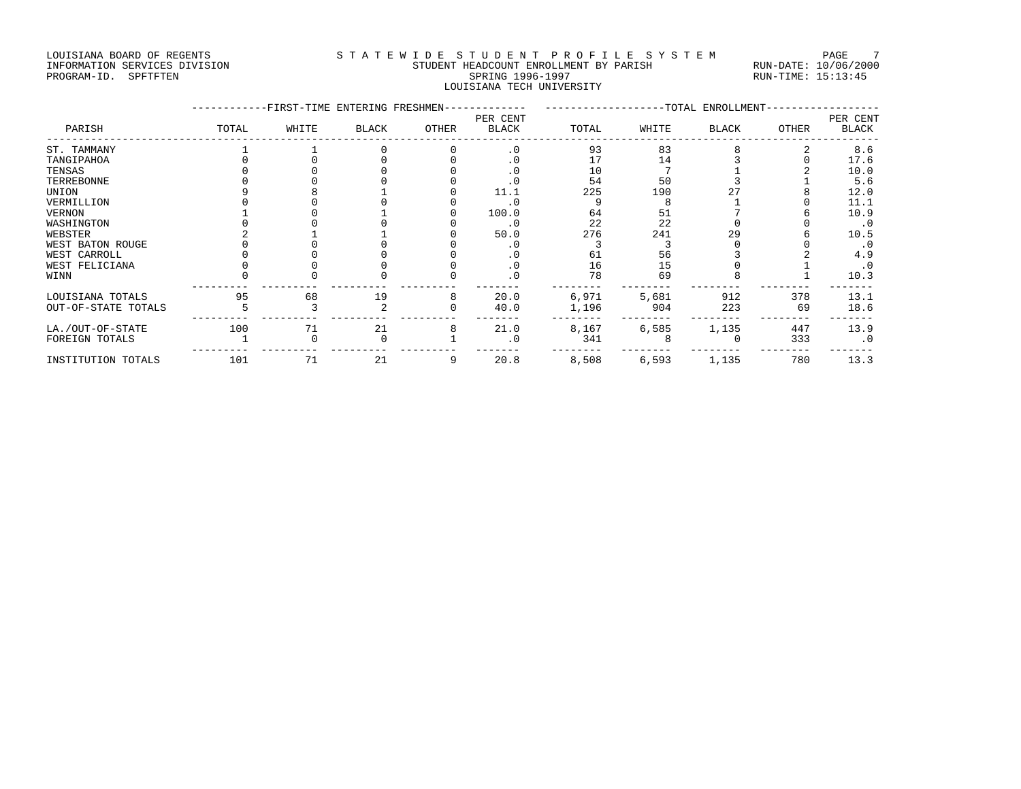### LOUISIANA BOARD OF REGENTS STA TEWIDE STUDENT PROFILE SYSTEM PAGE 7 INFORMATION SERVICES DIVISION STUDENT HEADCOUNT ENROLLMENT BY PARISH RUN-DATE: 10/06/2000 PROGRAM-ID. SPFTFTEN SARE SERING 1996-1997 SPRING 1996-1997 RUN-TIME: 15:13:45 LOUISIANA TECH UNIVERSITY

|                     |       | -FIRST-TIME ENTERING FRESHMEN- |              |       | PER CENT     |       |       | -TOTAL ENROLLMENT |       | PER CENT     |
|---------------------|-------|--------------------------------|--------------|-------|--------------|-------|-------|-------------------|-------|--------------|
| PARISH              | TOTAL | WHITE                          | <b>BLACK</b> | OTHER | <b>BLACK</b> | TOTAL | WHITE | <b>BLACK</b>      | OTHER | <b>BLACK</b> |
| ST. TAMMANY         |       |                                |              |       | $\cdot$ 0    | 93    | 83    |                   |       | 8.6          |
| TANGIPAHOA          |       |                                |              |       | $\cdot$ 0    | 17    | 14    |                   |       | 17.6         |
| TENSAS              |       |                                |              |       | $\cdot$ 0    | 10    |       |                   |       | 10.0         |
| TERREBONNE          |       |                                |              |       | $\cdot$ 0    | 54    | 50    |                   |       | 5.6          |
| UNION               |       |                                |              |       | 11.1         | 225   | 190   |                   |       | 12.0         |
| VERMILLION          |       |                                |              |       | $\cdot$ 0    |       |       |                   |       | 11.1         |
| VERNON              |       |                                |              |       | 100.0        | 64    | 51    |                   |       | 10.9         |
| WASHINGTON          |       |                                |              |       | $\cdot$ 0    | 22    | 22    |                   |       | $\cdot$ 0    |
| WEBSTER             |       |                                |              |       | 50.0         | 276   | 241   | 29                |       | 10.5         |
| WEST BATON ROUGE    |       |                                |              |       | $\cdot$ 0    |       |       |                   |       | $\cdot$ 0    |
| WEST CARROLL        |       |                                |              |       | . 0          | 61    | 56    |                   |       | 4.9          |
| WEST FELICIANA      |       |                                |              |       | $\cdot$ 0    | 16    | 15    |                   |       | $\cdot$ 0    |
| WINN                |       |                                |              |       | $\cdot$ 0    | 78    | 69    |                   |       | 10.3         |
| LOUISIANA TOTALS    | 95    | 68                             | 19           | 8     | 20.0         | 6,971 | 5,681 | 912               | 378   | 13.1         |
| OUT-OF-STATE TOTALS |       |                                |              |       | 40.0         | 1,196 | 904   | 223               | 69    | 18.6         |
| LA./OUT-OF-STATE    | 100   | 71                             | 21           |       | 21.0         | 8,167 | 6,585 | 1,135             | 447   | 13.9         |
| FOREIGN TOTALS      |       |                                |              |       | $\cdot$ 0    | 341   |       |                   | 333   | $\cdot$ 0    |
| INSTITUTION TOTALS  | 101   | 71                             | 21           | 9     | 20.8         | 8,508 | 6,593 | 1,135             | 780   | 13.3         |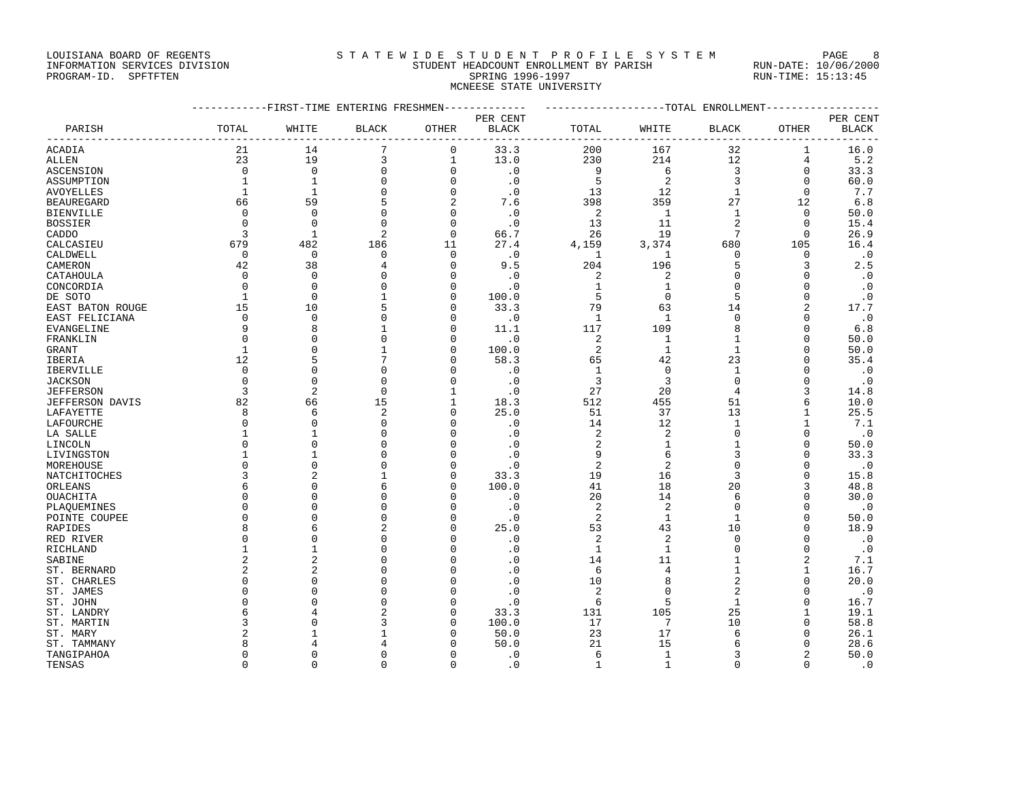### LOUISIANA BOARD OF REGENTS STATEWIDE STUDENT PROFILE SYSTEM PAGE 8 INFORMATION SERVICES DIVISION STUDENT HEADCOUNT ENROLLMENT BY PARISH RUN-DATE: 10/06/2000

|                               |                                        | --------           |
|-------------------------------|----------------------------------------|--------------------|
| INFORMATION SERVICES DIVISION | STUDENT HEADCOUNT ENROLLMENT BY PARISH | RUN-DATE: 10/06/20 |
| PROGRAM-ID.<br>SPFTFTEN       | SPRING 1996-1997                       | RUN-TIME: 15:13:45 |
|                               | MCNEESE STATE UNIVERSITY               |                    |

|                  | -----------FIRST-TIME ENTERING FRESHMEN------------- |                |                |              | ------------------TOTAL ENROLLMENT----------------- |                |                |                |               |           |
|------------------|------------------------------------------------------|----------------|----------------|--------------|-----------------------------------------------------|----------------|----------------|----------------|---------------|-----------|
|                  |                                                      |                |                | PER CENT     |                                                     |                |                |                |               | PER CENT  |
| PARISH           | TOTAL                                                | WHITE          | <b>BLACK</b>   | OTHER        | BLACK                                               | TOTAL          | WHITE          | <b>BLACK</b>   | OTHER         | BLACK     |
| ACADIA           | 21                                                   | 14             | 7              | 0            | 33.3                                                | 200            | 167            | 32             | 1             | 16.0      |
| ALLEN            | 23                                                   | 19             | 3              | $\mathbf{1}$ | 13.0                                                | 230            | 214            | 12             | 4             | 5.2       |
| ASCENSION        | $\Omega$                                             | $\Omega$       | $\mathbf 0$    | $\mathbf{0}$ | $\cdot$ 0                                           | 9              | 6              | 3              | $\mathbf 0$   | 33.3      |
| ASSUMPTION       | 1                                                    | 1              | $\mathbf 0$    | $\Omega$     | $\cdot$ 0                                           | 5              | 2              | 3              | $\Omega$      | 60.0      |
| AVOYELLES        | $\mathbf{1}$                                         | $\mathbf{1}$   | $\Omega$       | $\Omega$     | $\cdot$ 0                                           | 13             | 12             | $\mathbf{1}$   | $\Omega$      | 7.7       |
| BEAUREGARD       | 66                                                   | 59             | 5              | 2            | 7.6                                                 | 398            | 359            | 27             | 12            | 6.8       |
| BIENVILLE        | $\mathbf 0$                                          | $\Omega$       | $\mathbf 0$    | $\Omega$     | $\cdot$ 0                                           | 2              | $\mathbf{1}$   | $\mathbf{1}$   | $\mathbf 0$   | 50.0      |
| BOSSIER          | $\Omega$                                             | $\Omega$       | $\Omega$       | $\Omega$     | $\cdot$ 0                                           | 13             | 11             | $\overline{2}$ | $\Omega$      | 15.4      |
| CADDO            | 3                                                    | $\mathbf{1}$   | 2              | $\mathbf 0$  | 66.7                                                | 26             | 19             | 7              | $\Omega$      | 26.9      |
| CALCASIEU        | 679                                                  | 482            | 186            | 11           | 27.4                                                | 4,159          | 3,374          | 680            | 105           | 16.4      |
| CALDWELL         | 0                                                    | $\overline{0}$ | 0              | $\mathbf 0$  | $\,$ . $0$                                          | 1              | 1              | 0              | $\Omega$      | $\cdot$ 0 |
| CAMERON          | 42                                                   | 38             | 4              | $\Omega$     | 9.5                                                 | 204            | 196            | 5              |               | 2.5       |
| CATAHOULA        | $\Omega$                                             | $\Omega$       | O              | ∩            | $\cdot$ 0                                           | 2              | 2              | U              | <sup>0</sup>  | $\cdot$ 0 |
| CONCORDIA        | $\Omega$                                             | $\Omega$       | $\Omega$       | $\Omega$     | $\cdot$ 0                                           | 1              | 1              | $\Omega$       | <sup>0</sup>  | $\cdot$ 0 |
| DE SOTO          | 1                                                    | $\mathbf 0$    | 1              | $\Omega$     | 100.0                                               | 5              | $\mathbf 0$    | 5              | 0             | $\cdot$ 0 |
| EAST BATON ROUGE | 15                                                   | 10             | 5              | $\Omega$     | 33.3                                                | 79             | 63             | 14             |               | 17.7      |
| EAST FELICIANA   | $\Omega$                                             | $\Omega$       | $\Omega$       | $\Omega$     | $\cdot$ 0                                           | $\mathbf{1}$   | $\mathbf{1}$   | $\mathbf 0$    | $\Omega$      | $\cdot$ 0 |
| EVANGELINE       | 9                                                    | 8              | 1              | ∩            | 11.1                                                | 117            | 109            | 8              | <sup>0</sup>  | 6.8       |
| FRANKLIN         | $\Omega$                                             | $\Omega$       | $\Omega$       | $\Omega$     | $\cdot$ 0                                           | 2              | 1              | $\mathbf{1}$   | $\Omega$      | 50.0      |
| GRANT            | $\mathbf{1}$                                         | $\Omega$       | $\mathbf{1}$   | $\Omega$     | 100.0                                               | 2              | $\mathbf{1}$   | $\mathbf{1}$   | 0             | 50.0      |
| IBERIA           | 12                                                   |                | 7              | $\Omega$     | 58.3                                                | 65             | 42             | 23             | $\Omega$      | 35.4      |
| <b>IBERVILLE</b> | 0                                                    | $\Omega$       | 0              | $\Omega$     | $\cdot$ 0                                           | 1              | $\mathbf 0$    | 1              |               | $\cdot$ 0 |
| JACKSON          | $\Omega$                                             | $\Omega$       | $\Omega$       | $\Omega$     | $\cdot$ 0                                           | 3              | 3              | $\Omega$       | <sup>0</sup>  | $\cdot$ 0 |
| JEFFERSON        | 3                                                    | $\overline{2}$ | $\Omega$       | 1            | $\cdot$ 0                                           | 27             | 20             | 4              | 3             | 14.8      |
| JEFFERSON DAVIS  | 82                                                   | 66             | 15             | $\mathbf{1}$ | 18.3                                                | 512            | 455            | 51             | 6             | 10.0      |
| LAFAYETTE        | 8                                                    | 6              | 2              | $\mathbf{0}$ | 25.0                                                | 51             | 37             | 13             | $\mathbf{1}$  | 25.5      |
| LAFOURCHE        | $\Omega$                                             | $\Omega$       | $\Omega$       | $\Omega$     | $\cdot$ 0                                           | 14             | 12             | 1              | $\mathbf{1}$  | 7.1       |
| LA SALLE         |                                                      | $\mathbf{1}$   | $\Omega$       | $\cap$       | $\cdot$ 0                                           | 2              | 2              | $\Omega$       | $\Omega$      | $\cdot$ 0 |
| LINCOLN          | $\Omega$                                             | $\Omega$       | $\Omega$       | $\Omega$     | $\cdot$ 0                                           | 2              | 1              | 1              | $\Omega$      | 50.0      |
| LIVINGSTON       |                                                      | $\mathbf{1}$   | $\Omega$       | $\Omega$     | $\cdot$ 0                                           | 9              | 6              | 3              | <sup>0</sup>  | 33.3      |
| MOREHOUSE        | $\Omega$                                             | $\mathbf{0}$   | 0              | $\Omega$     | $\cdot$ 0                                           | $\overline{2}$ | 2              | $\Omega$       | $\Omega$      | $\cdot$ 0 |
| NATCHITOCHES     | 3                                                    | 2              | 1              | $\Omega$     | 33.3                                                | 19             | 16             | 3              | $\Omega$      | 15.8      |
| ORLEANS          |                                                      | $\Omega$       | 6              | $\cap$       | 100.0                                               | 41             | 18             | 20             | ζ             | 48.8      |
| OUACHITA         | $\Omega$                                             | $\mathbf 0$    | 0              | $\Omega$     | $\cdot$ 0                                           | 20             | 14             | 6              | $\Omega$      | 30.0      |
| PLAQUEMINES      | $\Omega$                                             | $\Omega$       | $\Omega$       | $\Omega$     | $\cdot$ 0                                           | 2              | 2              | $\Omega$       | <sup>0</sup>  | $\cdot$ 0 |
| POINTE COUPEE    | $\Omega$                                             | $\Omega$       | $\Omega$       | $\Omega$     | $\cdot$ 0                                           | 2              | $\mathbf{1}$   | $\mathbf{1}$   | $\Omega$      | 50.0      |
| RAPIDES          | 8                                                    | 6              | $\overline{2}$ | $\Omega$     | 25.0                                                | 53             | 43             | 10             | $\Omega$      | 18.9      |
| RED RIVER        | $\Omega$                                             | $\cap$         | $\Omega$       | $\cap$       | $\cdot$ 0                                           | 2              | $\overline{2}$ | $\Omega$       |               | $\cdot$ 0 |
| RICHLAND         | 1                                                    | $\mathbf{1}$   | 0              | $\Omega$     | $\cdot$ 0                                           | $\mathbf{1}$   | 1              | $\Omega$       | $\Omega$      | $\cdot$ 0 |
| SABINE           | 2                                                    | 2              | $\Omega$       | $\Omega$     | $\cdot$ 0                                           | 14             | 11             | 1              |               | 7.1       |
| ST. BERNARD      | $\overline{2}$                                       | 2              | $\Omega$       | $\Omega$     | $\cdot$ 0                                           | 6              | 4              | 1              | $\mathbf{1}$  | 16.7      |
| ST. CHARLES      | $\Omega$                                             | $\Omega$       | $\Omega$       | $\Omega$     | $\cdot$ 0                                           | 10             | 8              | $\overline{c}$ | $\Omega$      | 20.0      |
| ST. JAMES        | $\Omega$                                             | $\Omega$       | $\Omega$       | $\Omega$     | $\cdot$ 0                                           | 2              | $\Omega$       | 2              |               | $\cdot$ 0 |
| ST. JOHN         | $\Omega$                                             | $\Omega$       | $\Omega$       | $\Omega$     | $\cdot$ 0                                           | 6              | 5              | $\mathbf 1$    | 0             | 16.7      |
| ST. LANDRY       |                                                      |                | $\overline{2}$ | $\Omega$     | 33.3                                                | 131            | 105            | 25             | $\mathbf{1}$  | 19.1      |
| ST. MARTIN       | 3                                                    | ∩              | 3              | ∩            | 100.0                                               | 17             | 7              | 10             | <sup>0</sup>  | 58.8      |
| ST. MARY         |                                                      |                |                | n            | 50.0                                                | 23             | 17             | 6              |               | 26.1      |
| ST. TAMMANY      | 8                                                    | 4              | 4              | $\Omega$     | 50.0                                                | 21             | 15             | 6              | $\Omega$      | 28.6      |
| TANGIPAHOA       | $\Omega$                                             | $\Omega$       | $\Omega$       | $\Omega$     | $\cdot$ 0                                           | 6              | $\mathbf{1}$   | $\mathbf{3}$   | $\mathcal{D}$ | 50.0      |

TENSAS 0 0 0 0 .0 1 1 0 0 .0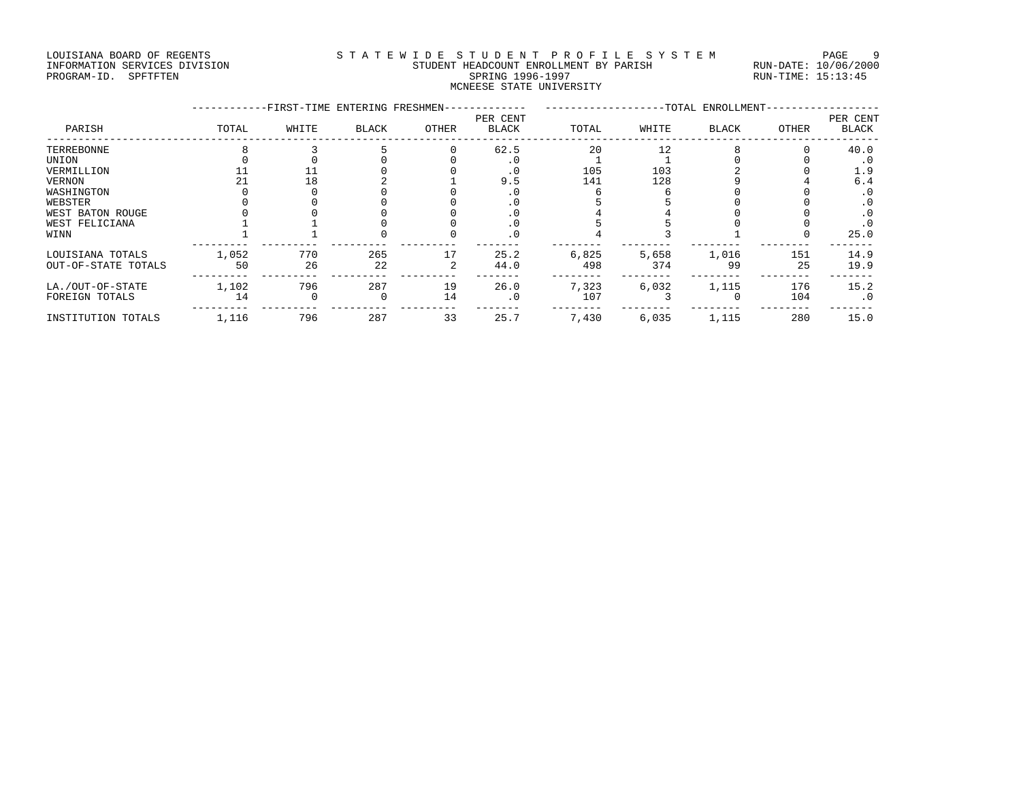### LOUISIANA BOARD OF REGENTS STA TEWIDE STUDENT PROFILE SYSTEM PAGE 9 INFORMATION SERVICES DIVISION STUDENT HEADCOUNT ENROLLMENT BY PARISH RUN-DATE: 10/06/2000 PROGRAM-ID. SPFTFTEN SARE SERING 1996-1997 SPRING 1996-1997 RUN-TIME: 15:13:45 MCNEESE STATE UNIVERSITY

|                     |       | -FIRST-TIME ENTERING FRESHMEN- |              |       |                          | -TOTAL ENROLLMENT- |       |              |       |                          |
|---------------------|-------|--------------------------------|--------------|-------|--------------------------|--------------------|-------|--------------|-------|--------------------------|
| PARISH              | TOTAL | WHITE                          | <b>BLACK</b> | OTHER | PER CENT<br><b>BLACK</b> | TOTAL              | WHITE | <b>BLACK</b> | OTHER | PER CENT<br><b>BLACK</b> |
| TERREBONNE          |       |                                |              |       | 62.5                     | 20                 | 12    |              |       | 40.0                     |
| UNION               |       |                                |              |       | . 0                      |                    |       |              |       | . 0                      |
| VERMILLION          |       |                                |              |       | $\cdot$ 0                | 105                | 103   |              |       | 1.9                      |
| <b>VERNON</b>       |       | 18                             |              |       | 9.5                      | 141                | 128   |              |       | 6.4                      |
| WASHINGTON          |       |                                |              |       | . 0                      |                    |       |              |       | . 0                      |
| WEBSTER             |       |                                |              |       | . 0                      |                    |       |              |       | . 0                      |
| WEST BATON ROUGE    |       |                                |              |       | . 0                      |                    |       |              |       | . 0                      |
| WEST FELICIANA      |       |                                |              |       | $\cdot$ 0                |                    |       |              |       | $\cdot$ 0                |
| WINN                |       |                                |              |       | $\cdot$ 0                |                    |       |              |       | 25.0                     |
| LOUISIANA TOTALS    | 1,052 | 770                            | 265          | 17    | 25.2                     | 6,825              | 5,658 | 1,016        | 151   | 14.9                     |
| OUT-OF-STATE TOTALS | 50    | 26                             | 22           |       | 44.0                     | 498                | 374   | 99           | 25    | 19.9                     |
| LA./OUT-OF-STATE    | 1,102 | 796                            | 287          | 19    | 26.0                     | 7,323              | 6,032 | 1,115        | 176   | 15.2                     |
| FOREIGN TOTALS      | 14    |                                | $\Omega$     | 14    | $\cdot$ 0                | 107                |       |              | 104   | $\cdot$ 0                |
| INSTITUTION TOTALS  | 1,116 | 796                            | 287          | 33    | 25.7                     | 7,430              | 6,035 | 1,115        | 280   | 15.0                     |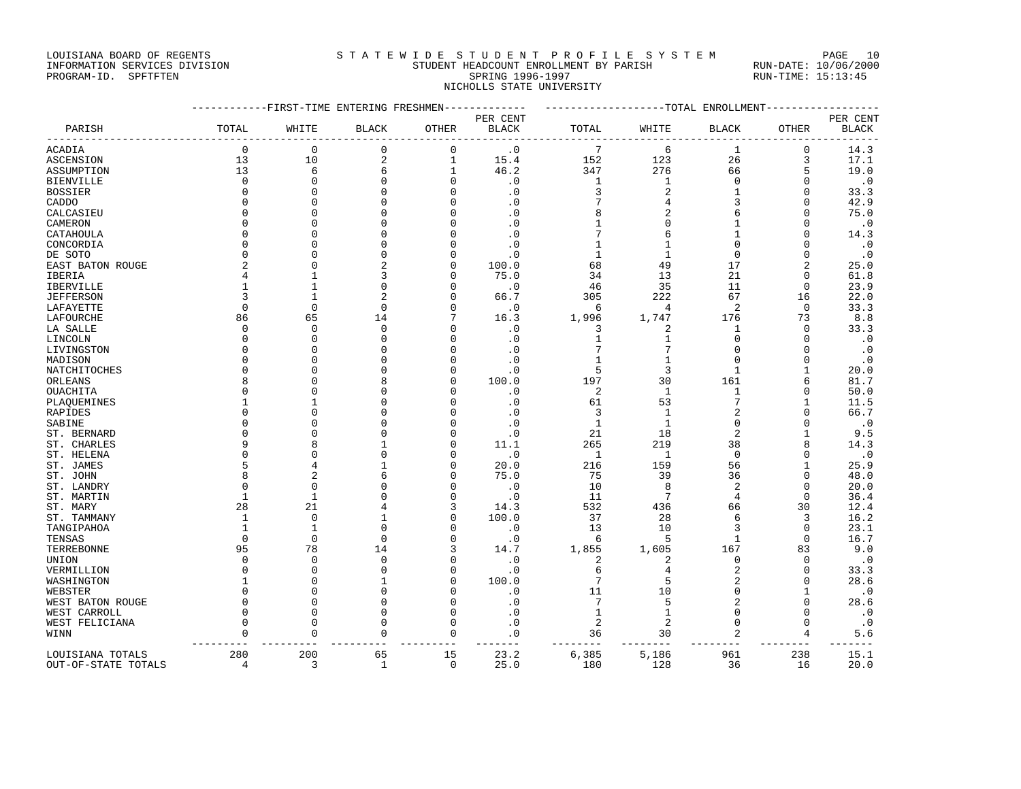### INFORMATION SERVICES DIVISION STUDENT HEADCOUNT ENROLLMENT BY PARISH RUN-DATE: 10/06/2000 PROGRAM-ID. SPFTFTEN SARE SERING 1996-1997 SPRING 1996-1997 RUN-TIME: 15:13:45 NICHOLLS STATE UNIVERSITY

LOUISIANA BOARD OF REGENTS STATEWIDE STUDENT PROFILE SYSTEM PAGE 10

|                                         |                       | -------FIRST-TIME ENTERING FRESHMEN- |                    | ----------        | -------------------TOTAL ENROLLMENT |                |                |                |              |              |
|-----------------------------------------|-----------------------|--------------------------------------|--------------------|-------------------|-------------------------------------|----------------|----------------|----------------|--------------|--------------|
|                                         |                       |                                      |                    |                   | PER CENT                            |                |                |                |              | PER CENT     |
| PARISH                                  | TOTAL                 | WHITE                                | <b>BLACK</b>       | OTHER             | <b>BLACK</b>                        | TOTAL          | WHITE          | <b>BLACK</b>   | OTHER        | <b>BLACK</b> |
| ACADIA                                  | $\Omega$              | 0                                    | 0                  | 0                 | $\cdot$ 0                           | 7              | 6              | 1              | 0            | 14.3         |
| <b>ASCENSION</b>                        | 13                    | 10                                   | $\overline{2}$     | $\mathbf{1}$      | 15.4                                | 152            | 123            | 26             | 3            | 17.1         |
| ASSUMPTION                              | 13                    | 6                                    | 6                  | $\mathbf{1}$      | 46.2                                | 347            | 276            | 66             | 5            | 19.0         |
| <b>BIENVILLE</b>                        | $\Omega$              | $\Omega$                             | $\Omega$           | $\mathbf 0$       | $\cdot$ 0                           | $\mathbf{1}$   | $\mathbf 1$    | $\mathbf 0$    | $\Omega$     | $\cdot$ 0    |
| <b>BOSSIER</b>                          | $\Omega$              | $\Omega$                             |                    | $\Omega$          | $\cdot$ 0                           | 3              | $\overline{c}$ | 1              | $\mathbf 0$  | 33.3         |
| CADDO                                   | $\cap$                | $\Omega$                             |                    | $\cap$            | $\cdot$ 0                           |                | 4              | 3              | $\Omega$     | 42.9         |
| CALCASIEU                               |                       | $\Omega$                             |                    | $\cap$            | $\cdot$ 0                           | 8              | $\overline{2}$ | 6              | $\Omega$     | 75.0         |
| CAMERON                                 |                       | $\Omega$                             |                    | U                 | $\cdot$ 0                           |                | $\Omega$       |                | $\Omega$     | $\cdot$ 0    |
| CATAHOULA                               | Λ                     | $\Omega$                             |                    | O                 | $\cdot$ 0                           |                | 6              |                | $\Omega$     | 14.3         |
| CONCORDIA                               | n                     | $\cap$                               |                    | ∩                 | $\cdot$ 0                           |                | 1              |                | U            | $\cdot$ 0    |
| DE SOTO                                 |                       | $\cap$                               |                    | $\Omega$          | $\cdot$ 0                           | 1              | $\mathbf 1$    | $\Omega$       | $\Omega$     | $\cdot$ 0    |
| EAST BATON ROUGE                        |                       | $\Omega$                             |                    | $\Omega$          | 100.0                               | 68             | 49             | 17             | 2            | 25.0         |
| IBERIA                                  |                       | $\mathbf{1}$                         |                    | $\Omega$          | 75.0                                | 34             | 13             | 21             | $\Omega$     | 61.8         |
|                                         |                       | 1                                    |                    | 0                 | $\cdot$ 0                           | 46             | 35             | 11             | 0            | 23.9         |
| IBERVILLE                               |                       | 1                                    |                    | U                 |                                     | 305            |                | 67             | 16           |              |
| <b>JEFFERSON</b>                        |                       |                                      |                    |                   | 66.7                                |                | 222            |                |              | 22.0         |
| LAFAYETTE                               | $\Omega$              | $\Omega$                             | U                  | $\Omega$          | $\cdot$ 0                           | 6              | $\overline{4}$ | $\overline{2}$ | $\mathbf 0$  | 33.3         |
| LAFOURCHE                               | 86                    | 65                                   | 14                 |                   | 16.3                                | 1,996          | 1,747          | 176            | 73           | 8.8          |
| LA SALLE                                | $\Omega$              | $\Omega$                             | $\Omega$           | $\Omega$          | $\cdot$ 0                           | 3              | $\overline{c}$ | -1             | $\mathbf 0$  | 33.3         |
| LINCOLN                                 | $\cap$                | $\Omega$                             | Λ                  | U                 | $\cdot$ 0                           | 1              | 1              | $\Omega$       | $\Omega$     | $\cdot$ 0    |
| LIVINGSTON                              |                       | $\Omega$                             |                    | U                 | $\cdot$ 0                           |                | 7              | $\cap$         | $\Omega$     | $\cdot$ 0    |
| MADISON                                 |                       | $\Omega$                             |                    | O                 | $\cdot$ 0                           | 1              | 1              | $\Omega$       | $\Omega$     | $\cdot$ 0    |
| NATCHITOCHES                            |                       | $\Omega$                             |                    | $\Omega$          | $\cdot$ 0                           | 5              | 3              | -1             | 1            | 20.0         |
| ORLEANS                                 |                       | $\Omega$                             |                    | $\Omega$          | 100.0                               | 197            | 30             | 161            | 6            | 81.7         |
| OUACHITA                                |                       | $\Omega$                             |                    | U                 | $\cdot$ 0                           | $\overline{2}$ | $\mathbf{1}$   | $\mathbf{1}$   | $\Omega$     | 50.0         |
| PLAQUEMINES                             |                       |                                      |                    |                   | $\cdot$ 0                           | 61             | 53             | 7              | 1            | 11.5         |
| RAPIDES                                 | Λ                     | $\Omega$                             |                    | O                 | $\cdot$ 0                           | 3              | 1              | 2              | $\Omega$     | 66.7         |
| SABINE                                  |                       | $\Omega$                             |                    | O                 | $\cdot$ 0                           | $\mathbf{1}$   | $\mathbf{1}$   | $\Omega$       | $\Omega$     | $\cdot$ 0    |
| ST. BERNARD                             |                       | $\Omega$                             |                    | U                 | $\cdot$ 0                           | 21             | 18             | $\overline{c}$ | 1            | 9.5          |
| ST. CHARLES                             | Q                     | 8                                    |                    | $\cap$            | 11.1                                | 265            | 219            | 38             | 8            | 14.3         |
| ST. HELENA                              |                       | $\Omega$                             | C                  | $\Omega$          | $\cdot$ 0                           | 1              | 1              | $\mathbf 0$    | $\Omega$     | $\cdot$ 0    |
| ST. JAMES                               |                       | 4                                    |                    | $\Omega$          | 20.0                                | 216            | 159            | 56             | 1            | 25.9         |
| ST. JOHN                                |                       | $\overline{2}$                       |                    | $\Omega$          | 75.0                                | 75             | 39             | 36             | $\Omega$     | 48.0         |
| ST. LANDRY                              |                       | $\Omega$                             |                    | $\Omega$          | $\cdot$ 0                           | 10             | 8              | $\overline{c}$ | $\Omega$     | 20.0         |
| ST. MARTIN                              | -1                    | $\mathbf{1}$                         |                    | $\Omega$          | $\cdot$ 0                           | 11             | 7              | 4              | $\Omega$     | 36.4         |
| ST. MARY                                | 28                    | 21                                   |                    | 3                 | 14.3                                | 532            | 436            | 66             | 30           | 12.4         |
| ST. TAMMANY                             | -1                    | $\mathbf{0}$                         |                    | $\Omega$          | 100.0                               | 37             | 28             | 6              | 3            | 16.2         |
| TANGIPAHOA                              |                       | $\mathbf{1}$                         |                    | O                 | $\cdot$ 0                           | 13             | 10             | 3              | $\Omega$     | 23.1         |
| TENSAS                                  | $\Omega$              | $\Omega$                             | $\cap$             | $\cap$            | $\cdot$ 0                           | 6              | 5              | 1              | $\Omega$     | 16.7         |
| TERREBONNE                              | 95                    | 78                                   | 14                 | 3                 | 14.7                                | 1,855          | 1,605          | 167            | 83           | 9.0          |
| UNION                                   | $\cap$                | $\mathbf{0}$                         | $\Omega$           | $\Omega$          | $\cdot$ 0                           | $\overline{c}$ | $\overline{c}$ | $\Omega$       | $\Omega$     | $\cdot$ 0    |
| VERMILLION                              | $\Omega$              | $\Omega$                             |                    | $\Omega$          | $\cdot$ 0                           | 6              | $\overline{4}$ | $\overline{2}$ | $\mathbf{0}$ | 33.3         |
| WASHINGTON                              |                       | $\Omega$                             |                    | $\Omega$          | 100.0                               | 7              | 5              | $\overline{c}$ | $\Omega$     | 28.6         |
| WEBSTER                                 | $\Omega$              | $\Omega$                             |                    | $\Omega$          | $\cdot$ 0                           | 11             | 10             | $\Omega$       | 1            | $\cdot$ 0    |
| WEST BATON ROUGE                        | n                     | $\Omega$                             |                    | $\Omega$          | $\cdot$ 0                           | 7              | 5              | 2              | $\Omega$     | 28.6         |
| WEST CARROLL                            | $\Omega$              | $\Omega$                             |                    | $\Omega$          | $\cdot$ 0                           | $\mathbf{1}$   | $\mathbf 1$    | $\Omega$       | $\Omega$     | $\cdot$ 0    |
| WEST FELICIANA                          | $\cap$                | $\Omega$                             | U                  | $\Omega$          | $\cdot$ 0                           | 2              | $\overline{2}$ | $\Omega$       | $\Omega$     | $\cdot$ 0    |
| WINN                                    | $\Omega$              | $\Omega$                             | $\Omega$           | $\mathbf 0$       | $\cdot$ 0                           | 36             | 30             | 2              | 4            | 5.6          |
|                                         |                       |                                      |                    |                   |                                     |                |                |                |              |              |
| LOUISIANA TOTALS<br>OUT-OF-STATE TOTALS | 280<br>$\overline{4}$ | 200<br>3                             | 65<br>$\mathbf{1}$ | 15<br>$\mathbf 0$ | 23.2<br>25.0                        | 6,385<br>180   | 5,186<br>128   | 961<br>36      | 238<br>16    | 15.1<br>20.0 |
|                                         |                       |                                      |                    |                   |                                     |                |                |                |              |              |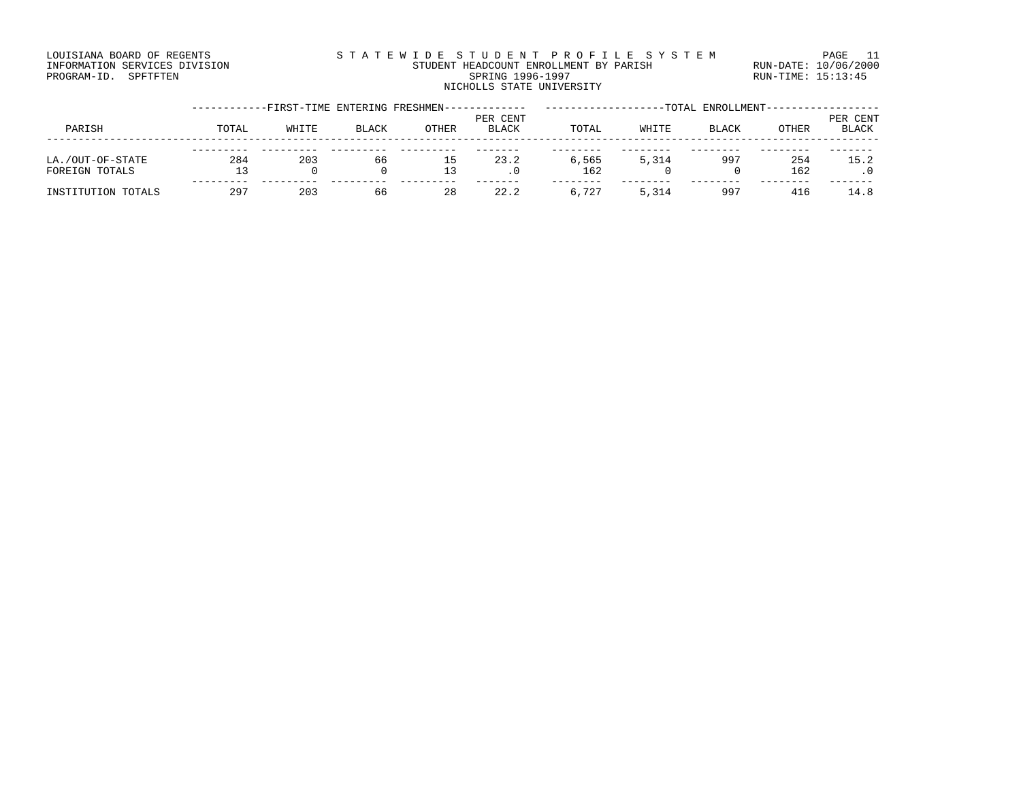### LOUISIANA BOARD OF REGENTS S T A T E W I D E S T U D E N T P R O F I L E S Y S T E M PAGE 11 INFORMATION SERVICES DIVISION STUDENT HEADCOUNT ENROLLMENT BY PARISH RUN-DATE: 10/06/2000 PROGRAM-ID. SPFTFTEN SARE SERING 1996-1997 SPRING 1996-1997 RUN-TIME: 15:13:45 NICHOLLS STATE UNIVERSITY

|                                    |       | -FIRST-TIME ENTERING FRESHMEN- |       |          |                          |              |       | TOTAL ENROLLMENT- |              |                          |
|------------------------------------|-------|--------------------------------|-------|----------|--------------------------|--------------|-------|-------------------|--------------|--------------------------|
| PARISH                             | TOTAL | WHITE                          | BLACK | OTHER    | PER CENT<br><b>BLACK</b> | TOTAL        | WHITE | BLACK             | <b>OTHER</b> | PER CENT<br><b>BLACK</b> |
| LA./OUT-OF-STATE<br>FOREIGN TOTALS | 284   | 203<br>0                       | 66    | ΤP<br>13 | 23.2                     | 6,565<br>162 | 5,314 | 997               | 254<br>162   | 15.2                     |
| INSTITUTION TOTALS                 | 297   | 203                            | 66    | 28       | 22.2                     | 6,727        | 5,314 | 997               | 416          | 14.8                     |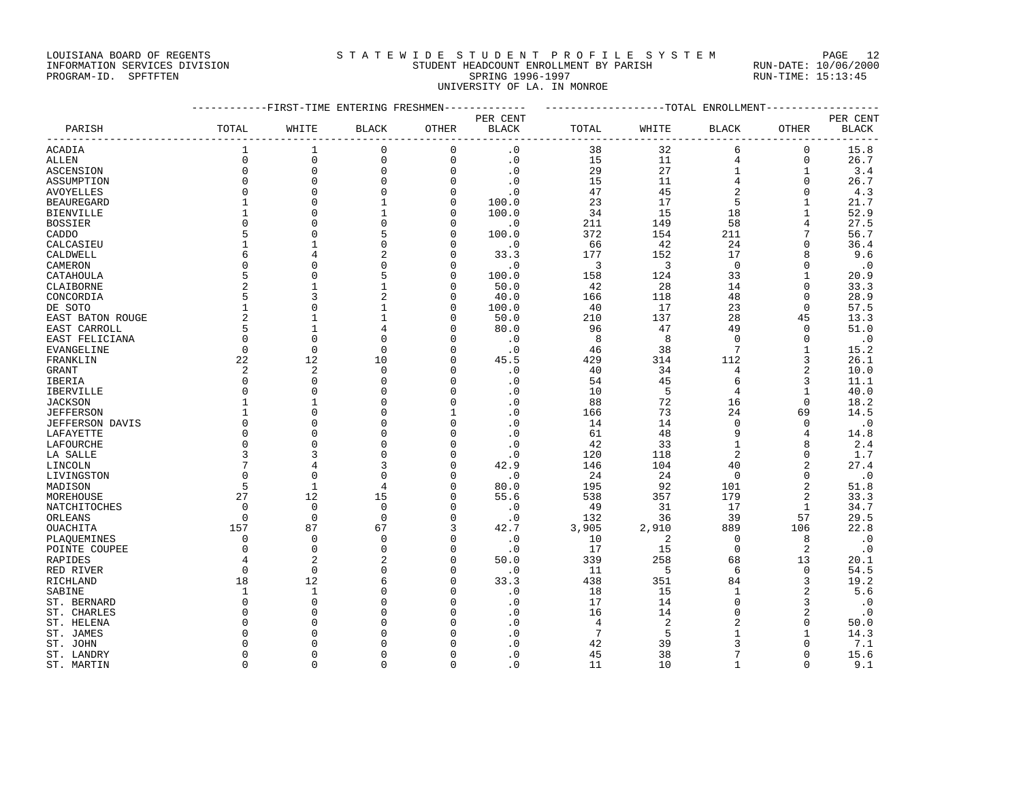### LOUISIANA BOARD OF REGENTS STATEWIDE STUDENT PROFILE SYSTEM PAGE 12 INFORMATION SERVICES DIVISION STUDENT HEADCOUNT ENROLLMENT BY PARISH RUN-DATE: 10/06/2000

PROGRAM-ID. SPFTFTEN SARE SERING 1996-1997 SPRING 1996-1997 RUN-TIME: 15:13:45 UNIVERSITY OF LA. IN MONROE

|                        | ---------FIRST-TIME ENTERING FRESHMEN------------- | -------------------TOTAL ENROLLMENT-- |                   |              |                   |                |       |                |                          |              |
|------------------------|----------------------------------------------------|---------------------------------------|-------------------|--------------|-------------------|----------------|-------|----------------|--------------------------|--------------|
|                        |                                                    |                                       |                   |              | PER CENT          |                |       |                |                          | PER CENT     |
| PARISH                 | TOTAL                                              | WHITE                                 | <b>BLACK</b>      | OTHER        | <b>BLACK</b>      | TOTAL          | WHITE | <b>BLACK</b>   | OTHER<br>--------------- | <b>BLACK</b> |
| ACADIA                 | $\mathbf{1}$                                       | 1                                     | $\mathbf 0$       | $\mathbf 0$  | $\cdot$ 0         | 38             | 32    | 6              | $\mathbf 0$              | 15.8         |
| <b>ALLEN</b>           | $\Omega$                                           | $\mathsf 0$                           | $\mathbf 0$       | $\mathbf 0$  | $\cdot$ 0         | 15             | 11    | $\overline{4}$ | $\mathbf 0$              | 26.7         |
| ASCENSION              | $\mathbf 0$                                        | $\mathsf 0$                           | $\mathbf 0$       | $\mathsf 0$  | $\cdot$ 0         | 29             | 27    | $\mathbf{1}$   | $\mathbf{1}$             | 3.4          |
| ASSUMPTION             | $\Omega$                                           | $\mathbf 0$                           | $\Omega$          | $\Omega$     | .0                | 15             | 11    | $\overline{4}$ | $\Omega$                 | 26.7         |
| AVOYELLES              | 0                                                  | $\mathbf 0$                           | $\mathbf 0$       | $\mathbf 0$  | $\cdot$ 0         | 47             | 45    | $\overline{2}$ | $\mathbf 0$              | 4.3          |
| <b>BEAUREGARD</b>      | $\mathbf{1}$                                       | $\mathbf 0$                           |                   | 0            | 100.0             | 23             | 17    | 5              | 1                        | 21.7         |
| <b>BIENVILLE</b>       | $\mathbf{1}$                                       | $\Omega$                              | $\mathbf{1}$      | $\Omega$     | 100.0             | 34             | 15    | 18             | $\mathbf{1}$             | 52.9         |
| <b>BOSSIER</b>         | $\Omega$                                           | $\Omega$                              | $\Omega$          | $\Omega$     | $\cdot$ 0         | 211            | 149   | 58             | $\overline{4}$           | 27.5         |
| CADDO                  | 5                                                  | $\mathbf 0$                           | 5                 | $\mathbf{0}$ | 100.0             | 372            | 154   | 211            | 7                        | 56.7         |
| CALCASIEU              | $\mathbf{1}$                                       | $\mathbf{1}$                          | $\mathbf 0$       | $\mathbf 0$  | $\cdot$ 0         | 66             | 42    | 24             | $\mathbf 0$              | 36.4         |
| CALDWELL               | 6                                                  | $\overline{4}$                        | 2                 | $\mathbf{0}$ | 33.3              | 177            | 152   | 17             | 8                        | 9.6          |
| CAMERON                | $\Omega$                                           | $\Omega$                              | $\Omega$          | $\Omega$     | $\cdot$ 0         | $\overline{3}$ | 3     | $\Omega$       | $\Omega$                 | $\cdot$ 0    |
|                        | 5                                                  | $\mathbf 0$                           |                   | $\Omega$     |                   |                |       | 33             | $\mathbf{1}$             |              |
| CATAHOULA              | $\overline{c}$                                     | $\mathbf{1}$                          | 5<br>$\mathbf{1}$ | $\mathbf{0}$ | 100.0             | 158            | 124   | 14             | $\Omega$                 | 20.9         |
| CLAIBORNE              |                                                    |                                       |                   |              | 50.0              | 42             | 28    |                |                          | 33.3         |
| CONCORDIA              | 5                                                  | 3                                     | 2                 | $\mathbf{0}$ | 40.0              | 166            | 118   | 48             | $\mathbf 0$              | 28.9         |
| DE SOTO                | $\mathbf{1}$                                       | $\Omega$                              |                   | $\mathbf{0}$ | 100.0             | 40             | 17    | 23             | $\Omega$                 | 57.5         |
| EAST BATON ROUGE       | $\overline{a}$                                     | $\mathbf{1}$                          |                   | $\mathbf{0}$ | 50.0              | 210            | 137   | 28             | 45                       | 13.3         |
| EAST CARROLL           | 5                                                  | $\mathbf{1}$                          |                   | $\Omega$     | 80.0              | 96             | 47    | 49             | $\mathbf 0$              | 51.0         |
| EAST FELICIANA         | $\mathbf 0$                                        | $\mathbf 0$                           | $\mathbf 0$       | 0            | $\cdot$ 0         | 8              | 8     | $\Omega$       | $\mathbf 0$              | $\cdot$ 0    |
| EVANGELINE             | $\Omega$                                           | $\Omega$                              | $\Omega$          | $\Omega$     | $\cdot$ 0         | 46             | 38    | 7              | $\mathbf{1}$             | 15.2         |
| FRANKLIN               | 22                                                 | 12                                    | 10                | $\Omega$     | 45.5              | 429            | 314   | 112            | 3                        | 26.1         |
| <b>GRANT</b>           | 2                                                  | $\overline{2}$                        | 0                 | 0            | $\cdot$ 0         | 40             | 34    | 4              | 2                        | 10.0         |
| IBERIA                 | $\Omega$                                           | $\mathbf 0$                           | $\Omega$          | $\Omega$     | $\cdot$ 0         | 54             | 45    | 6              | 3                        | 11.1         |
| <b>IBERVILLE</b>       | $\mathbf 0$                                        | $\mathbf 0$                           | $\Omega$          | $\mathbf 0$  | $\cdot$ 0         | 10             | 5     | $\overline{4}$ | $\mathbf{1}$             | 40.0         |
| <b>JACKSON</b>         | $\mathbf{1}$                                       | $\mathbf{1}$                          | ∩                 | $\Omega$     | $\cdot$ 0         | 88             | 72    | 16             | $\Omega$                 | 18.2         |
| <b>JEFFERSON</b>       | $\mathbf{1}$                                       | $\mathbf 0$                           | $\Omega$          | $\mathbf{1}$ | $\cdot$ 0         | 166            | 73    | 24             | 69                       | 14.5         |
| <b>JEFFERSON DAVIS</b> | $\Omega$                                           | $\Omega$                              | $\Omega$          | $\mathbf 0$  | $\cdot$ 0         | 14             | 14    | $\Omega$       | $\Omega$                 | $\cdot$ 0    |
| LAFAYETTE              | $\Omega$                                           | $\mathbf 0$                           | $\Omega$          | $\mathbf 0$  | $\cdot$ 0         | 61             | 48    | 9              | $\overline{4}$           | 14.8         |
| LAFOURCHE              | $\mathbf 0$                                        | $\mathbf 0$                           | 0                 | $\mathbf 0$  | $\cdot$ 0         | 42             | 33    | $\mathbf{1}$   | 8                        | 2.4          |
| LA SALLE               | 3                                                  | 3                                     | $\Omega$          | $\mathbf 0$  | $\cdot$ 0         | 120            | 118   | 2              | $\Omega$                 | 1.7          |
| LINCOLN                | 7                                                  | 4                                     | 3                 | $\mathbf 0$  | 42.9              | 146            | 104   | 40             | $\overline{2}$           | 27.4         |
| LIVINGSTON             | $\Omega$                                           | $\Omega$                              | $\Omega$          | $\Omega$     | $\cdot$ 0         | 24             | 24    | $\Omega$       | $\Omega$                 | $\cdot$ 0    |
| MADISON                | 5                                                  | $\mathbf{1}$                          | $\overline{4}$    | $\mathbf 0$  | 80.0              | 195            | 92    | 101            | $\overline{a}$           | 51.8         |
| MOREHOUSE              | 27                                                 | 12                                    | 15                | $\Omega$     | 55.6              | 538            | 357   | 179            | $\overline{2}$           | 33.3         |
| NATCHITOCHES           | $\Omega$                                           | $\overline{0}$                        | $\mathbf 0$       | $\mathbf 0$  | $\cdot$ 0         | 49             | 31    | 17             | $\mathbf{1}$             | 34.7         |
| ORLEANS                | $\overline{0}$                                     | $\overline{0}$                        | $\mathbf 0$       | $\mathbf 0$  | $\cdot$ 0         | 132            | 36    | 39             | 57                       | 29.5         |
| OUACHITA               | 157                                                | 87                                    | 67                | 3            | 42.7              | 3,905          | 2,910 | 889            | 106                      | 22.8         |
|                        | 0                                                  | $\overline{0}$                        | $\Omega$          | $\mathbf 0$  |                   |                | 2     | $\Omega$       | 8                        |              |
| PLAQUEMINES            | $\Omega$                                           | $\mathbf 0$                           | $\Omega$          | 0            | $\cdot$ 0         | 10<br>17       | 15    | $\mathbf 0$    | 2                        | $\cdot$ 0    |
| POINTE COUPEE          | 4                                                  | $\overline{2}$                        |                   | $\mathbf 0$  | $\cdot$ 0<br>50.0 |                | 258   |                |                          | $\cdot$ 0    |
| RAPIDES                |                                                    |                                       | 2                 |              |                   | 339            |       | 68             | 13                       | 20.1         |
| RED RIVER              | $\Omega$                                           | $\Omega$                              | $\Omega$          | $\Omega$     | $\cdot$ 0         | 11             | -5    | 6              | $\Omega$                 | 54.5         |
| RICHLAND               | 18                                                 | 12                                    | 6                 | $\mathbf 0$  | 33.3              | 438            | 351   | 84             | 3                        | 19.2         |
| SABINE                 | 1                                                  | 1                                     | $\Omega$          | $\mathbf 0$  | $\cdot$ 0         | 18             | 15    | $\mathbf{1}$   | 2                        | 5.6          |
| ST. BERNARD            | $\Omega$                                           | $\mathbf 0$                           | $\Omega$          | $\mathbf 0$  | $\cdot$ 0         | 17             | 14    | $\Omega$       | $\overline{3}$           | $\cdot$ 0    |
| ST. CHARLES            | $\mathbf 0$                                        | $\Omega$                              |                   | $\mathbf 0$  | $\cdot$ 0         | 16             | 14    | $\mathbf 0$    | 2                        | $\cdot$ 0    |
| ST. HELENA             | $\Omega$                                           | $\Omega$                              | $\Omega$          | $\Omega$     | $\cdot$ 0         | $\overline{4}$ | 2     | $\overline{2}$ | $\Omega$                 | 50.0         |
| ST. JAMES              | $\Omega$                                           | $\Omega$                              |                   | $\Omega$     | $\cdot$ 0         | 7              | 5     |                | $\mathbf{1}$             | 14.3         |
| ST. JOHN               | $\Omega$                                           | $\Omega$                              |                   | $\Omega$     | $\cdot$ 0         | 42             | 39    | ζ              | $\Omega$                 | 7.1          |
| ST. LANDRY             | $\Omega$                                           | $\Omega$                              |                   | $\Omega$     | $\cdot$ 0         | 45             | 38    |                | $\Omega$                 | 15.6         |
| ST. MARTIN             | $\Omega$                                           | $\Omega$                              | $\Omega$          | $\Omega$     | $\cdot$ 0         | 11             | 10    | 1              | $\Omega$                 | 9.1          |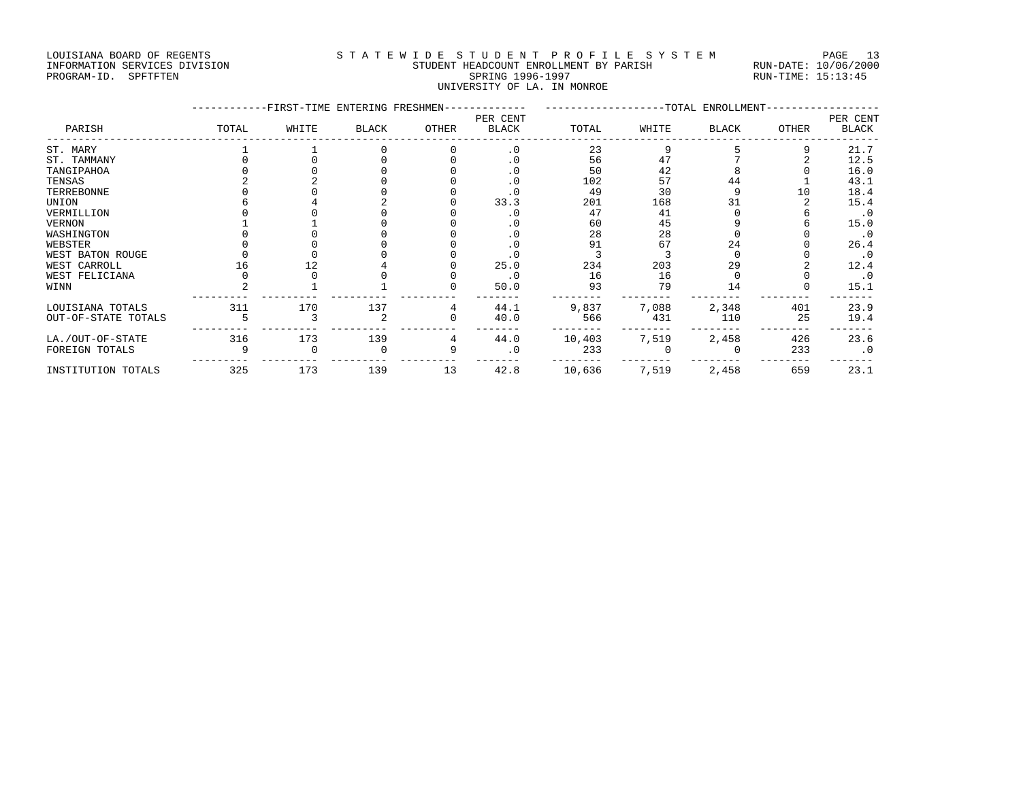### LOUISIANA BOARD OF REGENTS STATEWIDE STUDENT PROFILE SYSTEM PAGE 13 INFORMATION SERVICES DIVISION STUDENT HEADCOUNT ENROLLMENT BY PARISH RUN-DATE: 10/06/2000 PROGRAM-ID. SPFTFTEN SARE SERING 1996-1997 SPRING 1996-1997 RUN-TIME: 15:13:45 UNIVERSITY OF LA. IN MONROE

|                     | -FIRST-TIME ENTERING FRESHMEN- | --------------TOTAL ENROLLMENT- |              |       |                          |        |       |       |       |                   |
|---------------------|--------------------------------|---------------------------------|--------------|-------|--------------------------|--------|-------|-------|-------|-------------------|
| PARISH              | TOTAL                          | WHITE                           | <b>BLACK</b> | OTHER | PER CENT<br><b>BLACK</b> | TOTAL  | WHITE | BLACK | OTHER | PER CENT<br>BLACK |
| ST. MARY            |                                |                                 |              |       | $\cdot$ 0                | 23     | 9     |       | q     | 21.7              |
| ST. TAMMANY         |                                |                                 |              |       | $\cdot$ 0                | 56     | 47    |       |       | 12.5              |
| TANGIPAHOA          |                                |                                 |              |       | $\cdot$ 0                | 50     | 42    |       |       | 16.0              |
| TENSAS              |                                |                                 |              |       | $\cdot$ 0                | 102    | 57    | 44    |       | 43.1              |
| TERREBONNE          |                                |                                 |              |       | . 0                      | 49     | 30    |       | 10    | 18.4              |
| UNION               |                                |                                 |              |       | 33.3                     | 201    | 168   | 31    |       | 15.4              |
| VERMILLION          |                                |                                 |              |       | . 0                      | 47     | 41    |       |       | $\cdot$ 0         |
| VERNON              |                                |                                 |              |       | . 0                      | 60     | 45    |       |       | 15.0              |
| WASHINGTON          |                                |                                 |              |       | . 0                      | 28     | 28    |       |       | $\cdot$ 0         |
| WEBSTER             |                                |                                 |              |       | . 0                      | 91     | 67    | 24    |       | 26.4              |
| WEST BATON ROUGE    |                                |                                 |              |       | $\cdot$ 0                |        |       |       |       | $\cdot$ 0         |
| WEST CARROLL        | 16                             | 12                              |              |       | 25.0                     | 234    | 203   | 29    |       | 12.4              |
| WEST FELICIANA      |                                |                                 |              |       | $\cdot$ 0                | 16     | 16    |       |       | $\cdot$ 0         |
| WINN                |                                |                                 |              |       | 50.0                     | 93     | 79    | 14    |       | 15.1              |
| LOUISIANA TOTALS    | 311                            | 170                             | 137          | 4     | 44.1                     | 9,837  | 7,088 | 2,348 | 401   | 23.9              |
| OUT-OF-STATE TOTALS |                                |                                 |              | 0     | 40.0                     | 566    | 431   | 110   | 25    | 19.4              |
| LA./OUT-OF-STATE    | 316                            | 173                             | 139          | 4     | 44.0                     | 10,403 | 7,519 | 2,458 | 426   | 23.6              |
| FOREIGN TOTALS      | 9                              | $\mathbf 0$                     | 0            | 9     | $\cdot$ 0                | 233    |       |       | 233   | $\cdot$ 0         |
| INSTITUTION TOTALS  | 325                            | 173                             | 139          | 13    | 42.8                     | 10,636 | 7,519 | 2,458 | 659   | 23.1              |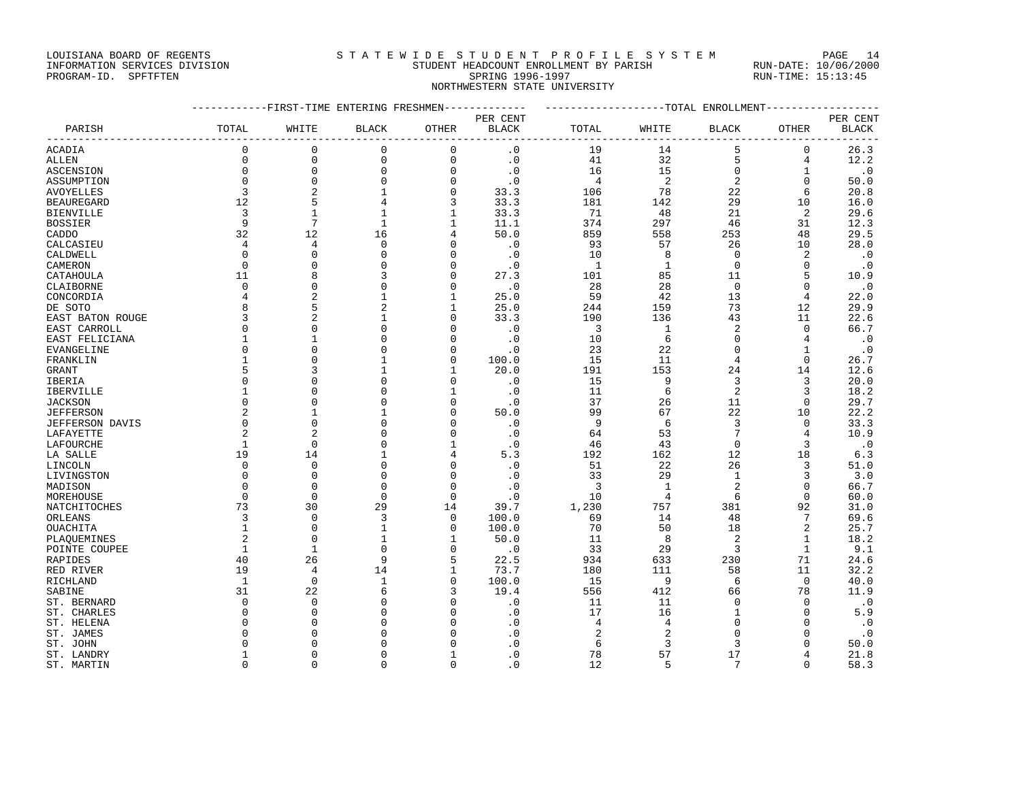# LOUISIANA BOARD OF REGENTS STATEWIDE STUDENT PROFILE SYSTEM PAGE 14

INFORMATION SERVICES DIVISION STUDENT HEADCOUNT ENROLLMENT BY PARISH RUN-DATE: 10/06/2000 PROGRAM-ID. SPFTFTEN SARE SERING 1996-1997 SPRING 1996-1997 RUN-TIME: 15:13:45 NORTHWESTERN STATE UNIVERSITY

|                        |                | ---------FIRST-TIME ENTERING FRESHMEN------------- |                | ------------------TOTAL ENROLLMENT----------------- |                        |                |                |                |                |              |
|------------------------|----------------|----------------------------------------------------|----------------|-----------------------------------------------------|------------------------|----------------|----------------|----------------|----------------|--------------|
|                        |                |                                                    |                |                                                     | PER CENT               |                |                |                |                | PER CENT     |
| PARISH                 | TOTAL          | WHITE                                              | <b>BLACK</b>   | OTHER                                               | $\operatorname{BLACK}$ | TOTAL          | WHITE          | <b>BLACK</b>   | OTHER          | <b>BLACK</b> |
| ACADIA                 | $\mathbf 0$    | $\Omega$                                           | $\mathbf 0$    | 0                                                   | $\cdot$ 0              | 19             | 14             | 5              | 0              | 26.3         |
| ALLEN                  | $\mathbf 0$    | $\Omega$                                           | $\mathbf 0$    | $\mathbf 0$                                         | $\cdot$ 0              | 41             | 32             | 5              | 4              | 12.2         |
| ASCENSION              | $\mathbf 0$    | $\mathbf{0}$                                       | $\mathbf 0$    | 0                                                   | $\cdot$ 0              | 16             | 15             | $\mathbf 0$    | 1              | $\cdot$ 0    |
| ASSUMPTION             | $\mathbf 0$    | $\Omega$                                           | $\mathbf 0$    | $\mathbf 0$                                         | $\cdot$ 0              | $\overline{4}$ | $\overline{2}$ | $\overline{2}$ | $\Omega$       | 50.0         |
| <b>AVOYELLES</b>       | 3              | $\overline{a}$                                     | $\mathbf{1}$   | $\mathbf{0}$                                        | 33.3                   | 106            | 78             | 22             | 6              | 20.8         |
| <b>BEAUREGARD</b>      | 12             | 5                                                  | 4              | 3                                                   | 33.3                   | 181            | 142            | 29             | 10             | 16.0         |
| <b>BIENVILLE</b>       | 3              |                                                    | $\mathbf{1}$   |                                                     | 33.3                   | 71             | 48             | 21             | 2              | 29.6         |
| BOSSIER                | 9              | 7                                                  | $\mathbf{1}$   |                                                     | 11.1                   | 374            | 297            | 46             | 31             | 12.3         |
| CADDO                  | 32             | 12                                                 | 16             |                                                     | 50.0                   | 859            | 558            | 253            | 48             | 29.5         |
| CALCASIEU              | $\overline{4}$ | 4                                                  | $\Omega$       | O                                                   | $\cdot$ 0              | 93             | 57             | 26             | 10             | 28.0         |
| CALDWELL               | $\Omega$       | $\Omega$                                           | $\Omega$       | $\Omega$                                            | $\cdot$ 0              | 10             | 8              | $\Omega$       | $\overline{c}$ | $\cdot$ 0    |
| CAMERON                | $\mathbf 0$    | $\Omega$                                           | $\mathbf 0$    | 0                                                   | $\cdot$ 0              | $\mathbf{1}$   | $\mathbf{1}$   | $\mathbf 0$    | $\mathbf 0$    | $\cdot$ 0    |
| CATAHOULA              | 11             | 8                                                  | 3              | 0                                                   | 27.3                   | 101            | 85             | 11             | 5              | 10.9         |
| CLAIBORNE              | $\mathbf 0$    | $\Omega$                                           | $\mathbf 0$    | $\Omega$                                            | $\cdot$ 0              | 28             | 28             | $\overline{0}$ | $\Omega$       | $\cdot$ 0    |
| CONCORDIA              | 4              | 2                                                  | $\mathbf{1}$   |                                                     | 25.0                   | 59             | 42             | 13             | 4              | 22.0         |
|                        | 8              | 5                                                  | $\overline{2}$ |                                                     | 25.0                   | 244            | 159            | 73             | 12             | 29.9         |
| DE SOTO                | 3              | 2                                                  | $\mathbf{1}$   | $\Omega$                                            | 33.3                   | 190            | 136            | 43             | 11             | 22.6         |
| EAST BATON ROUGE       | $\Omega$       | $\Omega$                                           | 0              | O                                                   | $\cdot$ 0              | 3              | 1              | $\overline{2}$ | $\Omega$       | 66.7         |
| EAST CARROLL           |                |                                                    | $\Omega$       | $\Omega$                                            |                        |                | 6              | $\mathbf 0$    |                |              |
| EAST FELICIANA         | $\Omega$       | $\Omega$                                           | $\Omega$       | $\Omega$                                            | $\cdot$ 0              | 10<br>23       |                |                | 4              | $\cdot$ 0    |
| EVANGELINE             |                |                                                    |                |                                                     | $\cdot$ 0              |                | 22             | $\mathbf 0$    | $\mathbf{1}$   | $\cdot$ 0    |
| FRANKLIN               |                | $\Omega$                                           | $\mathbf{1}$   | 0                                                   | 100.0                  | 15             | 11             | 4              | $\mathbf{0}$   | 26.7         |
| GRANT                  | 5              | 3                                                  | $\mathbf{1}$   | 1                                                   | 20.0                   | 191            | 153            | 24             | 14             | 12.6         |
| IBERIA                 | $\Omega$       | $\Omega$                                           | $\mathbf 0$    | $\Omega$                                            | $\cdot$ 0              | 15             | 9              | 3              | 3              | 20.0         |
| IBERVILLE              |                | $\Omega$                                           | $\mathbf 0$    |                                                     | $\cdot$ 0              | 11             | 6              | $\overline{2}$ | 3              | 18.2         |
| <b>JACKSON</b>         | $\Omega$       | $\Omega$                                           | $\mathbf 0$    | 0                                                   | . 0                    | 37             | 26             | 11             | $\Omega$       | 29.7         |
| <b>JEFFERSON</b>       | 2              |                                                    | 1              | O                                                   | 50.0                   | 99             | 67             | 22             | 10             | 22.2         |
| <b>JEFFERSON DAVIS</b> | $\Omega$       | $\Omega$                                           | $\mathbf 0$    | O                                                   | $\cdot$ 0              | 9              | 6              | 3              | $\Omega$       | 33.3         |
| LAFAYETTE              |                | $\overline{2}$                                     | $\Omega$       | U                                                   | $\cdot$ 0              | 64             | 53             | 7              | 4              | 10.9         |
| LAFOURCHE              | $\mathbf{1}$   | $\Omega$                                           | $\Omega$       | $\mathbf{1}$                                        | $\cdot$ 0              | 46             | 43             | $\Omega$       | 3              | $\cdot$ 0    |
| LA SALLE               | 19             | 14                                                 | $\mathbf{1}$   | 4                                                   | 5.3                    | 192            | 162            | 12             | 18             | 6.3          |
| LINCOLN                | $\mathbf 0$    | $\Omega$                                           | $\Omega$       | $\Omega$                                            | $\cdot$ 0              | 51             | 22             | 26             | 3              | 51.0         |
| LIVINGSTON             | $\Omega$       | $\Omega$                                           | $\mathbf 0$    | $\Omega$                                            | $\cdot$ 0              | 33             | 29             | $\mathbf 1$    | 3              | 3.0          |
| MADISON                | $\Omega$       | $\Omega$                                           | $\mathbf 0$    | $\Omega$                                            | $\cdot$ 0              | 3              | $\mathbf{1}$   | $\overline{2}$ | $\Omega$       | 66.7         |
| MOREHOUSE              | $\Omega$       | $\Omega$                                           | $\Omega$       | $\mathbf{0}$                                        | $\cdot$ 0              | 10             | 4              | 6              | $\mathbf 0$    | 60.0         |
| NATCHITOCHES           | 73             | 30                                                 | 29             | 14                                                  | 39.7                   | 1,230          | 757            | 381            | 92             | 31.0         |
| ORLEANS                | 3              | $\Omega$                                           | 3              | 0                                                   | 100.0                  | 69             | 14             | 48             | 7              | 69.6         |
| OUACHITA               | 1              | $\Omega$                                           | $\mathbf{1}$   | 0                                                   | 100.0                  | 70             | 50             | 18             | 2              | 25.7         |
| PLAOUEMINES            | $\overline{c}$ | $\Omega$                                           | 1              | $\mathbf{1}$                                        | 50.0                   | 11             | 8              | $\overline{2}$ | $\mathbf{1}$   | 18.2         |
| POINTE COUPEE          | 1              | 1                                                  | $\mathbf 0$    | 0                                                   | $\cdot$ 0              | 33             | 29             | 3              | $\mathbf{1}$   | 9.1          |
| RAPIDES                | 40             | 26                                                 | 9              | 5                                                   | 22.5                   | 934            | 633            | 230            | 71             | 24.6         |
| RED RIVER              | 19             | $\overline{4}$                                     | 14             | $\mathbf{1}$                                        | 73.7                   | 180            | 111            | 58             | 11             | 32.2         |
| RICHLAND               | $\mathbf{1}$   | $\mathbf 0$                                        | $\mathbf{1}$   | $\Omega$                                            | 100.0                  | 15             | 9              | 6              | $\mathbf 0$    | 40.0         |
| SABINE                 | 31             | 22                                                 | 6              | ζ                                                   | 19.4                   | 556            | 412            | 66             | 78             | 11.9         |
| ST. BERNARD            | $\Omega$       | $\Omega$                                           | $\Omega$       | O                                                   | $\cdot$ 0              | 11             | 11             | 0              | $\Omega$       | $\cdot$ 0    |
| ST. CHARLES            | $\Omega$       | $\cap$                                             | $\Omega$       | U                                                   | $\cdot$ 0              | 17             | 16             | 1              | $\Omega$       | 5.9          |
| ST. HELENA             | C              | O                                                  | $\Omega$       |                                                     | $\cdot$ 0              | $\overline{4}$ | 4              | $\Omega$       | $\Omega$       | $\cdot$ 0    |
| ST. JAMES              | C              | O                                                  | $\Omega$       |                                                     | $\cdot$ 0              | 2              | $\overline{2}$ | $\Omega$       | <sup>0</sup>   | $\cdot$ 0    |
| ST. JOHN               | $\Omega$       | O                                                  | 0              |                                                     | $\cdot$ 0              | 6              | 3              | 3              | $\Omega$       | 50.0         |
| ST. LANDRY             | $\mathbf{1}$   | $\Omega$                                           | $\Omega$       | $\mathbf{1}$                                        | $\cdot$ 0              | 78             | 57             | 17             | 4              | 21.8         |

ST. MARTIN 0 0 0 0 .0 12 5 7 0 58.3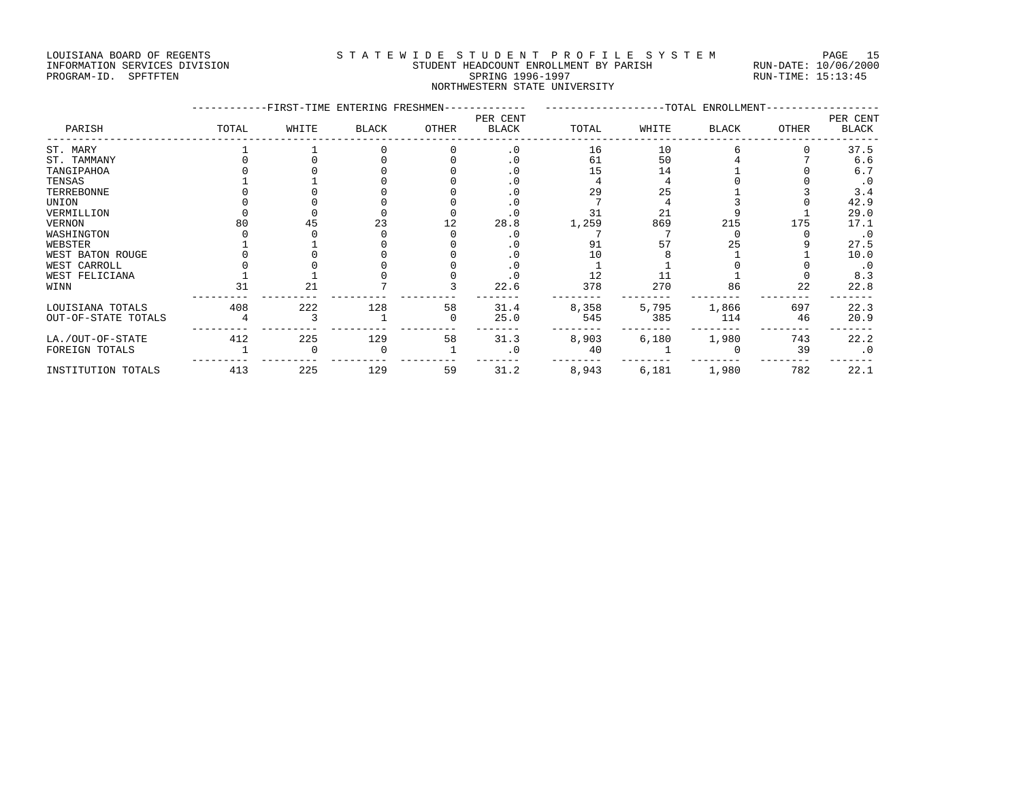### LOUISIANA BOARD OF REGENTS S T A T E W I D E S T U D E N T P R O F I L E S Y S T E M PAGE 15 INFORMATION SERVICES DIVISION STUDENT HEADCOUNT ENROLLMENT BY PARISH RUN-DATE: 10/06/2000 PROGRAM-ID. SPFTFTEN SARE SERING 1996-1997 SPRING 1996-1997 RUN-TIME: 15:13:45

NORTHWESTERN STATE UNIVERSITY

|                     |       | -FIRST-TIME ENTERING FRESHMEN- |              |       |                          |       | -TOTAL ENROLLMENT- | PER CENT     |       |              |
|---------------------|-------|--------------------------------|--------------|-------|--------------------------|-------|--------------------|--------------|-------|--------------|
| PARISH              | TOTAL | WHITE                          | <b>BLACK</b> | OTHER | PER CENT<br><b>BLACK</b> | TOTAL | WHITE              | <b>BLACK</b> | OTHER | <b>BLACK</b> |
| ST. MARY            |       |                                |              |       | $\cdot$ 0                | 16    | 10                 |              |       | 37.5         |
| ST. TAMMANY         |       |                                |              |       | . 0                      | 61    | 50                 |              |       | 6.6          |
| TANGIPAHOA          |       |                                |              |       | . 0                      | 15    | 14                 |              |       | 6.7          |
| TENSAS              |       |                                |              |       | . 0                      |       |                    |              |       | $\cdot$ 0    |
| TERREBONNE          |       |                                |              |       |                          | 29    | 25                 |              |       | 3.4          |
| UNION               |       |                                |              |       | . 0                      |       |                    |              |       | 42.9         |
| VERMILLION          |       |                                |              |       | . 0                      | 31    | 21                 |              |       | 29.0         |
| VERNON              |       | 45                             | 23           | 12    | 28.8                     | 1,259 | 869                | 215          | 175   | 17.1         |
| WASHINGTON          |       |                                |              |       | $\cdot$ 0                |       |                    |              |       | $\cdot$ 0    |
| WEBSTER             |       |                                |              |       |                          | 91    | 57                 | 25           |       | 27.5         |
| WEST BATON ROUGE    |       |                                |              |       |                          | 10    |                    |              |       | 10.0         |
| WEST CARROLL        |       |                                |              |       |                          |       |                    |              |       | $\cdot$ 0    |
| WEST FELICIANA      |       |                                |              |       | . 0                      | 12    |                    |              |       | 8.3          |
| WINN                | 31    | 21                             |              |       | 22.6                     | 378   | 270                | 86           | 22    | 22.8         |
| LOUISIANA TOTALS    | 408   | 222                            | 128          | 58    | 31.4                     | 8,358 | 5,795              | 1,866        | 697   | 22.3         |
| OUT-OF-STATE TOTALS |       |                                |              | 0     | 25.0                     | 545   | 385                | 114          | 46    | 20.9         |
| LA./OUT-OF-STATE    | 412   | 225                            | 129          | 58    | 31.3                     | 8,903 | 6,180              | 1,980        | 743   | 22.2         |
| FOREIGN TOTALS      |       |                                |              |       | $\cdot$ 0                | 40    |                    |              | 39    | $\cdot$ 0    |
| INSTITUTION TOTALS  | 413   | 225                            | 129          | 59    | 31.2                     | 8,943 | 6,181              | 1,980        | 782   | 22.1         |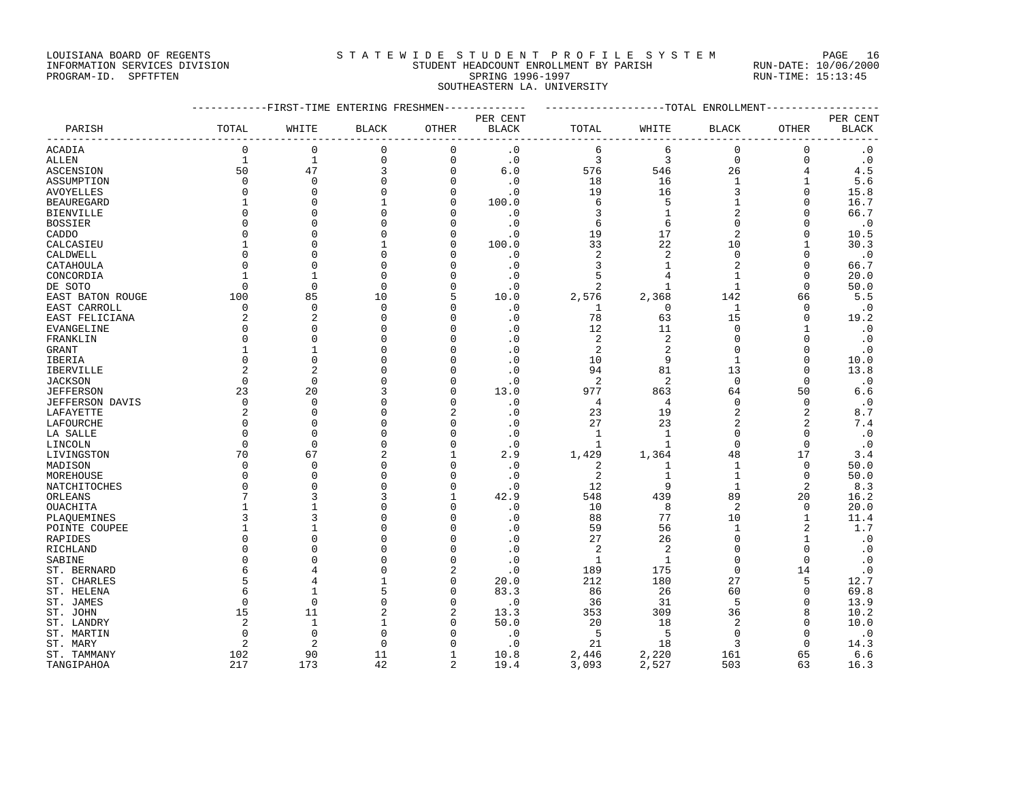### LOUISIANA BOARD OF REGENTS STATEWIDE STUDENT PROFILE SYSTEM PAGE 16 INFORMATION SERVICES DIVISION STUDENT HEADCOUNT ENROLLMENT BY PARISH RUN-DATE: 10/06/2000 PROGRAM-ID. SPFTFTEN SARE SERING 1996-1997 SPRING 1996-1997 RUN-TIME: 15:13:45

SOUTHEASTERN LA. UNIVERSITY

| ------------FIRST-TIME ENTERING FRESHMEN-------------<br>------------------TOTAL ENROLLMENT-------------<br>PER CENT<br>TOTAL<br><b>BLACK</b><br>OTHER<br>BLACK<br>TOTAL<br>WHITE<br><b>BLACK</b><br>OTHER<br>PARISH<br>WHITE<br>$\mathbf 0$<br>$\mathbf{0}$<br>$\mathbf 0$<br>$\mathbf 0$<br>$\cdot$ 0<br>6<br>6<br>$\mathbf 0$<br>$\mathbf 0$<br>ACADIA<br>$\mathbf 0$<br>$\mathbf{1}$<br>1<br>$\cdot$ 0<br>3<br>3<br>$\overline{0}$<br>$\mathbf 0$<br>0<br>ALLEN<br>50<br>47<br>3<br>$\mathbf 0$<br>6.0<br>576<br>26<br>4<br>546<br>ASCENSION<br>$\mathbf 0$<br>$\mathbf 0$<br>$\mathbf 0$<br>$\cdot$ 0<br>18<br>16<br>$\mathbf{1}$<br>$\mathbf{1}$<br>ASSUMPTION<br>0<br>3<br>$\Omega$<br>$\Omega$<br>$\cdot$ 0<br>19<br>16<br>$\Omega$<br>AVOYELLES<br>$\Omega$<br>$\Omega$<br>$\mathbf{1}$<br>100.0<br>5<br>BEAUREGARD<br>$\Omega$<br>$\Omega$<br>6<br>1<br>$\Omega$<br>∩ | PER CENT<br><b>BLACK</b><br>$\cdot$ 0<br>$\cdot$ 0<br>4.5<br>5.6<br>15.8<br>16.7<br>66.7<br>$\cdot$ 0<br>10.5<br>30.3<br>$\cdot$ 0<br>66.7 |
|---------------------------------------------------------------------------------------------------------------------------------------------------------------------------------------------------------------------------------------------------------------------------------------------------------------------------------------------------------------------------------------------------------------------------------------------------------------------------------------------------------------------------------------------------------------------------------------------------------------------------------------------------------------------------------------------------------------------------------------------------------------------------------------------------------------------------------------------------------------------------------|--------------------------------------------------------------------------------------------------------------------------------------------|
|                                                                                                                                                                                                                                                                                                                                                                                                                                                                                                                                                                                                                                                                                                                                                                                                                                                                                 |                                                                                                                                            |
|                                                                                                                                                                                                                                                                                                                                                                                                                                                                                                                                                                                                                                                                                                                                                                                                                                                                                 |                                                                                                                                            |
|                                                                                                                                                                                                                                                                                                                                                                                                                                                                                                                                                                                                                                                                                                                                                                                                                                                                                 |                                                                                                                                            |
|                                                                                                                                                                                                                                                                                                                                                                                                                                                                                                                                                                                                                                                                                                                                                                                                                                                                                 |                                                                                                                                            |
|                                                                                                                                                                                                                                                                                                                                                                                                                                                                                                                                                                                                                                                                                                                                                                                                                                                                                 |                                                                                                                                            |
|                                                                                                                                                                                                                                                                                                                                                                                                                                                                                                                                                                                                                                                                                                                                                                                                                                                                                 |                                                                                                                                            |
|                                                                                                                                                                                                                                                                                                                                                                                                                                                                                                                                                                                                                                                                                                                                                                                                                                                                                 |                                                                                                                                            |
|                                                                                                                                                                                                                                                                                                                                                                                                                                                                                                                                                                                                                                                                                                                                                                                                                                                                                 |                                                                                                                                            |
| $\mathbf 0$<br>$\cdot$ 0<br>1<br>2<br>BIENVILLE<br>3<br>0<br>0<br>$\Omega$                                                                                                                                                                                                                                                                                                                                                                                                                                                                                                                                                                                                                                                                                                                                                                                                      |                                                                                                                                            |
| $\cdot$ 0<br>$\Omega$<br>$\Omega$<br>6<br>$\Omega$<br>$\Omega$<br>BOSSIER<br>$\Omega$<br>6                                                                                                                                                                                                                                                                                                                                                                                                                                                                                                                                                                                                                                                                                                                                                                                      |                                                                                                                                            |
| 19<br>17<br>$\overline{c}$<br>$\Omega$<br>$\Omega$<br>$\Omega$<br>$\cdot$ 0<br>$\Omega$<br>CADDO                                                                                                                                                                                                                                                                                                                                                                                                                                                                                                                                                                                                                                                                                                                                                                                |                                                                                                                                            |
| 100.0<br>22<br>10<br>CALCASIEU<br>$\Omega$<br>1<br>33<br>$\Omega$<br>1                                                                                                                                                                                                                                                                                                                                                                                                                                                                                                                                                                                                                                                                                                                                                                                                          |                                                                                                                                            |
| 2<br>$\overline{2}$<br>$\Omega$<br>$\Omega$<br>$\cdot$ 0<br>$\Omega$<br>$\Omega$<br>CALDWELL<br>$\Omega$<br>$\Omega$                                                                                                                                                                                                                                                                                                                                                                                                                                                                                                                                                                                                                                                                                                                                                            |                                                                                                                                            |
| $\Omega$<br>$\cdot$ 0<br>3<br>1<br>CATAHOULA<br>$\Omega$<br>$\Omega$<br>$\Omega$<br>0                                                                                                                                                                                                                                                                                                                                                                                                                                                                                                                                                                                                                                                                                                                                                                                           |                                                                                                                                            |
| $\mathbf 0$<br>$\cdot$ 0<br>5<br>0<br>CONCORDIA<br>1<br>4<br>1                                                                                                                                                                                                                                                                                                                                                                                                                                                                                                                                                                                                                                                                                                                                                                                                                  | 20.0                                                                                                                                       |
| $\mathbf 0$<br>$\mathbf 0$<br>2<br>$\mathbf{1}$<br>DE SOTO<br>$\Omega$<br>$\Omega$<br>$\cdot$ 0<br>1<br>0                                                                                                                                                                                                                                                                                                                                                                                                                                                                                                                                                                                                                                                                                                                                                                       | 50.0                                                                                                                                       |
| 2,576<br>2,368<br>142<br>100<br>85<br>10<br>10.0<br>EAST BATON ROUGE<br>5<br>66                                                                                                                                                                                                                                                                                                                                                                                                                                                                                                                                                                                                                                                                                                                                                                                                 | 5.5                                                                                                                                        |
| $\mathbf 0$<br>$\mathbf 0$<br>$\cdot$ 0<br>$\mathbf 0$<br>$\mathbf{1}$<br>EAST CARROLL<br>0<br>1<br>0<br>$\Omega$                                                                                                                                                                                                                                                                                                                                                                                                                                                                                                                                                                                                                                                                                                                                                               | $\cdot$ 0                                                                                                                                  |
| $\overline{2}$<br>$\overline{2}$<br>$\mathbf{0}$<br>$\cdot$ 0<br>78<br>63<br>15<br>EAST FELICIANA<br>0<br>$\Omega$                                                                                                                                                                                                                                                                                                                                                                                                                                                                                                                                                                                                                                                                                                                                                              | 19.2                                                                                                                                       |
| $\Omega$<br>$\Omega$<br>$\cdot$ 0<br>12<br>11<br>$\Omega$<br>EVANGELINE<br>$\Omega$<br>$\Omega$<br>1                                                                                                                                                                                                                                                                                                                                                                                                                                                                                                                                                                                                                                                                                                                                                                            | $\cdot$ 0                                                                                                                                  |
| 2<br>2<br>$\Omega$<br>$\Omega$<br>$\cdot$ 0<br>$\Omega$<br>$\Omega$<br>FRANKLIN<br>∩<br>$\Omega$                                                                                                                                                                                                                                                                                                                                                                                                                                                                                                                                                                                                                                                                                                                                                                                | $\cdot$ 0                                                                                                                                  |
| $\cdot$ 0<br>2<br>$\overline{2}$<br>$\Omega$<br>$\Omega$<br>0<br>GRANT<br>1<br>$\Omega$                                                                                                                                                                                                                                                                                                                                                                                                                                                                                                                                                                                                                                                                                                                                                                                         | $\cdot$ 0                                                                                                                                  |
| $\cdot$ 0<br>9<br>$\Omega$<br>$\Omega$<br>$\Omega$<br>10<br>$\Omega$<br>$\mathbf{1}$<br>IBERIA<br>$\Omega$                                                                                                                                                                                                                                                                                                                                                                                                                                                                                                                                                                                                                                                                                                                                                                      | 10.0                                                                                                                                       |
| 2<br>2<br>$\Omega$<br>$\cdot$ 0<br>94<br>81<br>13<br>IBERVILLE<br>$\Omega$<br>$\Omega$                                                                                                                                                                                                                                                                                                                                                                                                                                                                                                                                                                                                                                                                                                                                                                                          | 13.8                                                                                                                                       |
| 2<br>$\Omega$<br>$\Omega$<br>$\mathbf 0$<br>$\cdot$ 0<br>2<br>$\Omega$<br>$\mathbf 0$<br>$\Omega$<br>JACKSON                                                                                                                                                                                                                                                                                                                                                                                                                                                                                                                                                                                                                                                                                                                                                                    | $\cdot$ 0                                                                                                                                  |
| 977<br>23<br>20<br>3<br>13.0<br>863<br>64<br>50<br>JEFFERSON<br>$\Omega$                                                                                                                                                                                                                                                                                                                                                                                                                                                                                                                                                                                                                                                                                                                                                                                                        | 6.6                                                                                                                                        |
| $\Omega$<br>$\cdot$ 0<br>4<br>$\Omega$<br>$\Omega$<br>JEFFERSON DAVIS<br>$\Omega$<br>$\Omega$<br>$\Omega$<br>4                                                                                                                                                                                                                                                                                                                                                                                                                                                                                                                                                                                                                                                                                                                                                                  | .0                                                                                                                                         |
| $\cdot$ 0<br>23<br>19<br>2<br>2<br>LAFAYETTE<br>2<br>$\Omega$<br>0                                                                                                                                                                                                                                                                                                                                                                                                                                                                                                                                                                                                                                                                                                                                                                                                              | 8.7                                                                                                                                        |
| $\mathbf 0$<br>$\cdot$ 0<br>27<br>23<br>2<br>2<br>LAFOURCHE<br>$\Omega$<br>$\Omega$<br>$\Omega$                                                                                                                                                                                                                                                                                                                                                                                                                                                                                                                                                                                                                                                                                                                                                                                 | 7.4                                                                                                                                        |
| $\Omega$<br>$\cdot$ 0<br>$\Omega$<br>$\mathbf 0$<br>$\Omega$<br>1<br>1<br>LA SALLE<br>$\Omega$<br>$\Omega$                                                                                                                                                                                                                                                                                                                                                                                                                                                                                                                                                                                                                                                                                                                                                                      | $\cdot$ 0                                                                                                                                  |
| $\Omega$<br>$\mathbf{1}$<br>$\Omega$<br>$\Omega$<br>$\Omega$<br>$\Omega$<br>$\Omega$<br>$\cdot$ 0<br>$\mathbf{1}$<br>LINCOLN                                                                                                                                                                                                                                                                                                                                                                                                                                                                                                                                                                                                                                                                                                                                                    | .0                                                                                                                                         |
| 70<br>$\overline{2}$<br>2.9<br>1,429<br>17<br>67<br>1,364<br>48<br>LIVINGSTON<br>1                                                                                                                                                                                                                                                                                                                                                                                                                                                                                                                                                                                                                                                                                                                                                                                              | 3.4                                                                                                                                        |
| $\cdot$ 0<br>$\Omega$<br>$\Omega$<br>$\Omega$<br>1<br>$\Omega$<br>MADISON<br>$\Omega$<br>2<br>1                                                                                                                                                                                                                                                                                                                                                                                                                                                                                                                                                                                                                                                                                                                                                                                 | 50.0                                                                                                                                       |
| $\Omega$<br>2<br>$\mathbf{1}$<br>$\Omega$<br>$\Omega$<br>$\cdot$ 0<br>1<br>$\Omega$<br>MOREHOUSE<br>$\Omega$                                                                                                                                                                                                                                                                                                                                                                                                                                                                                                                                                                                                                                                                                                                                                                    | 50.0                                                                                                                                       |
| $\mathbf 0$<br>12<br>9<br>2<br>NATCHITOCHES<br>$\Omega$<br>$\mathbf 0$<br>0<br>$\cdot$ 0<br>1                                                                                                                                                                                                                                                                                                                                                                                                                                                                                                                                                                                                                                                                                                                                                                                   | 8.3                                                                                                                                        |
| 42.9<br>439<br>89<br>7<br>3<br>3<br>548<br>20<br>$\mathbf{1}$<br>ORLEANS                                                                                                                                                                                                                                                                                                                                                                                                                                                                                                                                                                                                                                                                                                                                                                                                        | 16.2                                                                                                                                       |
| 2<br>$\Omega$<br>$\cdot$ 0<br>10<br>8<br>OUACHITA<br>$\Omega$<br>0                                                                                                                                                                                                                                                                                                                                                                                                                                                                                                                                                                                                                                                                                                                                                                                                              | 20.0                                                                                                                                       |
| 77<br>3<br>$\Omega$<br>$\cdot$ 0<br>10<br>$\mathbf{1}$<br>88<br>PLAQUEMINES<br>3<br>$\Omega$                                                                                                                                                                                                                                                                                                                                                                                                                                                                                                                                                                                                                                                                                                                                                                                    | 11.4                                                                                                                                       |
| $\Omega$<br>$\cdot$ 0<br>59<br>56<br>$\mathbf{1}$<br>$\overline{a}$<br>POINTE COUPEE<br>$\Omega$                                                                                                                                                                                                                                                                                                                                                                                                                                                                                                                                                                                                                                                                                                                                                                                | 1.7                                                                                                                                        |
| $\cdot$ 0<br>26<br>$\Omega$<br>$\Omega$<br>0<br>27<br>$\Omega$<br>$\mathbf{1}$<br>RAPIDES<br>$\Omega$                                                                                                                                                                                                                                                                                                                                                                                                                                                                                                                                                                                                                                                                                                                                                                           | $\cdot$ 0                                                                                                                                  |
| $\cdot$ 0<br>$\overline{c}$<br>$\overline{2}$<br>$\mathbf 0$<br>0<br>$\Omega$<br>0<br>RICHLAND<br>$\Omega$                                                                                                                                                                                                                                                                                                                                                                                                                                                                                                                                                                                                                                                                                                                                                                      | $\cdot$ 0                                                                                                                                  |
| $\Omega$<br>$\cdot$ 0<br>$\Omega$<br>SABINE<br>$\Omega$<br>$\Omega$<br>1<br>1<br>$\Omega$                                                                                                                                                                                                                                                                                                                                                                                                                                                                                                                                                                                                                                                                                                                                                                                       | $\cdot$ 0                                                                                                                                  |
| $\boldsymbol{\cdot}$ $0$<br>ST. BERNARD<br>$\Omega$<br>2<br>189<br>175<br>$\Omega$<br>14<br>6<br>4                                                                                                                                                                                                                                                                                                                                                                                                                                                                                                                                                                                                                                                                                                                                                                              | $\cdot$ 0                                                                                                                                  |
| $\mathbf{1}$<br>20.0<br>212<br>180<br>27<br>ST. CHARLES<br>$\Omega$<br>5.<br>5<br>4                                                                                                                                                                                                                                                                                                                                                                                                                                                                                                                                                                                                                                                                                                                                                                                             | 12.7                                                                                                                                       |
| 5<br>60<br>ST. HELENA<br>$\mathbf 0$<br>83.3<br>86<br>26<br>0<br>1<br>6                                                                                                                                                                                                                                                                                                                                                                                                                                                                                                                                                                                                                                                                                                                                                                                                         | 69.8                                                                                                                                       |
| 5<br>$\Omega$<br>$\Omega$<br>$\cdot$ 0<br>36<br>31<br>ST. JAMES<br>$\Omega$<br>$\Omega$<br>0                                                                                                                                                                                                                                                                                                                                                                                                                                                                                                                                                                                                                                                                                                                                                                                    | 13.9                                                                                                                                       |
| 15<br>$\overline{c}$<br>309<br>11<br>13.3<br>353<br>36<br>8<br>ST. JOHN                                                                                                                                                                                                                                                                                                                                                                                                                                                                                                                                                                                                                                                                                                                                                                                                         | 10.2                                                                                                                                       |
| 50.0<br>18<br>$\overline{2}$<br>1<br>$\mathbf{1}$<br>20<br>$\Omega$<br>ST. LANDRY                                                                                                                                                                                                                                                                                                                                                                                                                                                                                                                                                                                                                                                                                                                                                                                               | 10.0                                                                                                                                       |
| $\Omega$<br>5<br>ST. MARTIN<br>$\Omega$<br>$\cdot$ 0<br>-5<br>$\Omega$<br>$\Omega$<br>$\Omega$                                                                                                                                                                                                                                                                                                                                                                                                                                                                                                                                                                                                                                                                                                                                                                                  | $\cdot$ 0                                                                                                                                  |
| ST. MARY<br>2<br>2<br>$\Omega$<br>$\cdot$ 0<br>21<br>18<br>3<br>$\Omega$                                                                                                                                                                                                                                                                                                                                                                                                                                                                                                                                                                                                                                                                                                                                                                                                        | 14.3                                                                                                                                       |
| 102<br>161<br>90<br>11<br>10.8<br>2,446<br>2,220<br>65<br>ST. TAMMANY<br>$\mathbf{1}$                                                                                                                                                                                                                                                                                                                                                                                                                                                                                                                                                                                                                                                                                                                                                                                           | 6.6                                                                                                                                        |

TANGIPAHOA 217 173 42 2 19.4 3,093 2,527 503 63 16.3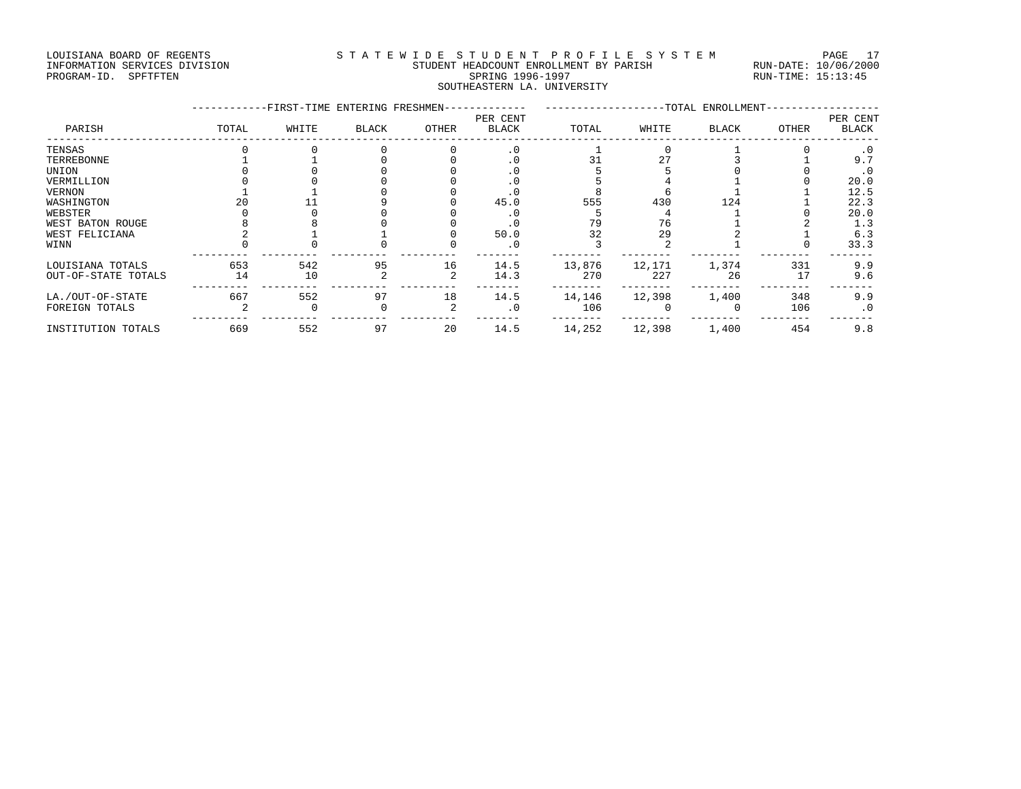### LOUISIANA BOARD OF REGENTS STATEWIDE STUDENT PROFILE SYSTEM PAGE 17 INFORMATION SERVICES DIVISION STUDENT HEADCOUNT ENROLLMENT BY PARISH RUN-DATE: 10/06/2000 PROGRAM-ID. SPFTFTEN SARE SERING 1996-1997 SPRING 1996-1997 RUN-TIME: 15:13:45 SOUTHEASTERN LA. UNIVERSITY

|                     |       | -FIRST-TIME ENTERING FRESHMEN- |              |       |                          |        |        | -TOTAL ENROLLMENT- |       |                          |
|---------------------|-------|--------------------------------|--------------|-------|--------------------------|--------|--------|--------------------|-------|--------------------------|
| PARISH              | TOTAL | WHITE                          | <b>BLACK</b> | OTHER | PER CENT<br><b>BLACK</b> | TOTAL  | WHITE  | <b>BLACK</b>       | OTHER | PER CENT<br><b>BLACK</b> |
| TENSAS              |       |                                |              |       | $\cdot$ 0                |        |        |                    |       | . 0                      |
| TERREBONNE          |       |                                |              |       |                          |        | 27     |                    |       | 9.7                      |
| UNION               |       |                                |              |       |                          |        |        |                    |       | . 0                      |
| VERMILLION          |       |                                |              |       |                          |        |        |                    |       | 20.0                     |
| VERNON              |       |                                |              |       |                          |        |        |                    |       | 12.5                     |
| WASHINGTON          |       |                                |              |       | 45.0                     | 555    | 430    | 124                |       | 22.3                     |
| WEBSTER             |       |                                |              |       |                          |        |        |                    |       | 20.0                     |
| WEST BATON ROUGE    |       |                                |              |       |                          | 79     | 76     |                    |       | 1.3                      |
| WEST FELICIANA      |       |                                |              |       | 50.0                     | 32     | 29     |                    |       | 6.3                      |
| WINN                |       |                                |              |       | . 0                      |        |        |                    |       | 33.3                     |
| LOUISIANA TOTALS    | 653   | 542                            | 95           | 16    | 14.5                     | 13,876 | 12,171 | 1,374              | 331   | 9.9                      |
| OUT-OF-STATE TOTALS | 14    | 10                             |              |       | 14.3                     | 270    | 227    | 26                 | 17    | 9.6                      |
| LA./OUT-OF-STATE    | 667   | 552                            | 97           | 18    | 14.5                     | 14,146 | 12,398 | 1,400              | 348   | 9.9                      |
| FOREIGN TOTALS      |       |                                |              |       | $\cdot$ 0                | 106    |        | $\Omega$           | 106   | $\cdot$ 0                |
| INSTITUTION TOTALS  | 669   | 552                            | 97           | 20    | 14.5                     | 14,252 | 12,398 | 1,400              | 454   | 9.8                      |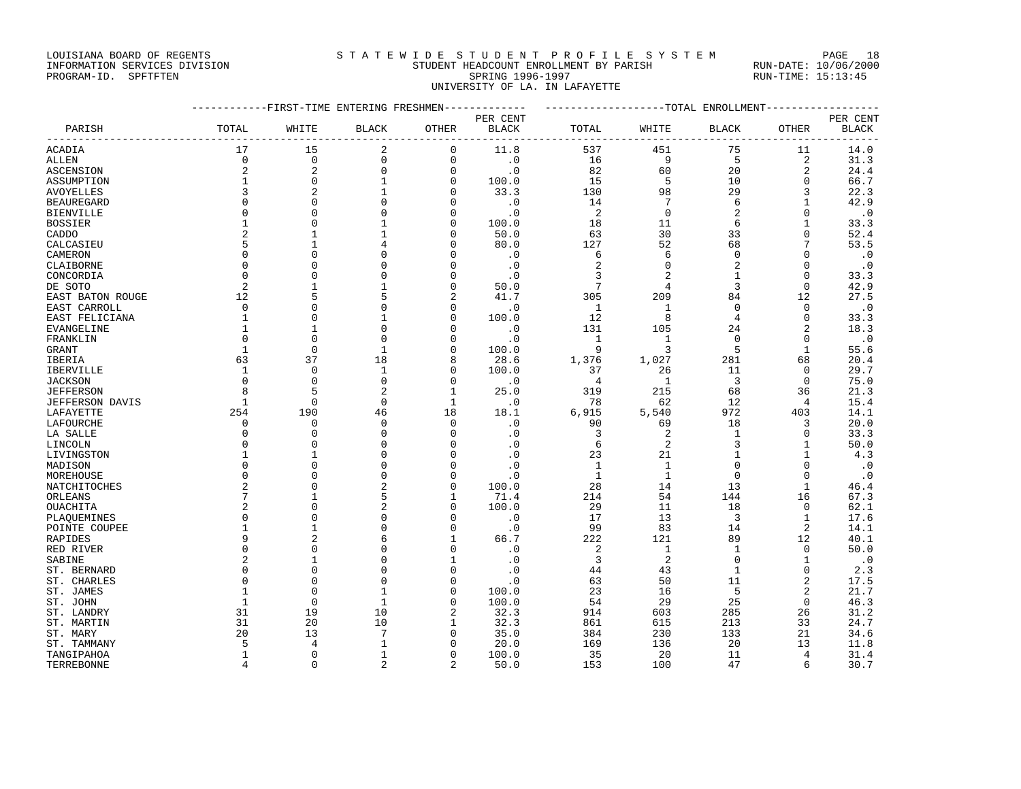### LOUISIANA BOARD OF REGENTS STATEWIDE STUDENT PROFILE SYSTEM PAGE 18 INFORMATION SERVICES DIVISION STUDENT HEADCOUNT ENROLLMENT BY PARISH RUN-DATE: 10/06/2000

| INFORMATION SERVICES DIVISION | STUDENT HEADCOUNT ENROLLMENT BY PARISH | RUN-DATE:<br>10/06/200 |
|-------------------------------|----------------------------------------|------------------------|
| PROGRAM-ID. SPFTFTEN          | SPRING 1996-1997                       | RUN-TIME: 15:13:45     |
|                               | UNIVERSITY OF LA. IN LAFAYETTE         |                        |

|                   | ---------FIRST-TIME ENTERING FRESHMEN------------- |                |                |              |              | -------------------TOTAL ENROLLMENT-------------- |                |              |                |              |  |
|-------------------|----------------------------------------------------|----------------|----------------|--------------|--------------|---------------------------------------------------|----------------|--------------|----------------|--------------|--|
|                   |                                                    |                |                |              | PER CENT     |                                                   |                |              |                | PER CENT     |  |
| PARISH            | TOTAL                                              | WHITE          | <b>BLACK</b>   | OTHER        | <b>BLACK</b> | TOTAL                                             | WHITE          | <b>BLACK</b> | OTHER          | <b>BLACK</b> |  |
| ACADIA            | 17                                                 | 15             | 2              | 0            | 11.8         | 537                                               | 451            | 75           | 11             | 14.0         |  |
| ALLEN             | $\Omega$                                           | $\Omega$       | 0              | $\mathbf 0$  | $\cdot$ 0    | 16                                                | 9              | 5            | $\overline{2}$ | 31.3         |  |
| <b>ASCENSION</b>  | 2                                                  | $\overline{c}$ | 0              | $\mathbf 0$  | $\cdot$ 0    | 82                                                | 60             | 20           | 2              | 24.4         |  |
| ASSUMPTION        |                                                    | $\mathbf 0$    | $\mathbf{1}$   | $\mathbf 0$  | 100.0        | 15                                                | 5              | 10           | $\mathbf 0$    | 66.7         |  |
| AVOYELLES         | 3                                                  | $\overline{2}$ | $\mathbf{1}$   | $\Omega$     | 33.3         | 130                                               | 98             | 29           | 3              | 22.3         |  |
| <b>BEAUREGARD</b> | $\Omega$                                           | $\Omega$       | 0              | $\Omega$     | $\cdot$ 0    | 14                                                | 7              | 6            | 1              | 42.9         |  |
| BIENVILLE         | $\Omega$                                           | $\mathbf 0$    | 0              | $\mathbf 0$  | $\cdot$ 0    | 2                                                 | 0              | 2            | $\Omega$       | $\cdot$ 0    |  |
| BOSSIER           |                                                    | $\Omega$       | 1              | $\mathbf 0$  | 100.0        | 18                                                | 11             | 6            | 1              | 33.3         |  |
| CADDO             | 2                                                  |                | 1              | $\Omega$     | 50.0         | 63                                                | 30             | 33           | $\Omega$       | 52.4         |  |
| CALCASIEU         | 5                                                  | $\mathbf{1}$   | 4              | $\Omega$     | 80.0         | 127                                               | 52             | 68           | 7              | 53.5         |  |
| CAMERON           | $\Omega$                                           | $\Omega$       | $\Omega$       | $\Omega$     | $\cdot$ 0    | 6                                                 | 6              | $\mathbf 0$  | $\Omega$       | $\cdot$ 0    |  |
| CLAIBORNE         | $\Omega$                                           | $\Omega$       | $\mathbf 0$    | $\Omega$     | $\cdot$ 0    | $\overline{2}$                                    | $\Omega$       | 2            | $\Omega$       | $\cdot$ 0    |  |
| CONCORDIA         | $\Omega$                                           | $\Omega$       | $\mathbf 0$    | $\Omega$     | $\cdot$ 0    | 3                                                 |                | $\mathbf{1}$ | $\Omega$       | 33.3         |  |
| DE SOTO           | 2                                                  | -1             | 1              | $\mathbf 0$  | 50.0         | 7                                                 | 4              | 3            | $\Omega$       | 42.9         |  |
| EAST BATON ROUGE  | 12                                                 | 5              | 5              | 2            | 41.7         | 305                                               | 209            | 84           | 12             | 27.5         |  |
| EAST CARROLL      | $\Omega$                                           | $\Omega$       | $\Omega$       | $\Omega$     | $\cdot$ 0    | 1                                                 | 1              | 0            | 0              | $\cdot$ 0    |  |
| EAST FELICIANA    | $\mathbf{1}$                                       | $\Omega$       | 1              | $\Omega$     | 100.0        | 12                                                | 8              | 4            | 0              | 33.3         |  |
| EVANGELINE        | 1                                                  | 1              | 0              | $\Omega$     | $\cdot$ 0    | 131                                               | 105            | 24           | 2              | 18.3         |  |
| FRANKLIN          | $\Omega$                                           | $\mathbf{0}$   | $\mathbf 0$    | $\mathbf 0$  | $\cdot$ 0    | 1                                                 | 1              | $\mathbf 0$  | $\mathbf 0$    | $\cdot$ 0    |  |
| GRANT             | $\mathbf{1}$                                       | $\Omega$       | $\mathbf{1}$   | $\Omega$     | 100.0        | 9                                                 | 3              | 5            | $\mathbf{1}$   | 55.6         |  |
| IBERIA            | 63                                                 | 37             | 18             | 8            | 28.6         | 1,376                                             | 1,027          | 281          | 68             | 20.4         |  |
| IBERVILLE         | 1                                                  | $\Omega$       | 1              | $\Omega$     | 100.0        | 37                                                | 26             | 11           | 0              | 29.7         |  |
| <b>JACKSON</b>    | $\Omega$                                           | $\Omega$       | $\Omega$       | $\Omega$     | $\cdot$ 0    | $\overline{4}$                                    | 1              | 3            | $\Omega$       | 75.0         |  |
| <b>JEFFERSON</b>  | 8                                                  | 5              | $\overline{2}$ | 1            | 25.0         | 319                                               | 215            | 68           | 36             | 21.3         |  |
| JEFFERSON DAVIS   | $\mathbf{1}$                                       | 0              | $\mathbf 0$    | 1            | $\cdot$ 0    | 78                                                | 62             | 12           | 4              | 15.4         |  |
| LAFAYETTE         | 254                                                | 190            | 46             | 18           | 18.1         | 6,915                                             | 5,540          | 972          | 403            | 14.1         |  |
| LAFOURCHE         | 0                                                  | $\mathbf 0$    | $\mathbf 0$    | $\mathbf 0$  | $\cdot$ 0    | 90                                                | 69             | 18           | 3              | 20.0         |  |
| LA SALLE          | $\Omega$                                           | $\Omega$       | $\mathbf 0$    | $\Omega$     | $\cdot$ 0    | 3                                                 | 2              | 1            | $\Omega$       | 33.3         |  |
| LINCOLN           | <sup>0</sup>                                       | $\Omega$       | $\Omega$       | $\Omega$     | $\cdot$ 0    | 6                                                 | 2              | 3            | 1              | 50.0         |  |
| LIVINGSTON        | 1                                                  | -1             | 0              | $\mathbf 0$  | $\cdot$ 0    | 23                                                | 21             | 1            | -1             | 4.3          |  |
| MADISON           | $\Omega$                                           | $\Omega$       | $\mathbf 0$    | $\Omega$     | $\cdot$ 0    | $\mathbf{1}$                                      | $\mathbf{1}$   | 0            | $\Omega$       | $\cdot$ 0    |  |
| MOREHOUSE         | $\Omega$                                           | $\Omega$       | $\Omega$       | $\Omega$     | $\cdot$ 0    | $\mathbf{1}$                                      | $\mathbf{1}$   | $\Omega$     | $\Omega$       | $\cdot$ 0    |  |
| NATCHITOCHES      | 2                                                  | $\Omega$       | $\overline{2}$ | $\mathbf 0$  | 100.0        | 28                                                | 14             | 13           | 1              | 46.4         |  |
| ORLEANS           | 7                                                  | $\mathbf{1}$   | 5              | 1            | 71.4         | 214                                               | 54             | 144          | 16             | 67.3         |  |
| <b>OUACHITA</b>   | $\overline{c}$                                     | $\Omega$       | $\overline{a}$ | $\Omega$     | 100.0        | 29                                                | 11             | 18           | 0              | 62.1         |  |
| PLAQUEMINES       | $\Omega$                                           | $\Omega$       | 0              | $\Omega$     | $\cdot$ 0    | 17                                                | 13             | 3            | 1              | 17.6         |  |
| POINTE COUPEE     |                                                    | $\mathbf{1}$   | $\mathbf 0$    | $\Omega$     | $\cdot$ 0    | 99                                                | 83             | 14           | 2              | 14.1         |  |
| RAPIDES           | 9                                                  |                | 6              | 1            | 66.7         | 222                                               | 121            | 89           | 12             | 40.1         |  |
| RED RIVER         | $\Omega$                                           | $\Omega$       | $\Omega$       | $\Omega$     | $\cdot$ 0    | $\overline{2}$                                    | 1              | 1            | 0              | 50.0         |  |
| SABINE            | $\overline{2}$                                     | $\mathbf{1}$   | $\mathbf 0$    | $\mathbf{1}$ | $\cdot$ 0    | 3                                                 | $\overline{2}$ | 0            | 1              | $\cdot$ 0    |  |
| ST. BERNARD       | $\Omega$                                           | $\mathbf{0}$   | $\mathbf 0$    | $\mathbf 0$  | $\cdot$ 0    | 44                                                | 43             | $\mathbf{1}$ | $\mathbf{0}$   | 2.3          |  |
| ST. CHARLES       | $\Omega$                                           | $\mathbf 0$    | 0              | $\Omega$     | $\cdot$ 0    | 63                                                | 50             | 11           | 2              | 17.5         |  |
| ST. JAMES         |                                                    | $\Omega$       | $\mathbf{1}$   | $\Omega$     | 100.0        | 23                                                | 16             | 5            | $\overline{2}$ | 21.7         |  |
| ST. JOHN          | $\mathbf{1}$                                       | $\Omega$       | 1              | $\Omega$     | 100.0        | 54                                                | 29             | 25           | 0              | 46.3         |  |
| ST. LANDRY        | 31                                                 | 19             | 10             |              | 32.3         | 914                                               | 603            | 285          | 26             | 31.2         |  |
| ST. MARTIN        | 31                                                 | 20             | 10             | 1            | 32.3         | 861                                               | 615            | 213          | 33             | 24.7         |  |
| ST. MARY          | 20                                                 | 13             | 7              | $\Omega$     | 35.0         | 384                                               | 230            | 133          | 21             | 34.6         |  |
| ST. TAMMANY       | 5                                                  | 4              | 1              | $\mathbf 0$  | 20.0         | 169                                               | 136            | 20           | 13             | 11.8         |  |
| TANGIPAHOA        | $\mathbf{1}$                                       | $\Omega$       | $\mathbf{1}$   | $\Omega$     | 100.0        | 35                                                | 20             | 11           | 4              | 31.4         |  |

TERREBONNE 4 0 2 2 50.0 153 100 47 6 30.7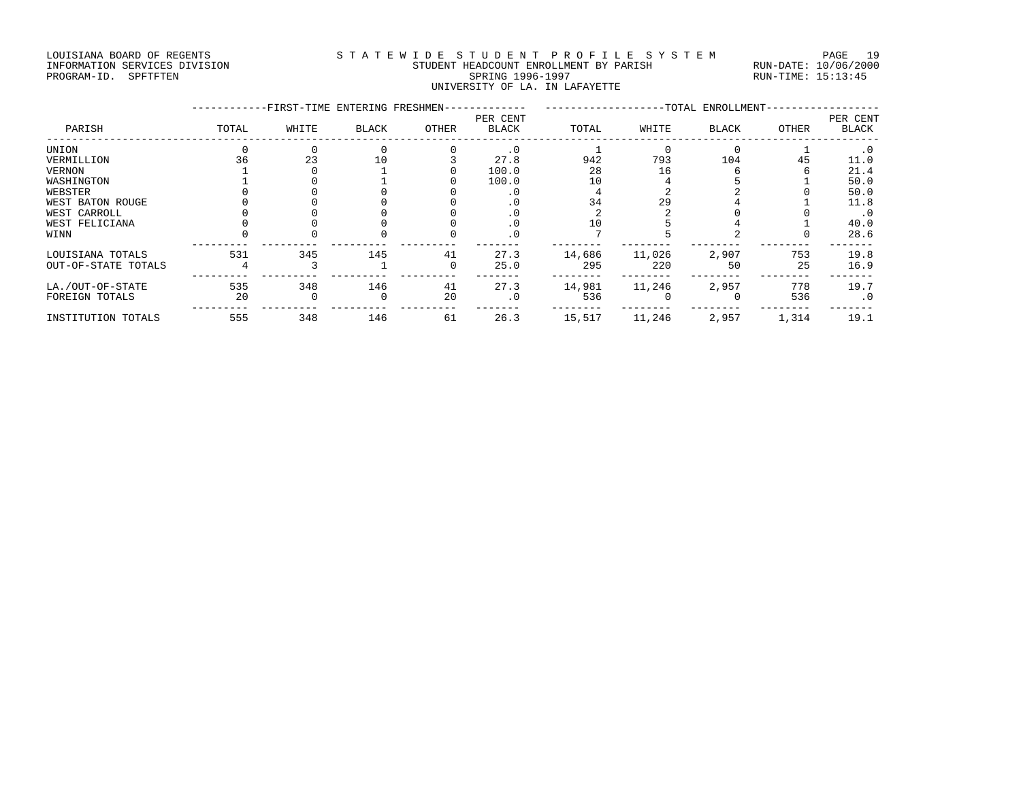### LOUISIANA BOARD OF REGENTS S T A T E W I D E S T U D E N T P R O F I L E S Y S T E M PAGE 19 INFORMATION SERVICES DIVISION STUDENT HEADCOUNT ENROLLMENT BY PARISH RUN-DATE: 10/06/2000 PROGRAM-ID. SPFTFTEN SARE SERING 1996-1997 SPRING 1996-1997 RUN-TIME: 15:13:45 UNIVERSITY OF LA. IN LAFAYETTE

| -FIRST-TIME ENTERING FRESHMEN- |       |              |       |              | -TOTAL ENROLLMENT- |        |              |       |                          |  |
|--------------------------------|-------|--------------|-------|--------------|--------------------|--------|--------------|-------|--------------------------|--|
| TOTAL                          | WHITE | <b>BLACK</b> | OTHER | <b>BLACK</b> | TOTAL              | WHITE  | <b>BLACK</b> | OTHER | PER CENT<br><b>BLACK</b> |  |
|                                |       |              |       | $\cdot$ 0    |                    |        |              |       | $\cdot$ 0                |  |
| 36                             | 23    | 10           |       | 27.8         | 942                | 793    | 104          | 45    | 11.0                     |  |
|                                |       |              |       | 100.0        | 28                 | 16     |              |       | 21.4                     |  |
|                                |       |              |       | 100.0        | 10                 |        |              |       | 50.0                     |  |
|                                |       |              |       |              |                    |        |              |       | 50.0                     |  |
|                                |       |              |       | . U          | 34                 | 29     |              |       | 11.8                     |  |
|                                |       |              |       |              |                    |        |              |       | . 0                      |  |
|                                |       |              |       |              |                    |        |              |       | 40.0                     |  |
|                                |       |              |       |              |                    |        |              |       | 28.6                     |  |
| 531                            | 345   | 145          | 41    | 27.3         | 14,686             | 11,026 | 2,907        | 753   | 19.8                     |  |
|                                |       |              | 0     | 25.0         | 295                | 220    | 50           | 25    | 16.9                     |  |
| 535                            | 348   | 146          | 41    | 27.3         | 14,981             | 11,246 | 2,957        | 778   | 19.7                     |  |
| 20                             |       |              | 20    | $\cdot$ 0    | 536                |        |              | 536   | $\cdot$ 0                |  |
| 555                            | 348   | 146          | 61    | 26.3         | 15,517             | 11,246 | 2,957        | 1,314 | 19.1                     |  |
|                                |       |              |       |              | PER CENT           |        |              |       |                          |  |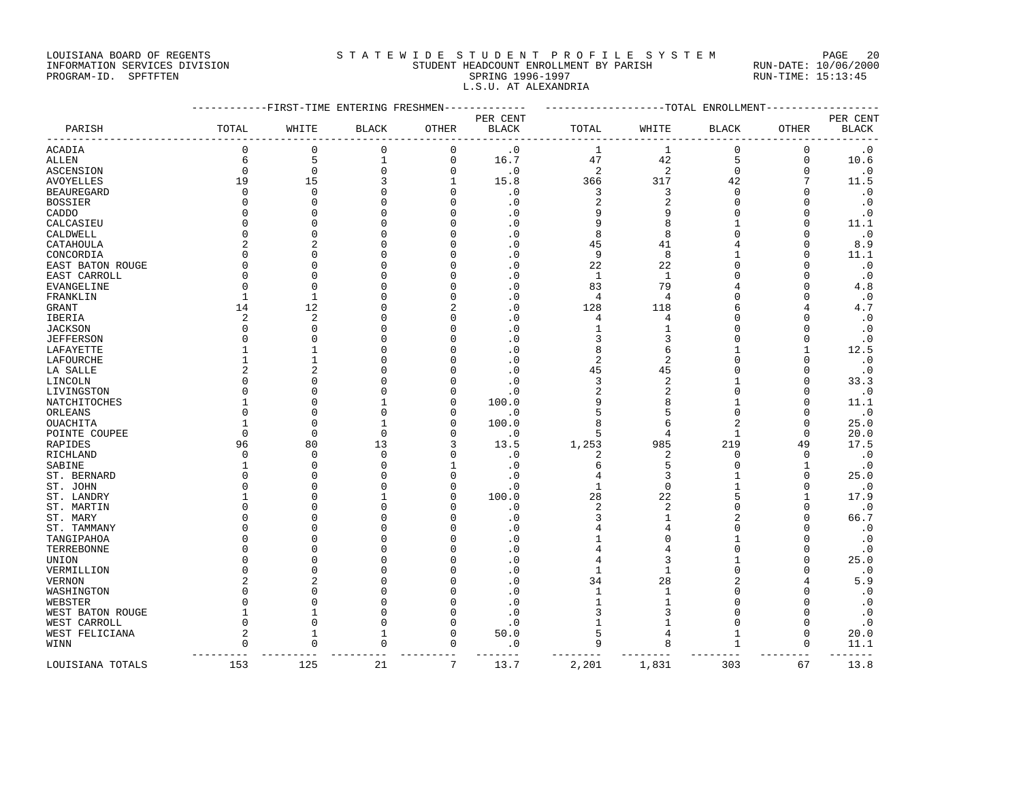LOUISIANA BOARD OF REGENTS STATEWIDE STUDENT PROFILE SYSTEM PAGE 20

L.S.U. AT ALEXANDRIA

## INFORMATION SERVICES DIVISION STUDENT HEADCOUNT ENROLLMENT BY PARISH RUN-DATE: 10/06/2000 PROGRAM-ID. SPFTFTEN SARE SERING 1996-1997 SPRING 1996-1997 RUN-TIME: 15:13:45

|                  | -----------FIRST-TIME ENTERING FRESHMEN------------- | ------------------TOTAL ENROLLMENT----------------- |              |                 |                        |                |                |                         |              |                   |
|------------------|------------------------------------------------------|-----------------------------------------------------|--------------|-----------------|------------------------|----------------|----------------|-------------------------|--------------|-------------------|
|                  |                                                      |                                                     |              |                 | PER CENT               |                |                |                         |              | PER CENT          |
| PARISH           | TOTAL                                                | WHITE                                               | <b>BLACK</b> | OTHER           | BLACK                  | TOTAL          | WHITE          | <b>BLACK</b>            | OTHER        | <b>BLACK</b>      |
| ACADIA           | 0                                                    | 0                                                   | 0            | 0               | $\cdot$ 0              | 1              | 1              | 0                       | 0            | $\cdot$ 0         |
| ALLEN            | 6                                                    | 5                                                   | $\mathbf{1}$ | $\mathsf 0$     | 16.7                   | 47             | 42             | 5                       | $\mathbf 0$  | 10.6              |
| ASCENSION        | $\mathbf 0$                                          | $\mathbf 0$                                         | 0            | $\Omega$        | $\cdot$ 0              | 2              | 2              | $\mathbf 0$             | 0            | $\cdot$ 0         |
| AVOYELLES        | 19                                                   | 15                                                  | 3            | 1               | 15.8                   | 366            | 317            | 42                      | 7            | 11.5              |
| BEAUREGARD       | 0                                                    | $\mathbf 0$                                         | $\mathbf 0$  | $\Omega$        | $\cdot$ 0              | 3              | 3              | $\mathbf 0$             | $\Omega$     | $\cdot$ 0         |
| BOSSIER          | $\Omega$                                             | $\Omega$                                            | $\Omega$     |                 | $\cdot$ 0              | 2              | $\overline{2}$ | $\Omega$                |              | $\cdot$ 0         |
| CADDO            | $\Omega$                                             | $\Omega$                                            | $\Omega$     |                 | $\cdot$ 0              | 9              |                | $\Omega$                | $\Omega$     | $\cdot$ 0         |
| CALCASIEU        | O                                                    | $\Omega$                                            | $\Omega$     | ∩               | $\cdot$ 0              | 9              |                | 1                       | $\Omega$     | 11.1              |
| CALDWELL         | $\Omega$                                             | $\Omega$                                            | $\Omega$     |                 | $\cdot$ 0              | 8              | 8              |                         | ∩            | $\cdot$ 0         |
| CATAHOULA        | 2                                                    |                                                     | $\Omega$     | O               | $\cdot$ 0              | 45             | 41             |                         | $\Omega$     | 8.9               |
| CONCORDIA        | <sup>0</sup>                                         | $\Omega$                                            | $\Omega$     |                 | $\cdot$ 0              | 9              | 8              |                         | <sup>0</sup> | 11.1              |
| EAST BATON ROUGE | $\Omega$                                             | $\Omega$                                            | $\Omega$     | ∩               | $\cdot$ 0              | 22             | 22             | $\cap$                  | $\Omega$     | $\cdot$ 0         |
| EAST CARROLL     | <sup>0</sup>                                         | $\Omega$                                            | $\Omega$     |                 | $\cdot$ 0              | $\mathbf{1}$   | 1              |                         | U            | $\cdot$ 0         |
| EVANGELINE       | $\Omega$                                             | $\Omega$                                            | $\Omega$     | ∩               | $\cdot$ 0              | 83             | 79             |                         | $\Omega$     | 4.8               |
| FRANKLIN         | 1                                                    | -1                                                  | $\Omega$     | $\Omega$        | $\cdot$ 0              | 4              | 4              | $\Omega$                |              | $\cdot$ 0         |
| GRANT            | 14                                                   | 12                                                  | $\Omega$     |                 | $\cdot$ 0              | 128            | 118            |                         |              | 4.7               |
| IBERIA           | 2                                                    | $\overline{2}$                                      | $\Omega$     | ∩               | $\cdot$ 0              | 4              | 4              | U                       | $\Omega$     | $\cdot$ 0         |
| JACKSON          | <sup>0</sup>                                         | $\mathbf 0$                                         | 0            | O               | $\cdot$ 0              | 1              | 1              | O                       | U            | $\cdot$ 0         |
| JEFFERSON        | <sup>0</sup>                                         |                                                     | $\Omega$     |                 | $\cdot$ 0              | 3              | 3              | $\Omega$                | <sup>0</sup> | $\cdot$ 0         |
| LAFAYETTE        |                                                      |                                                     | $\Omega$     |                 | $\cdot$ 0              | 8              | 6              |                         | $\mathbf{1}$ | 12.5              |
| LAFOURCHE        |                                                      | -1                                                  | $\Omega$     | ∩               | $\cdot$ 0              | 2              | 2              | U                       | U            | $\cdot$ 0         |
| LA SALLE         | 2                                                    | 2                                                   | $\Omega$     | ∩               | $\cdot$ 0              | 45             | 45             | $\Omega$                | <sup>0</sup> | $\cdot$ 0         |
| LINCOLN          | $\Omega$                                             | $\mathbf 0$                                         | 0            | $\Omega$        | $\cdot$ 0              | 3              | $\overline{c}$ |                         | $\Omega$     | 33.3              |
| LIVINGSTON       | $\Omega$                                             | $\Omega$                                            | $\Omega$     | $\Omega$        | $\cdot$ 0              | $\overline{c}$ | $\overline{2}$ | $\Omega$                |              | $\cdot$ 0         |
|                  |                                                      | $\Omega$                                            | 1            | $\Omega$        | 100.0                  | 9              | 8              |                         | U            |                   |
| NATCHITOCHES     |                                                      | $\Omega$                                            | $\Omega$     | $\Omega$        |                        | 5              |                | O                       | O            | 11.1              |
| ORLEANS          |                                                      | $\Omega$                                            | $\mathbf{1}$ | $\Omega$        | $\cdot$ 0              | 8              | 5              |                         | $\Omega$     | $\cdot$ 0         |
| OUACHITA         |                                                      |                                                     |              |                 | 100.0                  |                | 6              |                         |              | 25.0              |
| POINTE COUPEE    | $\Omega$                                             | $\Omega$                                            | 0            | $\Omega$        | $\cdot$ 0              | 5              | 4              | 1                       | $\Omega$     | 20.0              |
| RAPIDES          | 96                                                   | 80                                                  | 13           | 3               | 13.5                   | 1,253          | 985            | 219                     | 49           | 17.5              |
| RICHLAND         | <sup>0</sup>                                         | $\Omega$                                            | $\Omega$     | $\Omega$        | $\cdot$ 0              | 2              | 2              | O                       | <sup>0</sup> | $\cdot$ 0         |
| SABINE           |                                                      | $\Omega$                                            | $\Omega$     |                 | $\cdot$ 0              | 6              | 5              | O                       | $\mathbf{1}$ | $\cdot$ 0         |
| ST. BERNARD      | O                                                    | $\Omega$                                            | $\Omega$     | $\Omega$        | $\cdot$ 0              | 4              | 3              |                         | $\Omega$     | 25.0              |
| ST. JOHN         | O                                                    | $\Omega$                                            | $\Omega$     | $\Omega$        | $\cdot$ 0              | 1              | $\mathbf 0$    |                         | O            | $\cdot$ 0         |
| ST. LANDRY       |                                                      | $\Omega$                                            | $\mathbf{1}$ | $\cap$          | 100.0                  | 28             | 22             | 5                       | $\mathbf{1}$ | 17.9              |
| ST. MARTIN       |                                                      | $\Omega$                                            | $\Omega$     | n               | $\cdot$ 0              | 2              | 2              | O                       | O            | $\cdot$ 0         |
| ST. MARY         | n                                                    | O                                                   | O            | n               | $\cdot$ 0              | 3              | 1              |                         | O            | 66.7              |
| ST. TAMMANY      |                                                      | O                                                   | $\Omega$     |                 | $\cdot$ 0              | 4              | 4              | $\Omega$                |              | $\cdot$ 0         |
| TANGIPAHOA       |                                                      | $\Omega$                                            | $\Omega$     | ∩               | $\cdot$ 0              | 1              |                |                         | U            | $\cdot$ 0         |
| TERREBONNE       |                                                      | $\Omega$                                            | $\Omega$     | ∩               | $\cdot$ 0              | 4              | 4              | $\Omega$                | <sup>0</sup> | $\cdot$ 0         |
| UNION            |                                                      | $\Omega$                                            | $\Omega$     | ∩               | $\cdot$ 0              | 4              | 3              |                         | $\Omega$     | 25.0              |
| VERMILLION       | $\Omega$                                             | O                                                   | $\Omega$     | ſ               | $\cdot$ 0              | 1              | 1              | $\Omega$                | $\Omega$     | $\cdot$ 0         |
| VERNON           | 2                                                    |                                                     | $\Omega$     |                 | $\cdot$ 0              | 34             | 28             | 2                       |              | 5.9               |
| WASHINGTON       |                                                      | ∩                                                   | $\cap$       | ∩               | . 0                    | 1              | 1              | U                       | U            | $\cdot$ 0         |
| WEBSTER          | $\Omega$                                             | $\Omega$                                            | $\Omega$     | $\Omega$        | $\cdot$ 0              | $\mathbf{1}$   | 1              | $\Omega$                |              | $\cdot$ 0         |
| WEST BATON ROUGE | 1                                                    | 1                                                   | 0            | $\Omega$        | $\cdot$ 0              | 3              | 3              | $\Omega$                | 0            | $\cdot$ 0         |
| WEST CARROLL     | $\Omega$                                             | $\Omega$                                            | $\Omega$     | $\Omega$        | $\cdot$ 0              | $\mathbf{1}$   | 1              | $\Omega$                | $\Omega$     | $\cdot$ 0         |
| WEST FELICIANA   | 2                                                    | 1                                                   | 1            | $\Omega$        | 50.0                   | 5              | 4              | 1                       | 0            | 20.0              |
| WINN             | $\mathbf 0$<br>$- - - - - - - - -$                   | $\Omega$<br>----------                              | $\Omega$     | 0<br>---------  | $\cdot$ 0<br>$- - - -$ | 9              | 8<br>$- - - -$ | $\mathbf{1}$<br>$- - -$ | $\Omega$     | 11.1<br>$- - - -$ |
| LOUISIANA TOTALS | 153                                                  | 125                                                 | 21           | $7\phantom{.0}$ | 13.7                   | 2,201          | 1,831          | 303                     | 67           | 13.8              |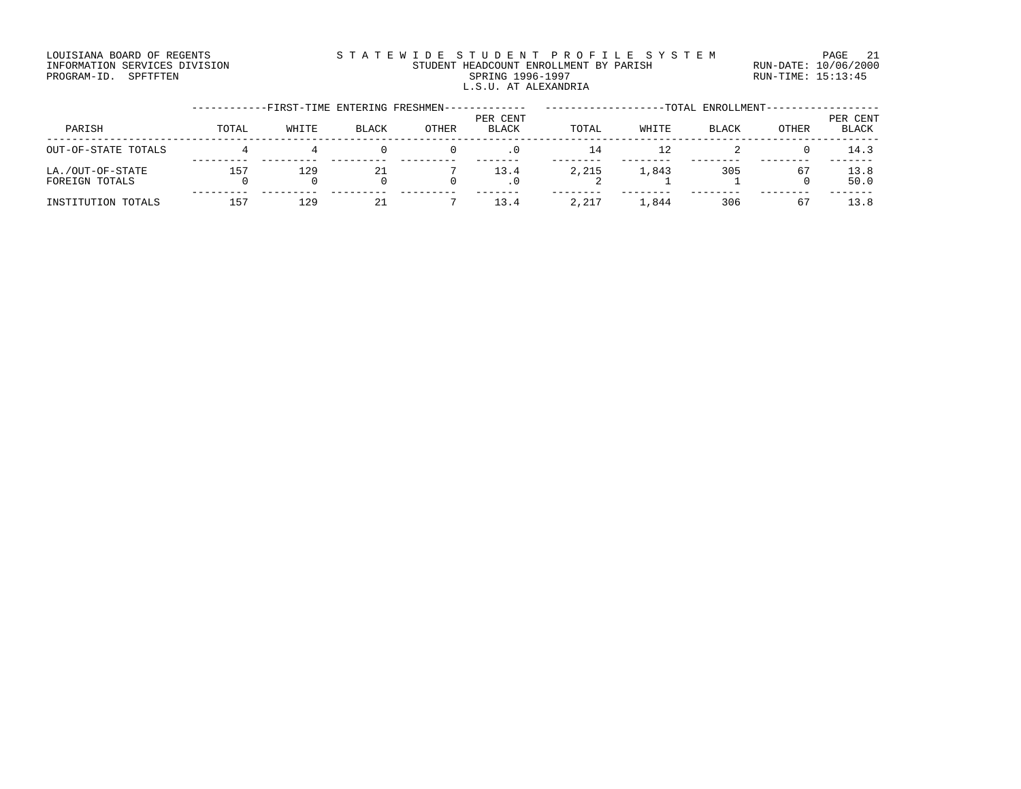### LOUISIANA BOARD OF REGENTS STATEWIDE STUDENT PROFILE SYSTEM PAGE 21 INFORMATION SERVICES DIVISION STUDENT HEADCOUNT ENROLLMENT BY PARISH RUN-DATE: 10/06/2000 PROGRAM-ID. SPFTFTEN SARE SERING 1996-1997 SPRING 1996-1997 RUN-TIME: 15:13:45 L.S.U. AT ALEXANDRIA

|                                    |       | -FIRST-TIME ENTERING FRESHMEN- |              |       |                          | -TOTAL ENROLLMENT- |       |              |              |                          |
|------------------------------------|-------|--------------------------------|--------------|-------|--------------------------|--------------------|-------|--------------|--------------|--------------------------|
| PARISH                             | TOTAL | WHITE                          | <b>BLACK</b> | OTHER | PER CENT<br><b>BLACK</b> | TOTAL              | WHITE | <b>BLACK</b> | <b>OTHER</b> | PER CENT<br><b>BLACK</b> |
| OUT-OF-STATE TOTALS                |       |                                |              |       | . 0                      | 14                 |       |              |              | 14.3                     |
| LA./OUT-OF-STATE<br>FOREIGN TOTALS | 157   | 129                            | 21           |       | 13.4<br>. 0              | 2,215              | 1,843 | 305          | 67           | 13.8<br>50.0             |
| INSTITUTION TOTALS                 | 157   | 129                            |              |       | 13.4                     | 2,217              | 1,844 | 306          | 67           | 13.8                     |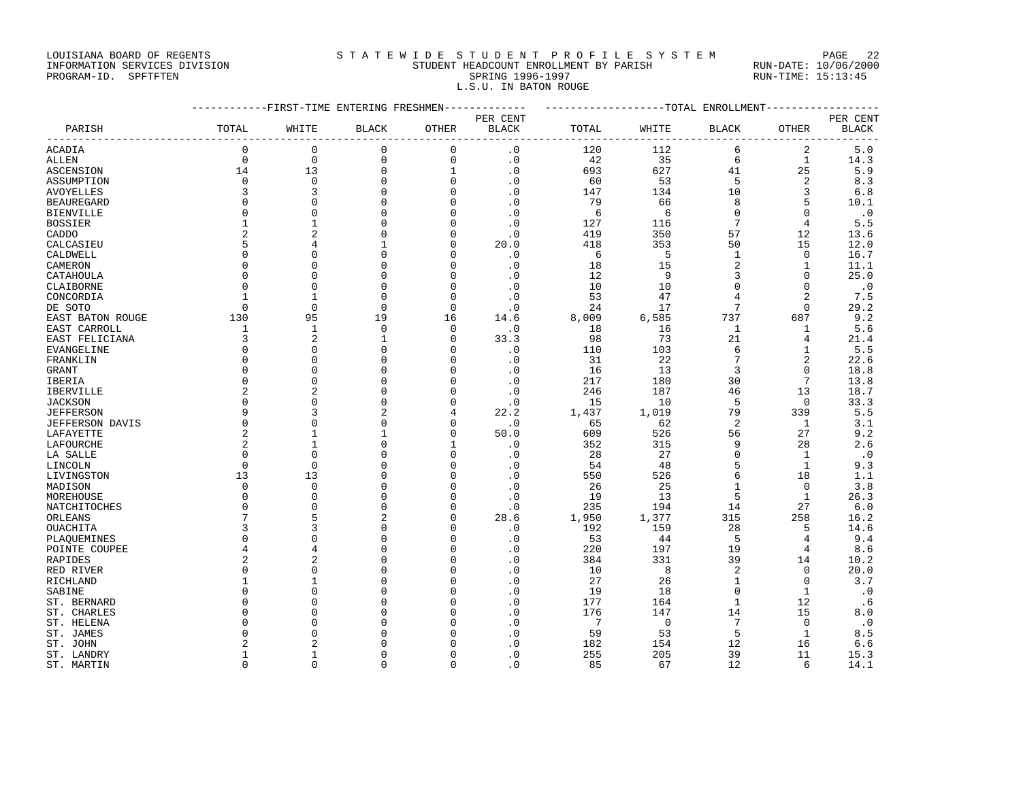### LOUISIANA BOARD OF REGENTS STATEWIDE STUDENT PROFILE SYSTEM PAGE 22 INFORMATION SERVICES DIVISION STUDENT HEADCOUNT ENROLLMENT BY PARISH RUN-DATE: 10/06/2000

PROGRAM-ID. SPFTFTEN SARE SERING 1996-1997 SPRING 1996-1997 RUN-TIME: 15:13:45 L.S.U. IN BATON ROUGE

|                  | ------------FIRST-TIME ENTERING FRESHMEN------------- |                |                |              |                   | ------------------TOTAL ENROLLMENT--------------- |                |                |                |                          |
|------------------|-------------------------------------------------------|----------------|----------------|--------------|-------------------|---------------------------------------------------|----------------|----------------|----------------|--------------------------|
| PARISH           | TOTAL                                                 | WHITE          | <b>BLACK</b>   | OTHER        | PER CENT<br>BLACK | TOTAL                                             | WHITE          | <b>BLACK</b>   | OTHER          | PER CENT<br><b>BLACK</b> |
|                  |                                                       |                |                | ---------    | ----------------- |                                                   |                |                | ---------      | -----                    |
| ACADIA           | $\mathbf 0$                                           | $\mathbf 0$    | $\mathbf 0$    | $\mathbf 0$  | $\cdot$ 0         | 120                                               | 112            | 6              | 2              | 5.0                      |
| ALLEN            | $\mathbf 0$                                           | $\mathbf 0$    | $\mathbf 0$    | $\mathbf 0$  | $\cdot$ 0         | 42                                                | 35             | 6              | $\mathbf{1}$   | 14.3                     |
| ASCENSION        | 14                                                    | 13             | $\mathbf 0$    | $\mathbf{1}$ | $\cdot$ 0         | 693                                               | 627            | 41             | 25             | 5.9                      |
| ASSUMPTION       | $\Omega$                                              | $\Omega$       | $\Omega$       | $\Omega$     | $\cdot$ 0         | 60                                                | 53             | 5              | 2              | 8.3                      |
| AVOYELLES        | 3                                                     | 3              | $\mathbf 0$    | $\Omega$     | $\cdot$ 0         | 147                                               | 134            | 10             | 3              | 6.8                      |
| BEAUREGARD       | $\Omega$                                              | $\Omega$       | $\mathbf 0$    | O            | $\cdot$ 0         | 79                                                | 66             | 8              | 5              | 10.1                     |
| BIENVILLE        | $\Omega$                                              | $\Omega$       | $\Omega$       | $\Omega$     | $\cdot$ 0         | 6                                                 | 6              | $\Omega$       | $\Omega$       | $\cdot$ 0                |
| BOSSIER          | 1                                                     | $\mathbf{1}$   | $\mathbf 0$    | $\Omega$     | $\cdot$ 0         | 127                                               | 116            | 7              | 4              | 5.5                      |
| CADDO            |                                                       | $\overline{2}$ | $\Omega$       | O            | $\cdot$ 0         | 419                                               | 350            | 57             | 12             | 13.6                     |
| CALCASIEU        | 5                                                     | 4              | 1              | $\Omega$     | 20.0              | 418                                               | 353            | 50             | 15             | 12.0                     |
| CALDWELL         | $\Omega$                                              | $\Omega$       | $\Omega$       | O            | $\cdot$ 0         | 6                                                 | 5              | 1              | 0              | 16.7                     |
| CAMERON          | $\Omega$                                              | $\Omega$       | $\Omega$       | O            | $\cdot$ 0         | 18                                                | 15             | 2              | $\mathbf{1}$   | 11.1                     |
| CATAHOULA        | $\Omega$                                              | $\Omega$       | $\Omega$       | ∩            | $\cdot$ 0         | 12                                                | 9              | 3              | $\Omega$       | 25.0                     |
| CLAIBORNE        | 0                                                     | $\mathbf 0$    | $\mathbf 0$    | 0            | $\cdot$ 0         | 10                                                | 10             | 0              | 0              | $\cdot$ 0                |
| CONCORDIA        | $\mathbf{1}$                                          | -1             | $\Omega$       | $\Omega$     | $\cdot$ 0         | 53                                                | 47             | 4              | $\overline{2}$ | 7.5                      |
| DE SOTO          | $\Omega$                                              | $\mathbf{0}$   | $\mathbf 0$    | $\mathbf 0$  | $\cdot$ 0         | 24                                                | 17             | 7              | $\mathbf 0$    | 29.2                     |
| EAST BATON ROUGE | 130                                                   | 95             | 19             | 16           | 14.6              | 8,009                                             | 6,585          | 737            | 687            | 9.2                      |
| EAST CARROLL     | 1                                                     | $\mathbf{1}$   | $\mathbf 0$    | $\Omega$     | $\cdot$ 0         | 18                                                | 16             | $\mathbf{1}$   | 1              | 5.6                      |
| EAST FELICIANA   | 3                                                     | $\overline{2}$ | 1              | 0            | 33.3              | 98                                                | 73             | 21             | 4              | 21.4                     |
| EVANGELINE       | $\Omega$                                              | $\Omega$       | $\Omega$       | $\cap$       | $\cdot$ 0         | 110                                               | 103            | 6              | $\mathbf{1}$   | 5.5                      |
| FRANKLIN         | $\Omega$                                              | $\Omega$       | $\mathbf 0$    | $\Omega$     | $\cdot$ 0         | 31                                                | 22             | 7              | 2              | 22.6                     |
| GRANT            | $\Omega$                                              | $\Omega$       | $\Omega$       | n            | $\cdot$ 0         | 16                                                | 13             | 3              | $\Omega$       | 18.8                     |
| IBERIA           | $\Omega$                                              | $\mathbf 0$    | $\mathbf 0$    | $\Omega$     | $\cdot$ 0         | 217                                               | 180            | 30             | 7              | 13.8                     |
| IBERVILLE        | 2                                                     | $\overline{2}$ | $\Omega$       | O            | $\cdot$ 0         | 246                                               | 187            | 46             | 13             | 18.7                     |
| JACKSON          | $\Omega$                                              | $\Omega$       | $\Omega$       | ∩            | $\cdot$ 0         | 15                                                | 10             | .5             | $\Omega$       | 33.3                     |
| <b>JEFFERSON</b> | 9                                                     | 3              | $\overline{2}$ | 4            | 22.2              | 1,437                                             | 1,019          | 79             | 339            | 5.5                      |
| JEFFERSON DAVIS  | 0                                                     | $\mathbf 0$    | $\Omega$       | $\Omega$     | $\cdot$ 0         | 65                                                | 62             | 2              | 1              | 3.1                      |
| LAFAYETTE        | $\overline{2}$                                        | -1             | 1              | $\Omega$     | 50.0              | 609                                               | 526            | 56             | 27             | 9.2                      |
| LAFOURCHE        | $\overline{2}$                                        | $\mathbf{1}$   | $\Omega$       |              | $\cdot$ 0         | 352                                               | 315            | 9              | 28             | 2.6                      |
| LA SALLE         | $\Omega$                                              | $\Omega$       | ∩              | ∩            | $\cdot$ 0         | 28                                                | 27             | $\Omega$       | 1              | $\cdot$ 0                |
| LINCOLN          | $\Omega$                                              | $\mathbf 0$    | $\Omega$       | $\Omega$     | $\cdot$ 0         | 54                                                | 48             | 5              | $\mathbf{1}$   | 9.3                      |
| LIVINGSTON       | 13                                                    | 13             | $\Omega$       | $\Omega$     | $\cdot$ 0         | 550                                               | 526            | 6              | 18             | 1.1                      |
| MADISON          | $\Omega$                                              | $\Omega$       | $\Omega$       | $\cap$       | $\cdot$ 0         | 26                                                | 25             | $\mathbf{1}$   | $\Omega$       | 3.8                      |
| MOREHOUSE        | $\Omega$                                              | $\Omega$       | $\mathbf 0$    | $\Omega$     | $\cdot$ 0         | 19                                                | 13             | 5              | 1              | 26.3                     |
| NATCHITOCHES     | $\Omega$                                              | $\Omega$       | $\Omega$       | n            | $\cdot$ 0         | 235                                               | 194            | 14             | 27             | 6.0                      |
| ORLEANS          | 7                                                     | 5              | $\overline{c}$ | $\Omega$     | 28.6              | 1,950                                             | 1,377          | 315            | 258            | 16.2                     |
| OUACHITA         | 3                                                     | 3              | $\Omega$       | O            | $\cdot$ 0         | 192                                               | 159            | 28             | 5              | 14.6                     |
| PLAOUEMINES      | $\Omega$                                              | $\Omega$       | $\Omega$       | $\Omega$     | $\cdot$ 0         | 53                                                | 44             | -5             | 4              | 9.4                      |
| POINTE COUPEE    | 4                                                     | 4              | $\Omega$       | O            | $\cdot$ 0         | 220                                               | 197            | 19             | 4              | 8.6                      |
| RAPIDES          | 2                                                     | $\overline{2}$ | $\Omega$       | O            | $\cdot$ 0         | 384                                               | 331            | 39             | 14             | 10.2                     |
|                  | $\mathbf 0$                                           | $\Omega$       | $\Omega$       | $\Omega$     | $\cdot$ 0         | 10                                                | 8              | $\overline{2}$ | $\mathbf 0$    |                          |
| RED RIVER        | 1                                                     | 1              | $\Omega$       | O            |                   | 27                                                | 26             | $\mathbf{1}$   | $\Omega$       | 20.0                     |
| RICHLAND         | n                                                     | ∩              | n              |              | $\cdot$ 0         |                                                   |                | $\Omega$       |                | 3.7                      |
| SABINE           | $\Omega$                                              | $\Omega$       | $\Omega$       | O            | $\cdot$ 0         | 19                                                | 18             | $\mathbf{1}$   | 1              | $\cdot$ 0                |
| ST. BERNARD      |                                                       |                |                |              | $\cdot$ 0         | 177                                               | 164            |                | 12             | . 6                      |
| ST. CHARLES      | <sup>0</sup>                                          | $\Omega$       | $\Omega$       | O            | $\cdot$ 0         | 176                                               | 147            | 14             | 15             | 8.0                      |
| ST. HELENA       |                                                       | $\Omega$       | $\Omega$       |              | $\cdot$ 0         | 7                                                 | $\overline{0}$ | 7              | $\Omega$       | $\cdot$ 0                |
| ST. JAMES        | n                                                     | $\Omega$       | $\Omega$       |              | $\cdot$ 0         | 59                                                | 53             | 5              | 1              | 8.5                      |
| ST. JOHN         | 2                                                     | $\mathfrak{D}$ | $\Omega$       |              | $\cdot$ 0         | 182                                               | 154            | 12             | 16             | 6.6                      |
| ST. LANDRY       | -1                                                    | 1              | $\Omega$       |              | $\cdot$ 0         | 255                                               | 205            | 39             | 11             | 15.3                     |
| ST. MARTIN       | $\Omega$                                              | $\Omega$       | $\Omega$       | $\Omega$     | . 0               | 85                                                | 67             | 12             | 6              | 14.1                     |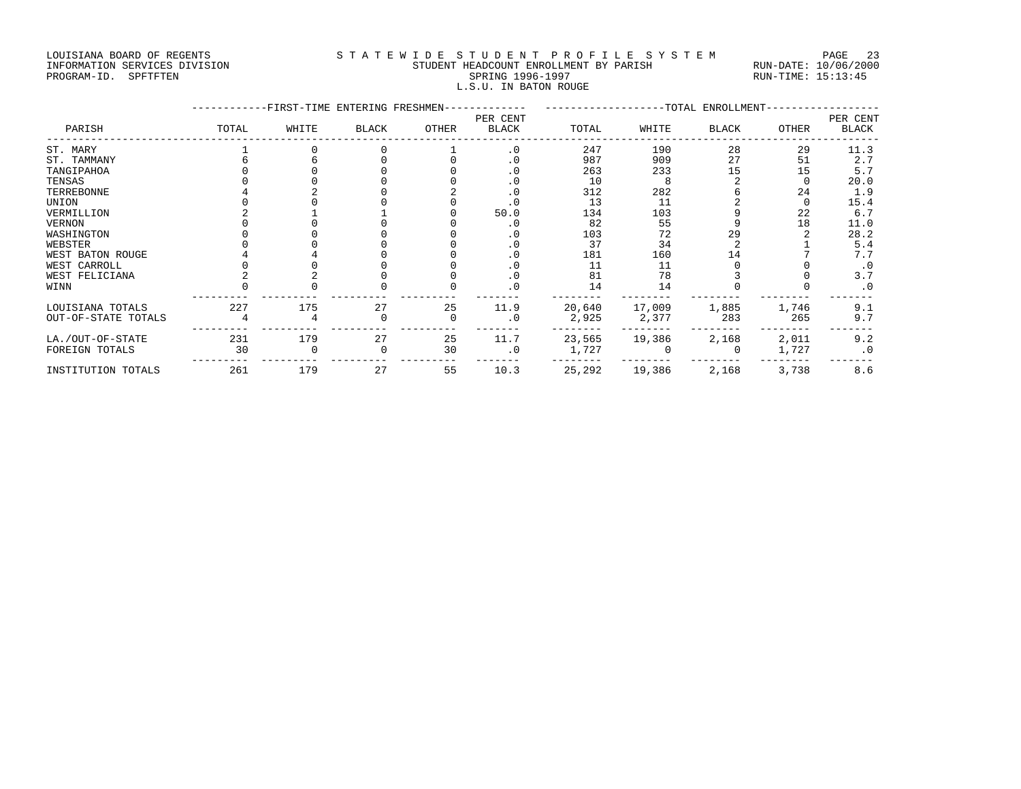## LOUISIANA BOARD OF REGENTS STATEWIDE STUDENT PROFILE SYSTEM PAGE 23 INFORMATION SERVICES DIVISION STUDENT HEADCOUNT ENROLLMENT BY PARISH RUN-DATE: 10/06/2000

# PROGRAM-ID. SPFTFTEN SARE SERING 1996-1997 SPRING 1996-1997 RUN-TIME: 15:13:45 L.S.U. IN BATON ROUGE

|                     |       | -FIRST-TIME ENTERING FRESHMEN- |              |       |                          |        | -------------TOTAL ENROLLMENT- |       |       |                   |
|---------------------|-------|--------------------------------|--------------|-------|--------------------------|--------|--------------------------------|-------|-------|-------------------|
| PARISH              | TOTAL | WHITE                          | <b>BLACK</b> | OTHER | PER CENT<br><b>BLACK</b> | TOTAL  | WHITE                          | BLACK | OTHER | PER CENT<br>BLACK |
| ST. MARY            |       |                                |              |       | $\cdot$ 0                | 247    | 190                            | 28    | 29    | 11.3              |
| ST. TAMMANY         |       |                                |              |       | . 0                      | 987    | 909                            | 27    | 51    | 2.7               |
| TANGIPAHOA          |       |                                |              |       | . 0                      | 263    | 233                            | 15    | 15    | 5.7               |
| TENSAS              |       |                                |              |       | . 0                      | 10     | -8                             |       |       | 20.0              |
| TERREBONNE          |       |                                |              |       |                          | 312    | 282                            |       | 24    | 1.9               |
| UNION               |       |                                |              |       |                          | 13     | 11                             |       |       | 15.4              |
| VERMILLION          |       |                                |              |       | 50.0                     | 134    | 103                            |       | 22    | 6.7               |
| VERNON              |       |                                |              |       | $\cdot$ 0                | 82     | 55                             |       | 18    | 11.0              |
| WASHINGTON          |       |                                |              |       | . 0                      | 103    | 72                             | 29    |       | 28.2              |
| WEBSTER             |       |                                |              |       | . 0                      | 37     | 34                             |       |       | 5.4               |
| WEST BATON ROUGE    |       |                                |              |       |                          | 181    | 160                            | 14    |       | 7.7               |
| WEST CARROLL        |       |                                |              |       | . 0                      | 11     | 11                             |       |       | $\cdot$ 0         |
| WEST FELICIANA      |       |                                |              |       | . 0                      | 81     | 78                             |       |       | 3.7               |
| WINN                |       |                                |              |       | $\Omega$                 | 14     | 14                             |       |       | $\cdot$ 0         |
| LOUISIANA TOTALS    | 227   | 175                            | 27           | 25    | 11.9                     | 20,640 | 17,009                         | 1,885 | 1,746 | 9.1               |
| OUT-OF-STATE TOTALS |       |                                |              | 0     | $\cdot$ 0                | 2,925  | 2,377                          | 283   | 265   | 9.7               |
| LA./OUT-OF-STATE    | 231   | 179                            | 27           | 25    | 11.7                     | 23,565 | 19,386                         | 2,168 | 2,011 | 9.2               |
| FOREIGN TOTALS      | 30    |                                | 0            | 30    | $\cdot$ 0                | 1,727  |                                |       | 1,727 | $\cdot$ 0         |
| INSTITUTION TOTALS  | 261   | 179                            | 27           | 55    | 10.3                     | 25,292 | 19,386                         | 2,168 | 3,738 | 8.6               |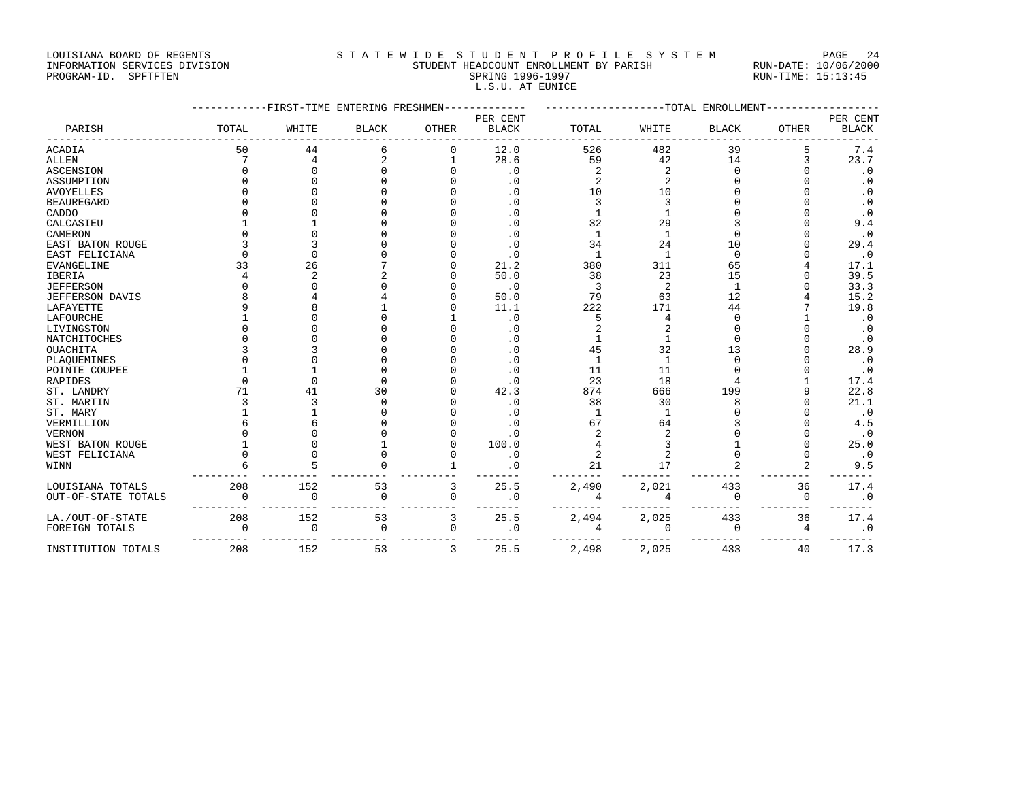### LOUISIANA BOARD OF REGENTS STATEWIDE STUDENT PROFILE SYSTEM PAGE 24 INFORMATION SERVICES DIVISION STUDENT HEADCOUNT ENROLLMENT BY PARISH RUN-DATE: 10/06/2000 PROGRAM-ID. SPFTFTEN SARE SERING 1996-1997 SPRING 1996-1997 RUN-TIME: 15:13:45

|                  |       |                                |              |       | L.S.U. AT EUNICE |       |       |                   |       |           |
|------------------|-------|--------------------------------|--------------|-------|------------------|-------|-------|-------------------|-------|-----------|
|                  |       | -FIRST-TIME ENTERING FRESHMEN- |              |       | PER CENT         |       |       | -TOTAL ENROLLMENT |       | PER CENT  |
| PARISH           | TOTAL | WHITE                          | <b>BLACK</b> | OTHER | <b>BLACK</b>     | TOTAL | WHITE | <b>BLACK</b>      | OTHER | BLACK     |
| ACADIA           | 50    | 44                             |              |       | 12.0             | 526   | 482   | 39                |       | 7.4       |
| ALLEN            |       |                                |              |       | 28.6             | 59    | 42    | 14                |       | 23.7      |
| ASCENSION        |       |                                |              |       | $\cdot$ 0        |       |       |                   |       | . 0       |
| ASSUMPTION       |       |                                |              |       | $\cdot$ 0        |       |       |                   |       | . 0       |
| AVOYELLES        |       |                                |              |       | . 0              |       |       |                   |       | $\cdot$ 0 |
| BEAUREGARD       |       |                                |              |       | $\cdot$ 0        |       |       |                   |       | . 0       |
| CADDO            |       |                                |              |       | . 0              |       |       |                   |       | $\cdot$ 0 |
| CALCASIEU        |       |                                |              |       | . 0              |       | 29    |                   |       | 9.4       |
| CAMERON          |       |                                |              |       | . 0              |       |       |                   |       | $\cdot$ 0 |
| EAST BATON ROUGE |       |                                |              |       | . 0              | 34    | 24    | 10                |       | 29.4      |
| EAST FELICIANA   |       |                                |              |       |                  |       |       |                   |       | $\cdot$ 0 |
| EVANGELINE       |       | 26                             |              |       | 21.2             | 380   | 311   | 65                |       | 17.1      |
| <b>IBERIA</b>    |       |                                |              |       | 50.0             | 38    | 23    | 15                |       | 39.5      |
| JEFFERSON        |       |                                |              |       | $\cdot$ 0        |       |       |                   |       | 33.3      |
| JEFFERSON DAVIS  |       |                                |              |       | 50.0             | 79    | 63    | 12                |       | 15.2      |
| LAFAYETTE        |       |                                |              |       | 11.1             | 222   | 171   | 44                |       | 19.8      |
| LAFOURCHE        |       |                                |              |       | . 0              |       |       |                   |       |           |
| LIVINGSTON       |       |                                |              |       | . 0              |       |       |                   |       | . 0       |
| NATCHITOCHES     |       |                                |              |       | . 0              |       |       |                   |       | $\cdot$ 0 |
| OUACHITA         |       |                                |              |       |                  |       |       |                   |       | 28.9      |
| PLAQUEMINES      |       |                                |              |       |                  |       |       |                   |       | $\cdot$ 0 |
| POINTE COUPEE    |       |                                |              |       |                  |       |       |                   |       |           |

| AVUILLLLD              |          |             |             |          | . U       | Τn    | Τn    |          |    | . U       |
|------------------------|----------|-------------|-------------|----------|-----------|-------|-------|----------|----|-----------|
| <b>BEAUREGARD</b>      |          |             |             |          | $\cdot$ 0 |       |       |          |    | $\cdot$ 0 |
| CADDO                  |          |             |             |          | $\cdot$ 0 |       |       |          |    | $\cdot$ 0 |
| CALCASIEU              |          |             |             |          | $\cdot$ 0 | 32    | 29    |          |    | 9.4       |
| CAMERON                |          |             |             |          | $\cdot$ 0 |       |       |          |    | $\cdot$ 0 |
| EAST BATON ROUGE       |          |             |             |          | $\cdot$ 0 | 34    | 24    | 10       |    | 29.4      |
| EAST FELICIANA         |          |             |             |          | $\cdot$ 0 |       |       | $\Omega$ |    | $\cdot$ 0 |
| <b>EVANGELINE</b>      | 33       | 26          |             |          | 21.2      | 380   | 311   | 65       |    | 17.1      |
| <b>IBERIA</b>          |          | $\sqrt{2}$  |             |          | 50.0      | 38    | 23    | 15       |    | 39.5      |
| <b>JEFFERSON</b>       |          |             |             |          | $\cdot$ 0 |       | 2     |          |    | 33.3      |
| <b>JEFFERSON DAVIS</b> |          |             |             |          | 50.0      | 79    | 63    | 12       |    | 15.2      |
| LAFAYETTE              |          |             |             |          | 11.1      | 222   | 171   | 44       |    | 19.8      |
| LAFOURCHE              |          |             |             |          | $\cdot$ 0 |       |       |          |    | $\cdot$ 0 |
| LIVINGSTON             |          |             |             |          | $\cdot$ 0 |       |       |          |    | $\cdot$ 0 |
| <b>NATCHITOCHES</b>    |          |             |             |          | $\cdot$ 0 |       |       |          |    | $\cdot$ 0 |
| <b>OUACHITA</b>        |          |             |             |          | $\cdot$ 0 | 45    | 32    | 13       |    | 28.9      |
| PLAQUEMINES            |          |             |             |          | $\cdot$ 0 |       |       |          |    | $\cdot$ 0 |
| POINTE COUPEE          |          |             |             |          | $\cdot$ 0 | 11    | 11    |          |    | $\cdot$ 0 |
| RAPIDES                |          |             |             |          | $\cdot$ 0 | 23    | 18    |          |    | 17.4      |
| ST. LANDRY             | 71       | 41          | 30          |          | 42.3      | 874   | 666   | 199      |    | 22.8      |
| ST. MARTIN             |          |             | $\Omega$    |          | $\cdot$ 0 | 38    | 30    |          |    | 21.1      |
| ST. MARY               |          |             |             |          | . 0       |       |       |          |    | $\cdot$ 0 |
| VERMILLION             |          |             |             |          | . 0       | 67    | 64    |          |    | 4.5       |
| <b>VERNON</b>          |          |             |             |          | $\cdot$ 0 |       |       |          |    | $\cdot$ 0 |
| WEST BATON ROUGE       |          |             |             |          | 100.0     |       |       |          |    | 25.0      |
| WEST FELICIANA         |          |             |             |          | $\cdot$ 0 |       |       |          |    | $\cdot$ 0 |
| WINN                   |          |             |             |          | $\cdot$ 0 | 21    | 17    |          |    | 9.5       |
| LOUISIANA TOTALS       | 208      | 152         | 53          | 3        | 25.5      | 2,490 | 2,021 | 433      | 36 | 17.4      |
| OUT-OF-STATE TOTALS    | $\Omega$ | $\Omega$    | $\Omega$    | $\Omega$ | $\cdot$ 0 |       | Δ     | $\Omega$ | 0  | $\cdot$ 0 |
| LA./OUT-OF-STATE       | 208      | 152         | 53          | 3        | 25.5      | 2,494 | 2,025 | 433      | 36 | 17.4      |
| FOREIGN TOTALS         |          | $\mathbf 0$ | $\mathbf 0$ | $\Omega$ | $\cdot$ 0 |       | 0     | Ω        | 4  | $\cdot$ 0 |
| INSTITUTION TOTALS     | 208      | 152         | 53          | 3        | 25.5      | 2,498 | 2,025 | 433      | 40 | 17.3      |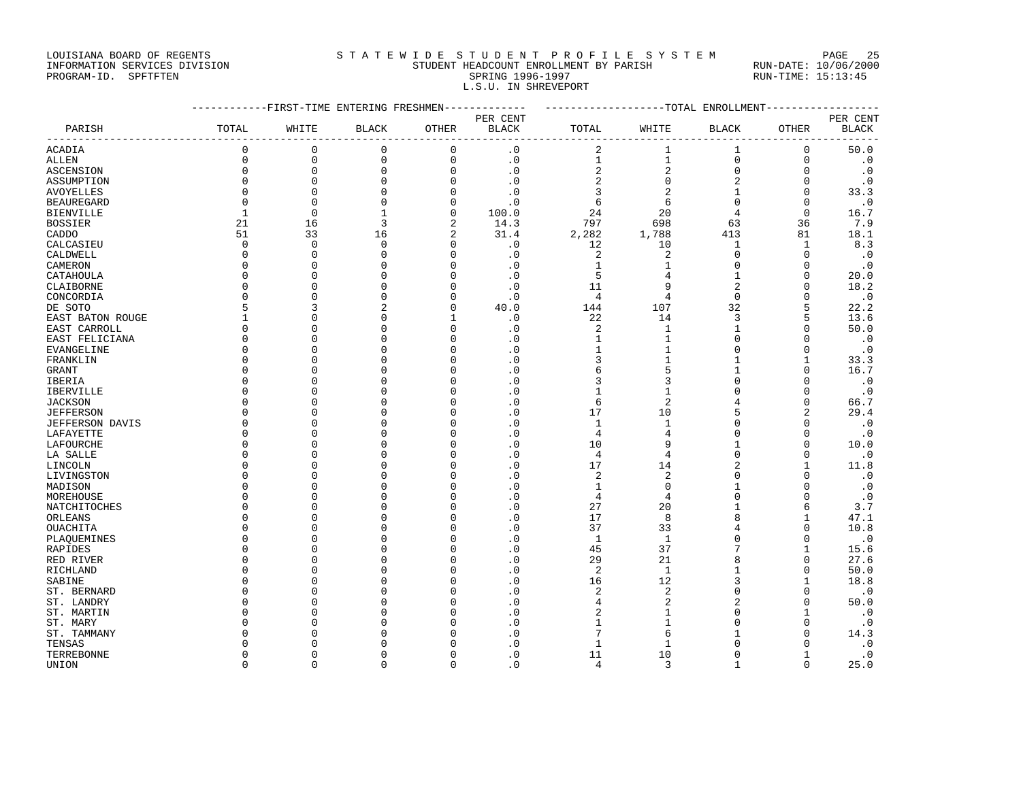### LOUISIANA BOARD OF REGENTS S T A T E W I D E S T U D E N T P R O F I L E S Y S T E M PAGE 25 INFORMATION SERVICES DIVISION STUDENT HEADCOUNT ENROLLMENT BY PARISH RUN-DATE: 10/06/2000

L.S.U. IN SHREVEPORT

PROGRAM-ID. SPFTFTEN SARE SERING 1996-1997 SPRING 1996-1997 RUN-TIME: 15:13:45

|                   |              | ---------FIRST-TIME ENTERING FRESHMEN------------- |                |                |                | ------------------TOTAL ENROLLMENT---------------- |                 |                |                |              |
|-------------------|--------------|----------------------------------------------------|----------------|----------------|----------------|----------------------------------------------------|-----------------|----------------|----------------|--------------|
|                   |              |                                                    |                |                | PER CENT       |                                                    |                 |                |                | PER CENT     |
| PARISH            | TOTAL        | WHITE                                              | <b>BLACK</b>   | OTHER          | BLACK          | TOTAL                                              | WHITE           | BLACK          | OTHER          | <b>BLACK</b> |
| <b>ACADIA</b>     | $\mathbf 0$  | $\mathbf 0$                                        | $\mathbf 0$    | $\mathbf 0$    | $\cdot$ 0      | 2                                                  | $\mathbf{1}$    | $\mathbf{1}$   | $\mathbf 0$    | 50.0         |
| ALLEN             | $\mathbf 0$  | $\mathbf 0$                                        | 0              | $\mathbf 0$    | $\cdot$ 0      | $\mathbf{1}$                                       | $\mathbf{1}$    | $\mathbf 0$    | $\mathbf 0$    | $\cdot$ 0    |
| ASCENSION         | $\Omega$     | $\mathbf 0$                                        | $\mathbf 0$    | $\mathsf{O}$   | $\cdot$ 0      | $\sqrt{2}$                                         | $\sqrt{2}$      | $\mathbf 0$    | $\mathbf 0$    | $\cdot$ 0    |
| ASSUMPTION        | $\Omega$     | $\mathbf 0$                                        | $\Omega$       | $\Omega$       | $\cdot$ 0      | $\sqrt{2}$                                         | $\mathsf 0$     | $\overline{2}$ | $\mathbf 0$    | $\cdot$ 0    |
| AVOYELLES         | $\Omega$     | $\Omega$                                           | $\Omega$       | $\Omega$       | $\cdot$ 0      | 3                                                  | 2               | $\mathbf{1}$   | $\Omega$       | 33.3         |
| <b>BEAUREGARD</b> | $\Omega$     | $\Omega$                                           | $\mathbf 0$    | $\mathbf 0$    | $\cdot$ 0      | 6                                                  | $6\overline{6}$ | $\Omega$       | $\mathbf 0$    | $\cdot$ 0    |
| <b>BIENVILLE</b>  | $\mathbf{1}$ | $\mathbf 0$                                        | $\mathbf{1}$   | $\mathbf 0$    | 100.0          | 24                                                 | 20              | 4              | $\mathbf 0$    | 16.7         |
| <b>BOSSIER</b>    | 21           | 16                                                 | 3              | 2              | 14.3           | 797                                                | 698             | 63             | 36             | 7.9          |
| CADDO             | 51           | 33                                                 | 16             | $\overline{2}$ | 31.4           | 2,282                                              | 1,788           | 413            | 81             | 18.1         |
| CALCASIEU         | $\mathbf 0$  | $\mathbf 0$                                        | $\mathbf 0$    | $\mathbf 0$    | $\cdot$ 0      | 12                                                 | 10              | 1              | 1              | 8.3          |
| CALDWELL          | $\Omega$     | $\Omega$                                           | $\Omega$       | $\Omega$       | $\cdot$ 0      | 2                                                  | 2               | $\Omega$       | $\Omega$       | $\cdot$ 0    |
| CAMERON           | $\Omega$     | $\Omega$                                           | $\Omega$       | $\Omega$       | $\cdot$ 0      | $\mathbf{1}$                                       | $\mathbf{1}$    | $\Omega$       | $\Omega$       | $\cdot$ 0    |
| CATAHOULA         | $\mathbf 0$  | $\Omega$                                           | $\Omega$       | $\mathbf 0$    | $\cdot$ 0      | 5                                                  | 4               | $\mathbf{1}$   | $\mathbf 0$    | 20.0         |
| CLAIBORNE         | $\Omega$     | $\Omega$                                           | $\Omega$       | $\Omega$       | $\cdot$ 0      | 11                                                 | 9               | $\overline{a}$ | $\Omega$       | 18.2         |
| CONCORDIA         | $\mathbf 0$  | $\Omega$                                           | $\Omega$       | $\mathbf 0$    | $\cdot$ 0      | $\overline{4}$                                     | $\overline{4}$  | $\mathbf 0$    | $\mathbf{0}$   | $\cdot$ 0    |
| DE SOTO           | 5            | 3                                                  | $\overline{2}$ | $\mathbf 0$    | 40.0           | 144                                                | 107             | 32             | 5              | 22.2         |
| EAST BATON ROUGE  | $\mathbf{1}$ | $\Omega$                                           | $\Omega$       | 1              | $\cdot$ 0      | 22                                                 | 14              | 3              | 5              | 13.6         |
| EAST CARROLL      | $\mathbf 0$  | $\Omega$                                           | $\Omega$       | $\Omega$       | $\cdot$ 0      | 2                                                  | 1               | $\mathbf{1}$   | $\Omega$       | 50.0         |
| EAST FELICIANA    | $\Omega$     | $\Omega$                                           | U              | $\Omega$       | $\cdot$ 0      | $\mathbf{1}$                                       | $\mathbf{1}$    | $\Omega$       | $\Omega$       | $\cdot$ 0    |
| EVANGELINE        | $\Omega$     | $\Omega$                                           | $\cap$         | $\Omega$       | $\cdot$ 0      | $\mathbf{1}$                                       | $\mathbf{1}$    | $\Omega$       | $\Omega$       | $\cdot$ 0    |
| FRANKLIN          | $\mathbf 0$  | $\Omega$                                           | $\cap$         | $\Omega$       | $\cdot$ 0      | 3                                                  | $\mathbf{1}$    |                | $\mathbf{1}$   | 33.3         |
| <b>GRANT</b>      | $\Omega$     | $\Omega$                                           | U              | $\Omega$       | $\Omega$       | 6                                                  | 5               |                | $\Omega$       | 16.7         |
| <b>IBERIA</b>     | $\mathbf 0$  | $\Omega$                                           | $\Omega$       | $\Omega$       | $\cdot$ 0      | 3                                                  | 3               | $\Omega$       | $\mathbf{0}$   | $\cdot$ 0    |
| IBERVILLE         | $\Omega$     | $\Omega$                                           |                | $\Omega$       | $\cdot$ 0      | $\mathbf 1$                                        | $\mathbf{1}$    |                | $\Omega$       | $\cdot$ 0    |
| <b>JACKSON</b>    | $\Omega$     | $\Omega$                                           |                | $\Omega$       | $\cdot$ 0      | 6                                                  | 2               |                | $\Omega$       | 66.7         |
| <b>JEFFERSON</b>  | $\Omega$     | $\Omega$                                           | U              | $\Omega$       | $\overline{0}$ | 17                                                 | 10              | 5              | $\overline{a}$ | 29.4         |
| JEFFERSON DAVIS   | $\mathbf 0$  | $\Omega$                                           | U              | $\Omega$       | $\cdot$ 0      | $\mathbf{1}$                                       | $\mathbf{1}$    | $\Omega$       | $\mathbf{0}$   | $\cdot$ 0    |
| LAFAYETTE         | $\mathbf 0$  | $\Omega$                                           |                | $\Omega$       | $\cdot$ 0      | 4                                                  | $\overline{4}$  | $\Omega$       | $\Omega$       | $\cdot$ 0    |
| LAFOURCHE         | $\Omega$     | $\Omega$                                           |                | $\Omega$       | $\cdot$ 0      | 10                                                 | 9               |                | $\Omega$       | 10.0         |
| LA SALLE          | $\Omega$     | $\Omega$                                           | U              | $\Omega$       | $\cdot$ 0      | 4                                                  | $\overline{4}$  | $\Omega$       | $\Omega$       | $\cdot$ 0    |
| LINCOLN           | $\Omega$     | $\Omega$                                           | $\cap$         | $\Omega$       | $\cdot$ 0      | 17                                                 | 14              | $\overline{a}$ | $\mathbf{1}$   | 11.8         |
| LIVINGSTON        | $\Omega$     | $\Omega$                                           | U              | $\Omega$       | $\cdot$ 0      | 2                                                  | $\overline{c}$  | $\Omega$       | $\Omega$       | $\cdot$ 0    |
| MADISON           | $\Omega$     | $\Omega$                                           | $\Omega$       | $\Omega$       | $\cdot$ 0      | $\mathbf{1}$                                       | $\mathbf 0$     |                | $\Omega$       | $\cdot$ 0    |
| MOREHOUSE         | $\Omega$     | $\Omega$                                           | $\cap$         | $\Omega$       | $\cdot$ 0      | $\overline{4}$                                     | $\overline{4}$  | $\Omega$       | $\Omega$       | $\cdot$ 0    |
| NATCHITOCHES      | $\Omega$     | $\Omega$                                           | U              | $\Omega$       | $\cdot$ 0      | 27                                                 | 20              |                | 6              | 3.7          |
| ORLEANS           | $\Omega$     | $\Omega$                                           | U              | 0              | $\cdot$ 0      | 17                                                 | 8               | 8              | $\mathbf{1}$   | 47.1         |
| OUACHITA          | $\Omega$     | $\Omega$                                           | $\cap$         | $\Omega$       | $\cdot$ 0      | 37                                                 | 33              |                | $\Omega$       | 10.8         |
| PLAQUEMINES       | $\Omega$     | $\Omega$                                           |                | $\Omega$       | $\cdot$ 0      | 1                                                  | 1               | $\Omega$       | $\Omega$       | $\cdot$ 0    |
| RAPIDES           | $\Omega$     | $\cap$                                             | U              | $\Omega$       | $\cdot$ 0      | 45                                                 | 37              | 7              | $\mathbf{1}$   | 15.6         |
| RED RIVER         | $\Omega$     | $\Omega$                                           | U              | $\Omega$       | $\cdot$ 0      | 29                                                 | 21              | 8              | $\mathbf 0$    | 27.6         |
| RICHLAND          | $\Omega$     | $\Omega$                                           |                | $\Omega$       | $\cdot$ 0      | 2                                                  | 1               |                | $\mathbf{0}$   | 50.0         |
| SABINE            | $\Omega$     | $\Omega$                                           |                | $\Omega$       | $\cdot$ 0      | 16                                                 | 12              | 3              | $\mathbf{1}$   | 18.8         |
| ST. BERNARD       | $\Omega$     | $\Omega$                                           |                | $\Omega$       | $\overline{0}$ | 2                                                  | $\overline{c}$  | $\Omega$       | $\Omega$       | $\cdot$ 0    |
| ST. LANDRY        | $\Omega$     | $\Omega$                                           | U              | U              | $\cdot$ 0      | 4                                                  | $\overline{2}$  | $\overline{c}$ | $\mathbf{0}$   | 50.0         |
| ST. MARTIN        | $\Omega$     | $\Omega$                                           |                | $\Omega$       | $\cdot$ 0      | 2                                                  | $\mathbf{1}$    | $\Omega$       | $\mathbf{1}$   | $\cdot$ 0    |
| ST. MARY          | $\Omega$     | $\Omega$                                           |                | U              | $\cdot$ 0      | $\mathbf{1}$                                       | $\mathbf{1}$    | $\Omega$       | $\Omega$       | $\cdot$ 0    |
| ST. TAMMANY       | $\Omega$     | $\cap$                                             |                | O              | . 0            | 7                                                  | 6               |                | $\Omega$       | 14.3         |
| TENSAS            | ∩            | ∩                                                  |                | U              | $\Omega$       | $\mathbf{1}$                                       | $\mathbf{1}$    | $\Omega$       | $\Omega$       | $\cdot$ 0    |
| TERREBONNE        | $\Omega$     | $\Omega$                                           |                | U              | $\cdot$ 0      | 11                                                 | 10              | $\Omega$       | $\mathbf{1}$   | $\cdot$ 0    |
| UNION             | $\Omega$     | $\Omega$                                           | $\Omega$       | $\Omega$       | $\cdot$ 0      | $\overline{4}$                                     | $\overline{3}$  | $\mathbf{1}$   | $\Omega$       | 25.0         |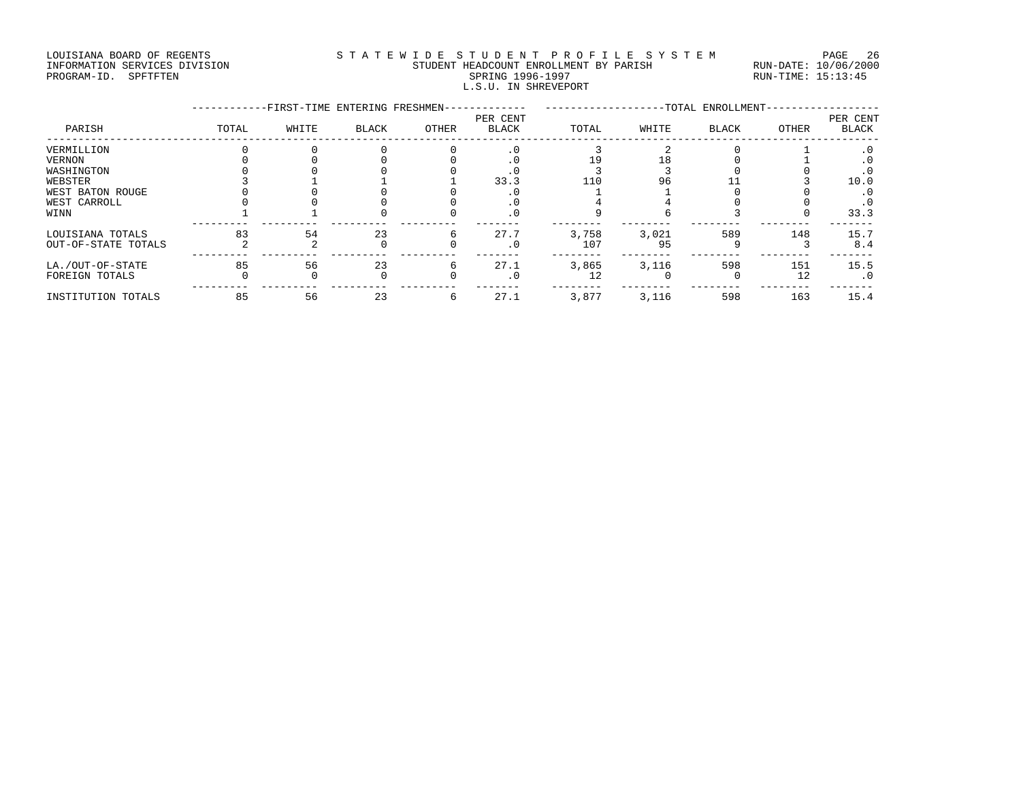### LOUISIANA BOARD OF REGENTS STATEWIDE STUDENT PROFILE SYSTEM PAGE 26 INFORMATION SERVICES DIVISION STUDENT HEADCOUNT ENROLLMENT BY PARISH RUN-DATE: 10/06/2000 PROGRAM-ID. SPFTFTEN SARE SERING 1996-1997 SPRING 1996-1997 RUN-TIME: 15:13:45 L.S.U. IN SHREVEPORT

|                     |       | -FIRST-TIME ENTERING FRESHMEN- |              |       |                          |       |       | -TOTAL ENROLLMENT- |       |                          |
|---------------------|-------|--------------------------------|--------------|-------|--------------------------|-------|-------|--------------------|-------|--------------------------|
| PARISH              | TOTAL | WHITE                          | <b>BLACK</b> | OTHER | PER CENT<br><b>BLACK</b> | TOTAL | WHITE | <b>BLACK</b>       | OTHER | PER CENT<br><b>BLACK</b> |
| VERMILLION          |       |                                |              |       | $\cdot$ 0                |       |       |                    |       | . 0                      |
| VERNON              |       |                                |              |       |                          |       |       |                    |       | . 0                      |
| WASHINGTON          |       |                                |              |       |                          |       |       |                    |       | . 0                      |
| WEBSTER             |       |                                |              |       | 33.3                     | 110   | 96    |                    |       | 10.0                     |
| WEST BATON ROUGE    |       |                                |              |       |                          |       |       |                    |       | . 0                      |
| WEST CARROLL        |       |                                |              |       |                          |       |       |                    |       | . 0                      |
| WINN                |       |                                |              |       | $\cdot$ 0                |       |       |                    |       | 33.3                     |
| LOUISIANA TOTALS    | 83    | 54                             | 23           | 6     | 27.7                     | 3,758 | 3,021 | 589                | 148   | 15.7                     |
| OUT-OF-STATE TOTALS |       |                                |              |       | . 0                      | 107   | 95    |                    |       | 8.4                      |
| LA./OUT-OF-STATE    | 85    | 56                             | 23           | 6     | 27.1                     | 3,865 | 3,116 | 598                | 151   | 15.5                     |
| FOREIGN TOTALS      |       |                                |              |       |                          | 12    |       |                    | 12    | $\cdot$ 0                |
| INSTITUTION TOTALS  | 85    | 56                             | 23           | 6     | 27.1                     | 3,877 | 3,116 | 598                | 163   | 15.4                     |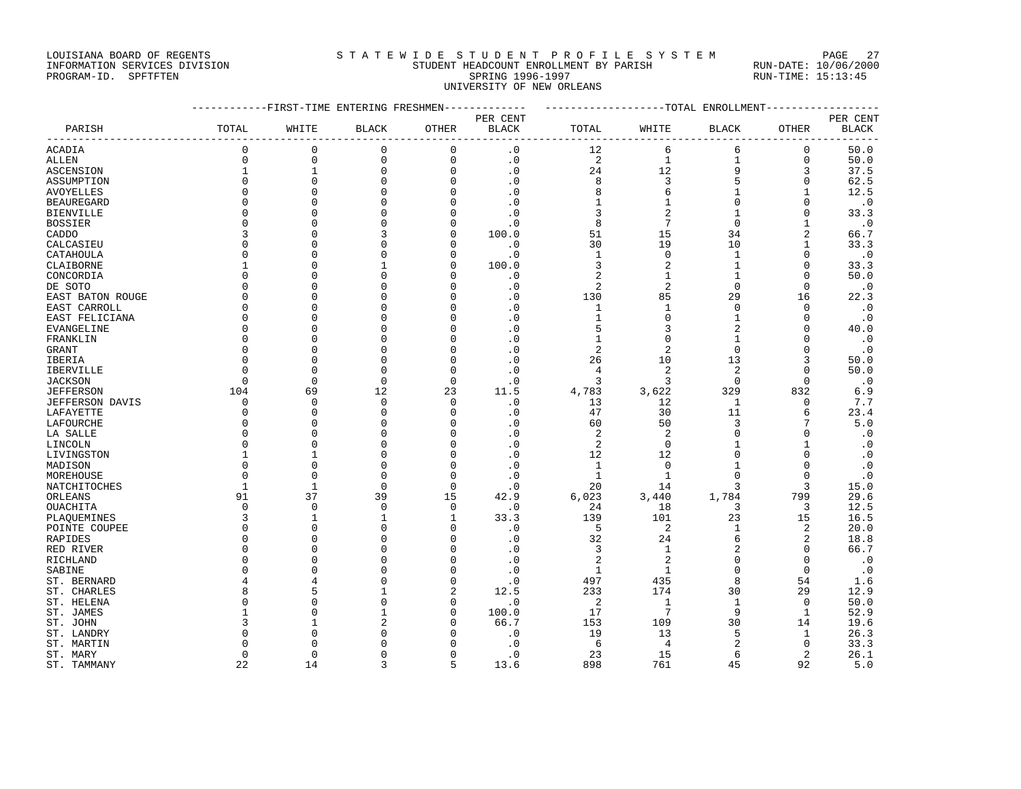## LOUISIANA BOARD OF REGENTS STATEWIDE STUDENT PROFILE SYSTEM PAGE 27 INFORMATION SERVICES DIVISION STUDENT HEADCOUNT ENROLLMENT BY PARISH RUN-DATE: 10/06/2000

# PROGRAM-ID. SPFTFTEN SARE SERING 1996-1997 SPRING 1996-1997 RUN-TIME: 15:13:45 UNIVERSITY OF NEW ORLEANS

|                             | -----------FIRST-TIME ENTERING FRESHMEN------------- |                          |              |                |                        | ------------------TOTAL ENROLLMENT----------------- |                    |                     |                               |              |
|-----------------------------|------------------------------------------------------|--------------------------|--------------|----------------|------------------------|-----------------------------------------------------|--------------------|---------------------|-------------------------------|--------------|
|                             |                                                      |                          |              |                | PER CENT               |                                                     |                    |                     |                               | PER CENT     |
| PARISH                      | TOTAL                                                | WHITE                    | <b>BLACK</b> | OTHER          | <b>BLACK</b>           | TOTAL                                               | WHITE              | <b>BLACK</b>        | OTHER                         | <b>BLACK</b> |
| ACADIA                      | $\mathbf 0$                                          | 0                        | 0            | $\mathbf{0}$   | $\cdot$ 0              | 12                                                  | 6                  | 6                   | 0                             | 50.0         |
| <b>ALLEN</b>                | $\mathbf 0$                                          | $\mathbf{0}$             | 0            | $\mathsf{O}$   | $\cdot$ 0              | $\overline{2}$                                      | $\mathbf{1}$       | $\mathbf{1}$        | $\mathbf 0$                   | 50.0         |
| <b>ASCENSION</b>            | $\mathbf{1}$                                         | $\mathbf 1$              | 0            | $\mathbf 0$    | $\cdot$ 0              | 24                                                  | 12                 | 9                   | 3                             | 37.5         |
| ASSUMPTION                  | $\Omega$                                             | $\mathbf{0}$             | $\Omega$     | $\mathbf 0$    | $\cdot$ 0              | 8                                                   | $\mathbf{3}$       | 5                   | $\mathbf 0$                   | 62.5         |
| AVOYELLES                   | $\Omega$                                             | $\Omega$                 |              | $\Omega$       | $\cdot$ 0              | 8                                                   | 6                  | $\mathbf{1}$        | $\mathbf{1}$                  | 12.5         |
| <b>BEAUREGARD</b>           | $\Omega$                                             | $\mathbf{0}$             | U            | $\Omega$       | $\cdot$ 0              | 1                                                   | $\mathbf{1}$       | $\mathbf 0$         | $\mathbf 0$                   | $\cdot$ 0    |
| <b>BIENVILLE</b>            | $\Omega$                                             | $\Omega$                 | O            | $\Omega$       | $\cdot$ 0              | 3                                                   | $\overline{2}$     | $\mathbf{1}$        | $\Omega$                      | 33.3         |
| <b>BOSSIER</b>              | $\Omega$                                             | $\Omega$                 |              | $\Omega$       | $\cdot$ 0              | 8                                                   | $\overline{7}$     | $\Omega$            | $\mathbf{1}$                  | $\cdot$ 0    |
| CADDO                       | 3                                                    | $\mathbf{0}$             |              | 0              | 100.0                  | 51                                                  | 15                 | 34                  | 2                             | 66.7         |
| CALCASIEU                   | $\Omega$                                             | $\Omega$                 |              | $\Omega$       | $\cdot$ 0              | 30                                                  | 19                 | 10                  | $\mathbf{1}$                  | 33.3         |
| CATAHOULA                   | ∩                                                    | $\mathbf{0}$             | C            | 0              | $\cdot$ 0              | 1                                                   | $\mathbf 0$        | $\mathbf{1}$        | 0                             | $\cdot$ 0    |
| CLAIBORNE                   |                                                      | $\Omega$                 |              | $\Omega$       | 100.0                  | 3                                                   | $\overline{2}$     | $\mathbf{1}$        | $\Omega$                      | 33.3         |
| CONCORDIA                   | $\Omega$                                             | $\mathbf{0}$             | U            | $\Omega$       | $\cdot$ 0              | 2                                                   | $\mathbf{1}$       | $\mathbf{1}$        | 0                             | 50.0         |
| DE SOTO                     | $\Omega$                                             | $\Omega$                 |              | $\Omega$       | $\cdot$ 0              | 2                                                   | 2                  | $\Omega$            | $\Omega$                      | $\cdot$ 0    |
| EAST BATON ROUGE            | $\Omega$                                             | $\mathbf{0}$             |              | $\Omega$       | $\cdot$ 0              | 130                                                 | 85                 | 29                  | 16                            | 22.3         |
| EAST CARROLL                | $\Omega$                                             | $\Omega$                 | C            | $\cap$         | $\cdot$ 0              | 1                                                   | $\mathbf{1}$       | $\Omega$            | $\Omega$                      | $\cdot$ 0    |
| EAST FELICIANA              | $\Omega$                                             | $\Omega$                 |              | $\Omega$       | $\cdot$ 0              | $\mathbf{1}$                                        | $\mathbf 0$        | $\mathbf{1}$        | $\Omega$                      | $\cdot$ 0    |
| EVANGELINE                  | $\Omega$                                             | $\Omega$                 |              | $\Omega$       | $\cdot$ 0              | 5                                                   | 3                  | $\overline{2}$      | $\Omega$                      | 40.0         |
| FRANKLIN                    | $\Omega$                                             | $\Omega$                 |              | $\Omega$       | $\cdot$ 0              | $\mathbf 1$                                         | $\mathbf 0$        | $\mathbf{1}$        | $\Omega$                      | $\cdot$ 0    |
| <b>GRANT</b>                | <sup>0</sup>                                         | $\Omega$                 | C            | $\Omega$       | $\cdot$ 0              | $\overline{2}$                                      | $\overline{2}$     | $\Omega$            | 0                             | $\cdot$ 0    |
| IBERIA                      |                                                      | $\Omega$                 | C            | $\Omega$       | $\cdot$ 0              | 26                                                  | 10                 | 13                  | 3                             | 50.0         |
| IBERVILLE                   |                                                      | $\mathbf{0}$             | 0            | 0              | $\cdot$ 0              | 4                                                   | $\overline{c}$     | $\overline{2}$      | 0                             | 50.0         |
| <b>JACKSON</b>              | $\Omega$                                             | $\Omega$                 | $\Omega$     | $\Omega$       | $\cdot$ 0              | 3                                                   | 3                  | $\Omega$            | $\Omega$                      | $\cdot$ 0    |
| <b>JEFFERSON</b>            | 104                                                  | 69                       | 12           | 23             | 11.5                   | 4,783                                               | 3,622              | 329                 | 832                           | 6.9          |
| <b>JEFFERSON DAVIS</b>      | $\Omega$                                             | $\Omega$                 | $\Omega$     | $\Omega$       | $\cdot$ 0              | 13                                                  | 12                 | $\mathbf{1}$        | $\Omega$                      | 7.7          |
| LAFAYETTE                   | 0                                                    | $\mathbf{0}$             | $\Omega$     | 0              | $\cdot$ 0              | 47                                                  | 30                 | 11                  | 6                             | 23.4         |
| LAFOURCHE                   | $\Omega$                                             | $\Omega$                 | C            | $\Omega$       | $\cdot$ 0              | 60                                                  | 50                 | 3                   | 7                             | 5.0          |
| LA SALLE                    | $\Omega$                                             | $\mathbf{0}$             |              | $\Omega$       | $\cdot$ 0              | 2                                                   | 2                  | $\Omega$            | $\mathbf 0$                   | $\cdot$ 0    |
| LINCOLN                     | $\Omega$                                             | $\Omega$                 | U            | $\Omega$       | $\cdot$ 0              | 2                                                   | $\mathbf 0$        | -1                  | $\mathbf{1}$                  | $\cdot$ 0    |
| LIVINGSTON                  |                                                      | $\mathbf{1}$             | C            | $\Omega$       | $\cdot$ 0              | 12                                                  | 12                 | $\Omega$            | $\mathbf 0$                   | $\cdot$ 0    |
| MADISON                     | $\Omega$                                             | $\mathbf{0}$             | C            | $\mathbf 0$    | $\cdot$ 0              | 1                                                   | $\mathbf{0}$       | -1                  | 0                             | $\cdot$ 0    |
| MOREHOUSE                   | $\Omega$                                             | $\Omega$                 | $\Omega$     | $\mathbf 0$    | $\cdot$ 0              | $\mathbf{1}$                                        | $\mathbf{1}$       |                     | $\Omega$                      | $\cdot$ 0    |
| NATCHITOCHES                | $\mathbf{1}$                                         | $\mathbf{1}$             | $\Omega$     | $\Omega$       | $\cdot$ 0              | 20                                                  | 14                 |                     | 3                             | 15.0         |
| ORLEANS                     | 91                                                   | 37                       | 39           | 15             | 42.9                   | 6,023                                               | 3,440              | 1,784               | 799                           | 29.6         |
| OUACHITA                    | 0                                                    | $\mathbf{0}$             | 0            | 0              | $\cdot$ 0              | 24                                                  | 18                 | 3                   | 3                             | 12.5         |
| PLAQUEMINES                 | 3                                                    | $\mathbf{1}$             | $\mathbf{1}$ | 1              | 33.3                   | 139                                                 | 101                | 23                  | 15                            | 16.5         |
| POINTE COUPEE               | 0<br>$\Omega$                                        | $\mathbf{0}$             | C            | 0<br>$\Omega$  | $\cdot$ 0              | 5                                                   | $\overline{c}$     | $\mathbf{1}$        | 2                             | 20.0         |
| <b>RAPIDES</b><br>RED RIVER | $\Omega$                                             | $\Omega$<br>$\mathbf{0}$ | C            | $\Omega$       | $\cdot$ 0<br>$\cdot$ 0 | 32<br>3                                             | 24<br>$\mathbf{1}$ | 6<br>$\overline{2}$ | $\overline{2}$<br>$\mathbf 0$ | 18.8<br>66.7 |
| RICHLAND                    | ∩                                                    | $\Omega$                 | C            | $\Omega$       | $\cdot$ 0              | $\overline{2}$                                      | 2                  | $\Omega$            | $\Omega$                      | $\cdot$ 0    |
| SABINE                      |                                                      | $\Omega$                 |              | $\mathbf 0$    | $\cdot$ 0              | $\mathbf{1}$                                        | $\mathbf{1}$       | $\Omega$            | $\mathbf 0$                   | $\cdot$ 0    |
| ST. BERNARD                 |                                                      | 4                        | C            | $\Omega$       | $\cdot$ 0              | 497                                                 | 435                | 8                   | 54                            | 1.6          |
| ST. CHARLES                 | <sub>8</sub>                                         | 5                        | -1           | $\overline{2}$ | 12.5                   | 233                                                 | 174                | 30                  | 29                            | 12.9         |
| ST. HELENA                  |                                                      | $\Omega$                 | C            | 0              | $\cdot$ 0              | 2                                                   | $\mathbf{1}$       | $\mathbf{1}$        | 0                             | 50.0         |
| ST. JAMES                   |                                                      | $\Omega$                 |              | $\mathbf 0$    | 100.0                  | 17                                                  | $7\phantom{.0}$    | 9                   | 1                             | 52.9         |
| ST. JOHN                    |                                                      | 1                        |              | $\Omega$       | 66.7                   | 153                                                 | 109                | 30                  | 14                            | 19.6         |
| ST. LANDRY                  |                                                      | $\Omega$                 |              | $\cap$         | $\cdot$ 0              | 19                                                  | 13                 | 5                   | 1                             | 26.3         |
| ST. MARTIN                  |                                                      | $\Omega$                 |              | $\Omega$       | $\cdot$ 0              | 6                                                   | 4                  | 2                   | 0                             | 33.3         |
| ST. MARY                    | <sup>0</sup>                                         | $\mathbf{0}$             |              | $\Omega$       | $\cdot$ 0              | 23                                                  | 15                 | 6                   | 2                             | 26.1         |
| ST. TAMMANY                 | 22                                                   | 14                       | ζ            | 5              | 13.6                   | 898                                                 | 761                | 45                  | 92                            | 5.0          |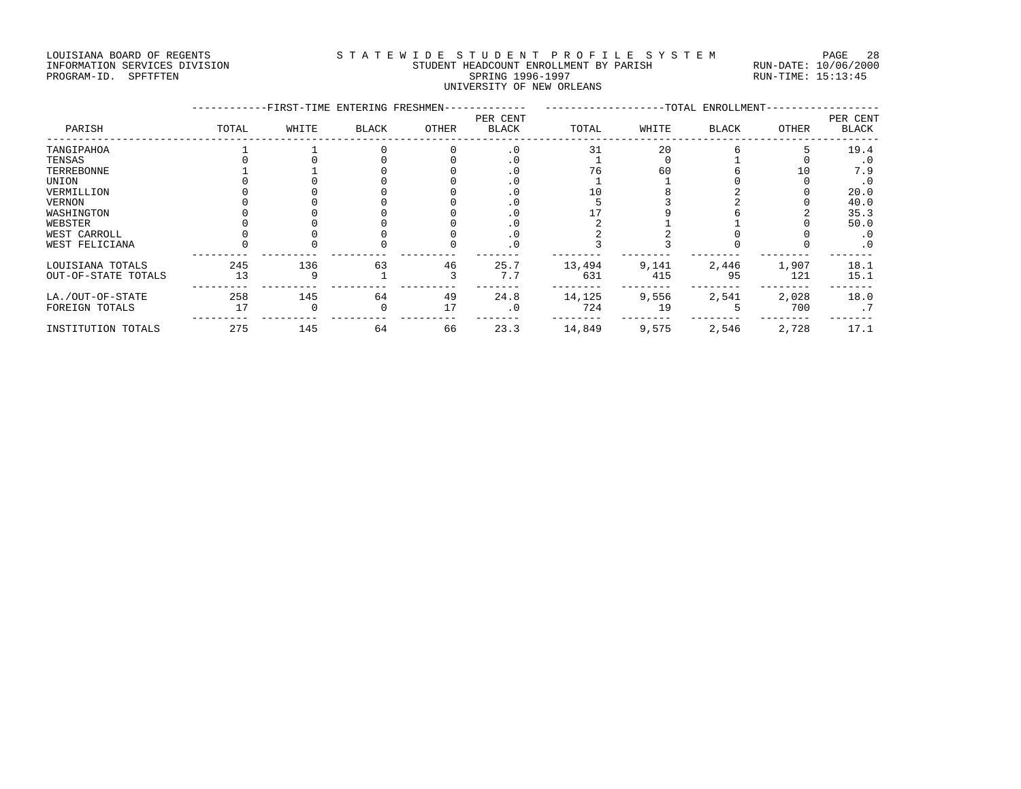### LOUISIANA BOARD OF REGENTS STATEWIDE STUDENT PROFILE SYSTEM PAGE 28 INFORMATION SERVICES DIVISION STUDENT HEADCOUNT ENROLLMENT BY PARISH RUN-DATE: 10/06/2000 PROGRAM-ID. SPFTFTEN SARE SERING 1996-1997 SPRING 1996-1997 RUN-TIME: 15:13:45 UNIVERSITY OF NEW ORLEANS

|                     |       | -FIRST-TIME ENTERING FRESHMEN- |              | -TOTAL ENROLLMENT-<br>PER CENT |              |        |       |       | PER CENT |              |
|---------------------|-------|--------------------------------|--------------|--------------------------------|--------------|--------|-------|-------|----------|--------------|
| PARISH              | TOTAL | WHITE                          | <b>BLACK</b> | OTHER                          | <b>BLACK</b> | TOTAL  | WHITE | BLACK | OTHER    | <b>BLACK</b> |
| TANGIPAHOA          |       |                                |              |                                | $\cdot$ 0    | 31     | 20    |       |          | 19.4         |
| TENSAS              |       |                                |              |                                | . 0          |        |       |       |          | $\cdot$ 0    |
| TERREBONNE          |       |                                |              |                                | . 0          | 76     | 60    |       | 10       | 7.9          |
| UNION               |       |                                |              |                                | . 0          |        |       |       |          | $\cdot$ 0    |
| VERMILLION          |       |                                |              |                                | $\cdot$ 0    |        |       |       |          | 20.0         |
| VERNON              |       |                                |              |                                | . 0          |        |       |       |          | 40.0         |
| WASHINGTON          |       |                                |              |                                | . 0          |        |       |       |          | 35.3         |
| WEBSTER             |       |                                |              |                                | . 0          |        |       |       |          | 50.0         |
| WEST CARROLL        |       |                                |              |                                | . 0          |        |       |       |          | . 0          |
| WEST FELICIANA      |       |                                |              |                                | $\cdot$ 0    |        |       |       |          | $\cdot$ 0    |
| LOUISIANA TOTALS    | 245   | 136                            | 63           | 46                             | 25.7         | 13,494 | 9,141 | 2,446 | 1,907    | 18.1         |
| OUT-OF-STATE TOTALS | 13    | 9                              |              |                                | 7.7          | 631    | 415   | 95    | 121      | 15.1         |
| LA./OUT-OF-STATE    | 258   | 145                            | 64           | 49                             | 24.8         | 14,125 | 9,556 | 2,541 | 2,028    | 18.0         |
| FOREIGN TOTALS      | 17    |                                | $\Omega$     | 17                             | $\cdot$ 0    | 724    | 19    |       | 700      | .7           |
| INSTITUTION TOTALS  | 275   | 145                            | 64           | 66                             | 23.3         | 14,849 | 9,575 | 2,546 | 2,728    | 17.1         |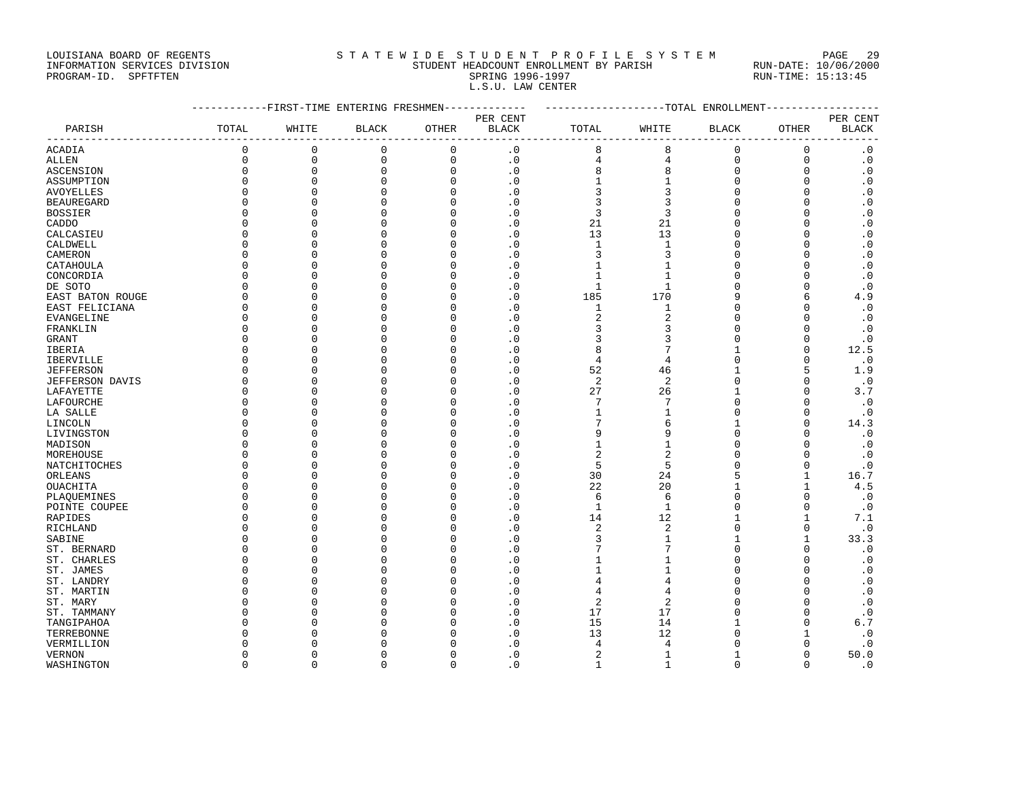LOUISIANA BOARD OF REGENTS STA TEWIDE STUDENT PROFILE SYSTEM PAGE 29 INFORMATION SERVICES DIVISION STUDENT HEADCOUNT ENROLLMENT BY PARISH RUN-DATE: 10/06/2000 PROGRAM-ID. SPFTFTEN SARE SERING 1996-1997 SPRING 1996-1997 RUN-TIME: 15:13:45

|                   | -----------FIRST-TIME ENTERING FRESHMEN------------- |              |                     |                     |                | -------------------TOTAL ENROLLMENT--------------- |                |              |              |                        |
|-------------------|------------------------------------------------------|--------------|---------------------|---------------------|----------------|----------------------------------------------------|----------------|--------------|--------------|------------------------|
|                   |                                                      |              |                     |                     | PER CENT       |                                                    |                |              |              | PER CENT               |
| PARISH            | TOTAL                                                | WHITE        | BLACK               | OTHER               | BLACK          | TOTAL                                              | WHITE          | BLACK        | OTHER        | <b>BLACK</b>           |
| <b>ACADIA</b>     | $\mathbf 0$                                          | $\mathbf 0$  | 0                   | $\mathbf 0$         | $\cdot$ 0      | 8                                                  | $\,8\,$        | $\Omega$     | $\mathbf 0$  | $\cdot$ 0              |
| ALLEN             | $\mathbf 0$                                          | $\mathbf 0$  | $\mathsf{O}\xspace$ | $\mathsf{O}\xspace$ | $\cdot$ 0      | $\overline{4}$                                     | $\overline{4}$ | $\mathsf 0$  | $\mathbf 0$  | $\boldsymbol{\cdot}$ 0 |
| <b>ASCENSION</b>  | $\Omega$                                             | $\mathbf 0$  | $\mathbf 0$         | $\mathbf 0$         | $\cdot$ 0      | 8                                                  | 8              | $\mathbf 0$  | $\mathbf{0}$ | $\cdot$ 0              |
| ASSUMPTION        | $\Omega$                                             | $\mathbf 0$  | $\mathbf 0$         | $\Omega$            | $\cdot$ 0      | $\mathbf 1$                                        | $\mathbf 1$    | $\mathbf 0$  | $\mathbf 0$  | $\cdot$ 0              |
| <b>AVOYELLES</b>  | $\mathbf 0$                                          | $\mathbf 0$  | $\mathbf 0$         | $\mathbf 0$         | $\cdot$ 0      | $\mathbf{3}$                                       | $\mathsf 3$    | $\mathbf 0$  | $\mathbf 0$  | $\cdot$ 0              |
| <b>BEAUREGARD</b> | $\Omega$                                             | $\Omega$     | $\Omega$            | $\Omega$            | $\cdot$ 0      | 3                                                  | $\mathbf{3}$   | $\Omega$     | $\Omega$     | $\cdot$ 0              |
| <b>BOSSIER</b>    | $\Omega$                                             | $\Omega$     | $\Omega$            | $\Omega$            | $\cdot$ 0      | $\overline{3}$                                     | $\overline{3}$ | $\Omega$     | $\Omega$     | $\cdot$ 0              |
| CADDO             | $\Omega$                                             | $\mathbf{0}$ | $\Omega$            | $\mathbf 0$         | $\cdot$ 0      | 21                                                 | 21             | $\mathbf 0$  | $\mathbf 0$  | $\cdot$ 0              |
| CALCASIEU         | $\mathbf 0$                                          | $\Omega$     | $\Omega$            | $\Omega$            | $\cdot$ 0      | 13                                                 | 13             | $\Omega$     | $\Omega$     | $\boldsymbol{\cdot}$ 0 |
| CALDWELL          | $\Omega$                                             | $\Omega$     | <sup>0</sup>        | $\Omega$            | $\cdot$ 0      | $\mathbf{1}$                                       | $\mathbf{1}$   | $\Omega$     | $\Omega$     | $\cdot$ 0              |
| CAMERON           | $\Omega$                                             | $\Omega$     | $\Omega$            | $\Omega$            | $\cdot$ 0      | $\overline{3}$                                     | $\overline{3}$ | $\Omega$     | $\Omega$     | $\cdot$ 0              |
| CATAHOULA         | $\mathbf 0$                                          | $\Omega$     | $\Omega$            | $\mathbf 0$         | $\cdot$ 0      | $\mathbf 1$                                        | $\mathbf{1}$   | $\Omega$     | $\mathbf{0}$ | $\cdot$ 0              |
| CONCORDIA         | $\Omega$                                             | $\Omega$     | $\cap$              | $\Omega$            | $\cdot$ 0      | $\mathbf{1}$                                       | $\mathbf{1}$   | $\Omega$     | $\Omega$     | $\cdot$ 0              |
| DE SOTO           | $\Omega$                                             | $\Omega$     | $\cap$              | $\Omega$            | $\cdot$ 0      | $\mathbf{1}$                                       | $\mathbf{1}$   | $\Omega$     | $\Omega$     | $\cdot$ 0              |
| EAST BATON ROUGE  | $\mathbf 0$                                          | $\Omega$     | $\Omega$            | $\Omega$            | $\cdot$ 0      | 185                                                | 170            | 9            | 6            | 4.9                    |
| EAST FELICIANA    | $\mathbf 0$                                          | $\Omega$     | U                   | 0                   | $\cdot$ 0      | $\mathbf{1}$                                       | $1\,$          | $\Omega$     | $\mathbf{0}$ | $\cdot$ 0              |
| EVANGELINE        | $\Omega$                                             | $\Omega$     | $\cap$              | $\Omega$            | $\cdot$ 0      | 2                                                  | $\overline{2}$ | $\Omega$     | $\Omega$     | $\cdot$ 0              |
| FRANKLIN          | $\Omega$                                             | $\Omega$     | $\cap$              | $\Omega$            | $\cdot$ 0      | 3                                                  | 3              | $\Omega$     | $\Omega$     | $\cdot$ 0              |
| <b>GRANT</b>      | $\Omega$                                             | $\Omega$     | U                   | $\Omega$            | $\cdot$ 0      | 3                                                  | 3              | $\Omega$     | $\Omega$     | $\cdot$ 0              |
| IBERIA            | $\Omega$                                             | $\Omega$     | U                   | $\Omega$            | $\cdot$ 0      | 8                                                  | $\overline{7}$ |              | $\mathbf 0$  | 12.5                   |
| IBERVILLE         | $\Omega$                                             | $\Omega$     |                     | $\Omega$            | $\cdot$ 0      | $\overline{4}$                                     | $\overline{4}$ | $\Omega$     | $\Omega$     | $\cdot$ 0              |
| <b>JEFFERSON</b>  | $\Omega$                                             | $\cap$       |                     | $\Omega$            | $\cdot$ 0      | 52                                                 | 46             |              | 5            | 1.9                    |
| JEFFERSON DAVIS   | $\mathbf 0$                                          | $\Omega$     | U                   | $\mathbf 0$         | $\cdot$ 0      | 2                                                  | $\overline{2}$ | $\Omega$     | $\mathbf 0$  | $\cdot$ 0              |
| LAFAYETTE         | $\mathbf 0$                                          | $\Omega$     | $\cap$              | $\Omega$            | $\overline{0}$ | 27                                                 | 26             | $\mathbf{1}$ | $\mathbf{0}$ | 3.7                    |
| LAFOURCHE         | $\Omega$                                             | $\Omega$     |                     | $\Omega$            | $\cdot$ 0      | 7                                                  | $\overline{7}$ | $\Omega$     | $\Omega$     | $\cdot$ 0              |
| LA SALLE          | $\Omega$                                             | $\Omega$     | U                   | 0                   | $\cdot$ 0      | $\mathbf 1$                                        | $\mathbf{1}$   | $\Omega$     | $\mathbf{0}$ | $\cdot$ 0              |
| LINCOLN           | $\Omega$                                             | $\Omega$     | U                   | $\Omega$            | $\overline{0}$ | 7                                                  | 6              | 1            | $\Omega$     | 14.3                   |
| LIVINGSTON        | $\Omega$                                             | $\Omega$     | $\Omega$            | $\Omega$            | $\cdot$ 0      | 9                                                  | 9              | $\Omega$     | $\mathbf{0}$ | $\cdot$ 0              |
| MADISON           | $\Omega$                                             | $\Omega$     |                     | $\Omega$            | $\cdot$ 0      | $\mathbf 1$                                        | $1\,$          | $\Omega$     | $\Omega$     | $\cdot$ 0              |
| MOREHOUSE         | $\Omega$                                             | $\Omega$     | U                   | $\Omega$            | $\cdot$ 0      | 2                                                  | $\overline{2}$ | $\Omega$     | $\Omega$     | $\cdot$ 0              |
| NATCHITOCHES      | $\Omega$                                             | $\Omega$     | U                   | $\Omega$            | $\Omega$       | 5                                                  | 5              | $\Omega$     | $\Omega$     | $\cdot$ 0              |
| ORLEANS           | $\Omega$                                             | $\Omega$     | U                   | $\mathbf 0$         | $\cdot$ 0      | 30                                                 | 24             | 5            | $\mathbf{1}$ | 16.7                   |
| OUACHITA          | $\Omega$                                             | $\Omega$     |                     | $\Omega$            | $\cdot$ 0      | 22                                                 | 20             |              | $\mathbf 1$  | 4.5                    |
| PLAQUEMINES       | $\Omega$                                             | $\Omega$     |                     | $\Omega$            | $\cdot$ 0      | 6                                                  | 6              | $\Omega$     | $\Omega$     | $\cdot$ 0              |
| POINTE COUPEE     | $\Omega$                                             | $\Omega$     |                     | $\Omega$            | $\cdot$ 0      | $\mathbf{1}$                                       | $\mathbf{1}$   | $\Omega$     | $\Omega$     | $\cdot$ 0              |
| RAPIDES           | $\mathbf 0$                                          | $\Omega$     | U                   | $\mathbf 0$         | $\cdot$ 0      | 14                                                 | 12             |              | $\mathbf{1}$ | 7.1                    |
| RICHLAND          | $\Omega$                                             | $\Omega$     |                     | $\Omega$            | $\cdot$ 0      | 2                                                  | $\overline{c}$ | $\Omega$     | $\Omega$     | $\cdot$ 0              |
| SABINE            | $\Omega$                                             | $\Omega$     |                     | $\Omega$            | $\cdot$ 0      | 3                                                  | $\mathbf{1}$   |              | $\mathbf{1}$ | 33.3                   |
| ST. BERNARD       | $\Omega$                                             | $\Omega$     | U                   | $\Omega$            | $\cdot$ 0      | 7                                                  | $\overline{7}$ | $\Omega$     | $\Omega$     | $\cdot$ 0              |
| ST. CHARLES       | 0                                                    | $\Omega$     | U                   | 0                   | $\cdot$ 0      | $\mathbf{1}$                                       | $\mathbf{1}$   | 0            | $\mathbf 0$  | $\cdot$ 0              |
| ST. JAMES         | $\Omega$                                             | $\Omega$     |                     | $\Omega$            | $\overline{0}$ | $\mathbf{1}$                                       | $\mathbf{1}$   | $\Omega$     | $\Omega$     | $\cdot$ 0              |
| ST. LANDRY        | $\Omega$                                             | $\Omega$     |                     | $\Omega$            | $\cdot$ 0      | 4                                                  | $\overline{4}$ | $\Omega$     | $\Omega$     | $\cdot$ 0              |
| ST. MARTIN        | $\Omega$                                             | $\Omega$     |                     | $\Omega$            | $\cdot$ 0      | 4                                                  | 4              | $\Omega$     | $\Omega$     | $\cdot$ 0              |
| ST. MARY          | $\Omega$                                             | $\Omega$     |                     | $\Omega$            | $\cdot$ 0      | 2                                                  | $\overline{2}$ | $\Omega$     | $\Omega$     | $\cdot$ 0              |
| ST. TAMMANY       | $\Omega$                                             | $\Omega$     |                     | $\mathbf 0$         | $\overline{0}$ | 17                                                 | 17             | $\Omega$     | $\Omega$     | $\cdot$ 0              |
| TANGIPAHOA        | $\Omega$                                             | $\Omega$     |                     | $\Omega$            | $\cdot$ 0      | 15                                                 | 14             |              | $\Omega$     | 6.7                    |
| TERREBONNE        | $\Omega$                                             | $\cap$       |                     | N                   | . 0            | 13                                                 | 12             |              | $\mathbf{1}$ | $\cdot$ 0              |
| VERMILLION        | $\Omega$                                             | $\Omega$     |                     |                     | $\overline{0}$ | 4                                                  | $\overline{4}$ |              | $\Omega$     | $\cdot$ 0              |
|                   | $\Omega$                                             | $\Omega$     |                     | O                   | $\cdot$ 0      | 2                                                  | $\mathbf{1}$   |              | $\mathbf 0$  | 50.0                   |
| VERNON            | $\Omega$                                             | $\Omega$     | $\Omega$            | $\Omega$            | $\cdot$ 0      | $\mathbf{1}$                                       | $\mathbf{1}$   | $\Omega$     | $\Omega$     | $\cdot$ 0              |
| WASHINGTON        |                                                      |              |                     |                     |                |                                                    |                |              |              |                        |

L.S.U. LAW CENTER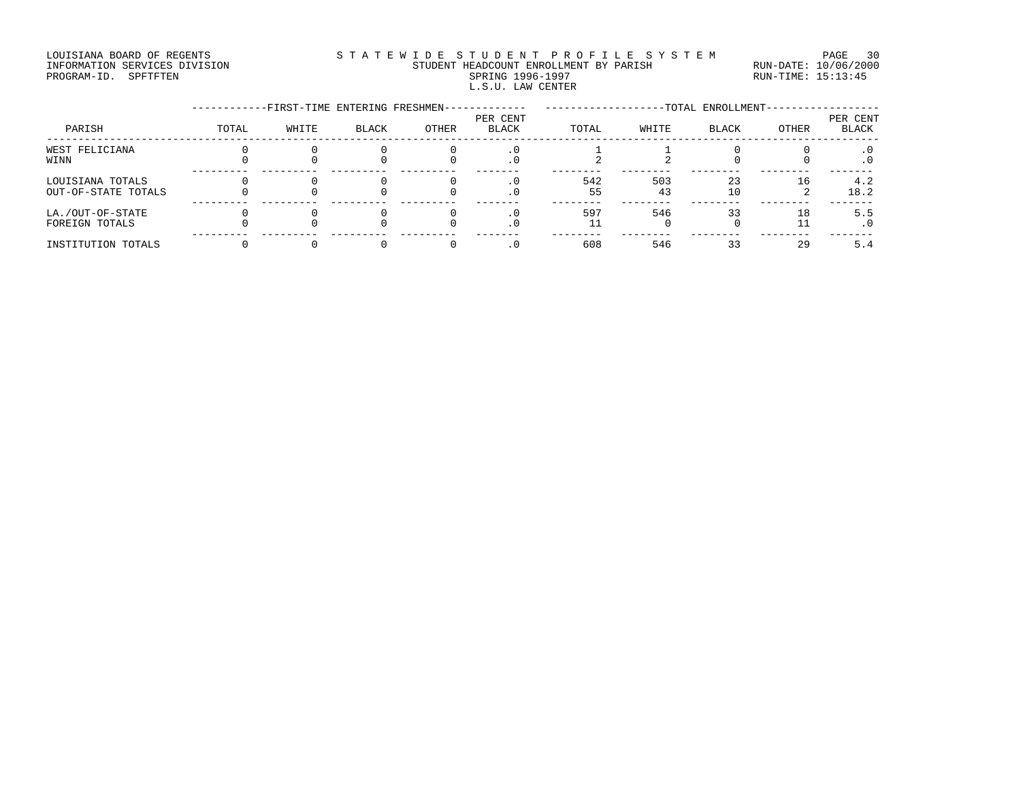### LOUISIANA BOARD OF REGENTS STATEWIDE STUDENT PROFILE SYSTEM PAGE 30 INFORMATION SERVICES DIVISION STUDENT HEADCOUNT ENROLLMENT BY PARISH RUN-DATE: 10/06/2000 PROGRAM-ID. SPFTFTEN SARE SERING 1996-1997 SPRING 1996-1997 RUN-TIME: 15:13:45 L.S.U. LAW CENTER

|                                         |       | -FIRST-TIME ENTERING FRESHMEN- |       |       |                          |           |           | -TOTAL ENROLLMENT- |       |                          |
|-----------------------------------------|-------|--------------------------------|-------|-------|--------------------------|-----------|-----------|--------------------|-------|--------------------------|
| PARISH                                  | TOTAL | WHITE                          | BLACK | OTHER | PER CENT<br><b>BLACK</b> | TOTAL     | WHITE     | <b>BLACK</b>       | OTHER | PER CENT<br><b>BLACK</b> |
| WEST FELICIANA<br>WINN                  |       |                                |       |       | . 0                      |           |           |                    |       | . 0                      |
| LOUISIANA TOTALS<br>OUT-OF-STATE TOTALS |       |                                |       |       | . 0                      | 542<br>55 | 503<br>43 | 23<br>10           | 16    | 4.2<br>18.2              |
| LA./OUT-OF-STATE<br>FOREIGN TOTALS      |       |                                |       |       |                          | 597       | 546       | 33                 | 18    | 5.5<br>. 0               |
| INSTITUTION TOTALS                      |       |                                |       |       |                          | 608       | 546       | 33                 | 29    | 5.4                      |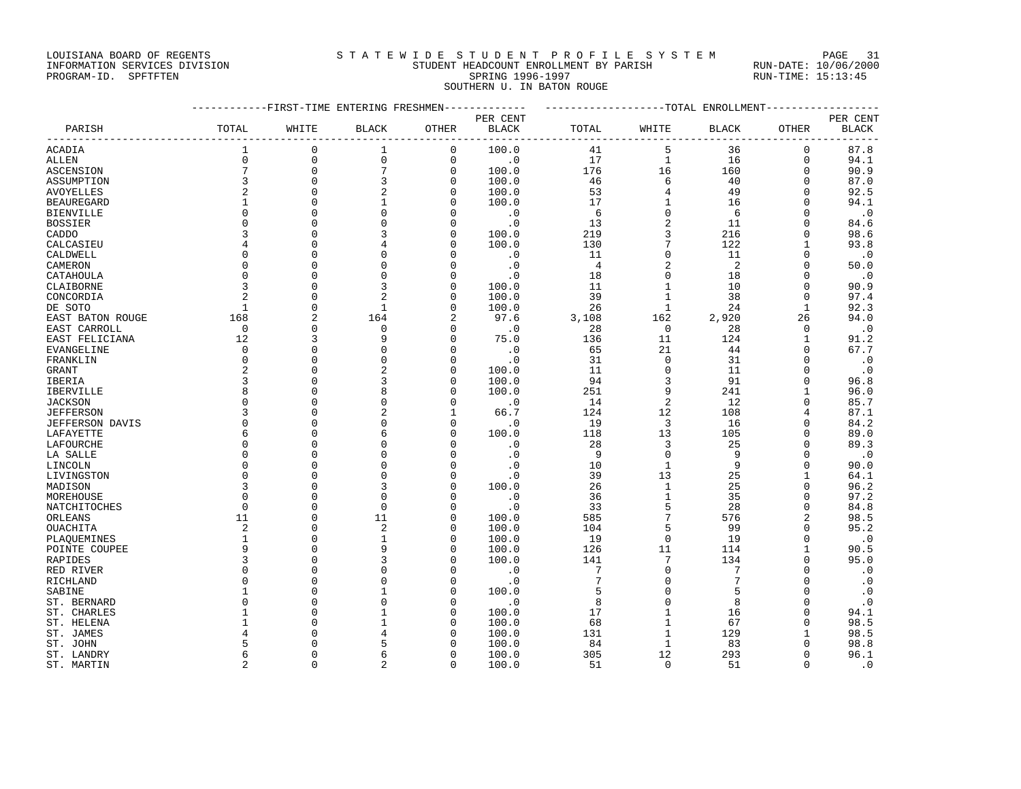### LOUISIANA BOARD OF REGENTS STATEWIDE STUDENT PROFILE SYSTEM PAGE 31 INFORMATION SERVICES DIVISION STUDENT HEADCOUNT ENROLLMENT BY PARISH RUN-DATE: 10/06/2000

SOUTHERN U. IN BATON ROUGE

PROGRAM-ID. SPFTFTEN SARE SERING 1996-1997 SPRING 1996-1997 RUN-TIME: 15:13:45

|                  | ------------FIRST-TIME ENTERING FRESHMEN------------- |             |                |                           |                         | -------------------TOTAL ENROLLMENT---------------- |                |                |                                  |                          |
|------------------|-------------------------------------------------------|-------------|----------------|---------------------------|-------------------------|-----------------------------------------------------|----------------|----------------|----------------------------------|--------------------------|
| PARISH           | TOTAL                                                 | WHITE       | <b>BLACK</b>   | OTHER                     | PER CENT<br>BLACK       | TOTAL                                               | WHITE          | <b>BLACK</b>   | OTHER                            | PER CENT<br><b>BLACK</b> |
| ACADIA           | 1                                                     | $\mathbf 0$ | 1              | ----------<br>$\mathbf 0$ | ______________<br>100.0 | 41                                                  | --------<br>5  | 36             | - - - - - - - - -<br>$\mathbf 0$ | 87.8                     |
| ALLEN            | $\mathbf 0$                                           | $\mathbf 0$ | $\mathbf 0$    | $\mathbf 0$               | $\cdot$ 0               | 17                                                  | $\mathbf{1}$   | 16             | $\mathbf 0$                      | 94.1                     |
| ASCENSION        | $\overline{7}$                                        | $\mathbf 0$ | 7              | 0                         | 100.0                   | 176                                                 | 16             | 160            | $\mathbf 0$                      | 90.9                     |
| ASSUMPTION       | 3                                                     | $\Omega$    | 3              | $\Omega$                  | 100.0                   | 46                                                  | 6              | 40             | $\Omega$                         | 87.0                     |
| AVOYELLES        | $\overline{a}$                                        | $\Omega$    | $\overline{a}$ | $\Omega$                  | 100.0                   | 53                                                  | $\overline{4}$ | 49             | $\Omega$                         | 92.5                     |
| BEAUREGARD       | 1                                                     | $\mathbf 0$ | 1              | O                         | 100.0                   | 17                                                  | 1              | 16             | 0                                | 94.1                     |
| BIENVILLE        | $\Omega$                                              | $\Omega$    | $\Omega$       | O                         | $\boldsymbol{\cdot}$ 0  | 6                                                   | $\mathbf 0$    | 6              | $\Omega$                         | $\cdot$ 0                |
| BOSSIER          | $\Omega$                                              | $\Omega$    | $\Omega$       | $\Omega$                  | $\cdot$ 0               | 13                                                  | $\sqrt{2}$     | 11             | U                                | 84.6                     |
| CADDO            |                                                       | $\Omega$    | 3              | O                         | 100.0                   | 219                                                 | 3              | 216            | $\Omega$                         | 98.6                     |
| CALCASIEU        |                                                       | $\Omega$    | 4              | O                         | 100.0                   | 130                                                 | 7              | 122            | 1                                | 93.8                     |
| CALDWELL         |                                                       | $\Omega$    | $\Omega$       |                           | $\cdot$ 0               | 11                                                  | $\mathbf 0$    | 11             | $\Omega$                         | $\cdot$ 0                |
| CAMERON          | $\Omega$                                              | $\Omega$    | $\Omega$       | O                         | $\cdot$ 0               | 4                                                   | $\overline{2}$ | $\overline{c}$ | 0                                | 50.0                     |
| CATAHOULA        | $\Omega$                                              | $\Omega$    | $\Omega$       | $\cap$                    | $\cdot$ 0               | 18                                                  | $\mathbf{0}$   | 18             | $\Omega$                         | $\cdot$ 0                |
| CLAIBORNE        | 3                                                     | $\mathbf 0$ | 3              | 0                         | 100.0                   | 11                                                  | $\mathbf{1}$   | 10             | 0                                | 90.9                     |
| CONCORDIA        | 2                                                     | $\mathbf 0$ | $\overline{2}$ | O                         | 100.0                   | 39                                                  | $\mathbf{1}$   | 38             | 0                                | 97.4                     |
| DE SOTO          | $\mathbf{1}$                                          | $\Omega$    | $\mathbf{1}$   | $\Omega$                  | 100.0                   | 26                                                  | $\mathbf{1}$   | 24             | $\mathbf{1}$                     | 92.3                     |
| EAST BATON ROUGE | 168                                                   | 2           | 164            | 2                         | 97.6                    | 3,108                                               | 162            | 2,920          | 26                               | 94.0                     |
| EAST CARROLL     | $\mathbf 0$                                           | $\Omega$    | $\Omega$       | $\Omega$                  | $\cdot$ 0               | 28                                                  | $\mathbf 0$    | 28             | $\Omega$                         | $\cdot$ 0                |
| EAST FELICIANA   | 12                                                    | 3           | 9              | $\Omega$                  | 75.0                    | 136                                                 | 11             | 124            | 1                                | 91.2                     |
| EVANGELINE       | $\mathbf 0$                                           | $\mathbf 0$ | $\mathbf 0$    | $\Omega$                  | $\cdot$ 0               | 65                                                  | 21             | 44             | $\Omega$                         | 67.7                     |
| FRANKLIN         | $\Omega$                                              | $\cap$      | $\Omega$       | O                         | $\cdot$ 0               | 31                                                  | $\mathbf 0$    | 31             | U                                | $\cdot$ 0                |
| GRANT            | 2                                                     | $\Omega$    | 2              | $\Omega$                  | 100.0                   | 11                                                  | $\mathbf{0}$   | 11             | $\Omega$                         | $\cdot$ 0                |
| IBERIA           | 3                                                     | $\mathbf 0$ | 3              | $\Omega$                  | 100.0                   | 94                                                  | 3              | 91             | 0                                | 96.8                     |
| IBERVILLE        | 8                                                     | $\Omega$    | 8              | ∩                         | 100.0                   | 251                                                 | 9              | 241            | 1                                | 96.0                     |
| JACKSON          | $\Omega$                                              | $\Omega$    | $\Omega$       | $\Omega$                  | $\cdot$ 0               | 14                                                  | $\overline{2}$ | 12             | U                                | 85.7                     |
| JEFFERSON        | 3                                                     | $\Omega$    | $\mathcal{D}$  |                           | 66.7                    | 124                                                 | 12             | 108            | 4                                | 87.1                     |
| JEFFERSON DAVIS  | $\Omega$                                              | $\Omega$    | $\Omega$       | 0                         | $\cdot$ 0               | 19                                                  | 3              | 16             | $\Omega$                         | 84.2                     |
| LAFAYETTE        | 6                                                     | $\Omega$    | 6              | O                         | 100.0                   | 118                                                 | 13             | 105            | $\Omega$                         | 89.0                     |
| LAFOURCHE        | $\Omega$                                              | $\Omega$    | $\Omega$       |                           | $\cdot$ 0               | 28                                                  | 3              | 25             | $\Omega$                         | 89.3                     |
| LA SALLE         | $\Omega$                                              | $\Omega$    | $\Omega$       | ∩                         | $\cdot$ 0               | 9                                                   | $\Omega$       | 9              | $\Omega$                         | $\cdot$ 0                |
| LINCOLN          | $\Omega$                                              | $\Omega$    | $\Omega$       | $\Omega$                  | $\cdot$ 0               | 10                                                  | $\mathbf{1}$   | 9              | 0                                | 90.0                     |
| LIVINGSTON       | $\cap$                                                | $\Omega$    | $\Omega$       | $\cap$                    | $\cdot$ 0               | 39                                                  | 13             | 25             | $\mathbf{1}$                     | 64.1                     |
| MADISON          |                                                       | $\Omega$    | 3              | $\Omega$                  | 100.0                   | 26                                                  | $\mathbf{1}$   | 25             | $\Omega$                         | 96.2                     |
| MOREHOUSE        | $\Omega$                                              | $\Omega$    | $\mathbf 0$    | O                         | $\cdot$ 0               | 36                                                  | 1              | 35             | 0                                | 97.2                     |
| NATCHITOCHES     | $\Omega$                                              | $\Omega$    | $\Omega$       | O                         | $\cdot$ 0               | 33                                                  | 5              | 28             | $\Omega$                         | 84.8                     |
| ORLEANS          | 11                                                    | $\Omega$    | 11             | $\Omega$                  | 100.0                   | 585                                                 | 7              | 576            | 2                                | 98.5                     |
| OUACHITA         | 2                                                     | $\Omega$    | 2              | ∩                         | 100.0                   | 104                                                 | 5              | 99             | U                                | 95.2                     |
| PLAOUEMINES      | 1                                                     | $\Omega$    | 1              | $\Omega$                  | 100.0                   | 19                                                  | $\mathbf 0$    | 19             | $\Omega$                         | $\cdot$ 0                |
| POINTE COUPEE    | 9                                                     | $\Omega$    | 9              | O                         | 100.0                   | 126                                                 | 11             | 114            | 1                                | 90.5                     |
| RAPIDES          | 3                                                     | $\Omega$    | 3              | O                         | 100.0                   | 141                                                 | 7              | 134            | 0                                | 95.0                     |
| RED RIVER        | $\Omega$                                              | $\Omega$    | $\Omega$       |                           | $\cdot$ 0               | 7                                                   | $\mathbf{0}$   | 7              | $\Omega$                         | $\cdot$ 0                |
| RICHLAND         | 0                                                     | $\Omega$    | $\Omega$       | $\Omega$                  | $\cdot$ 0               | 7                                                   | 0              | 7              | 0                                | $\cdot$ 0                |
| SABINE           | -1                                                    | $\Omega$    | 1              | ∩                         | 100.0                   | 5                                                   | $\mathbf{0}$   | 5              | $\Omega$                         | $\cdot$ 0                |
| ST. BERNARD      | $\Omega$                                              | $\Omega$    | $\Omega$       | $\Omega$                  | $\cdot$ 0               | 8                                                   | $\mathbf 0$    | 8              | 0                                | $\cdot$ 0                |
| ST. CHARLES      | -1                                                    | $\Omega$    | 1              | ∩                         | 100.0                   | 17                                                  | $\mathbf 1$    | 16             | $\Omega$                         | 94.1                     |
| ST. HELENA       |                                                       | $\Omega$    | 1              | $\Omega$                  | 100.0                   | 68                                                  | $\mathbf{1}$   | 67             | $\Omega$                         | 98.5                     |
| ST. JAMES        |                                                       | $\Omega$    | 4              |                           | 100.0                   | 131                                                 | 1              | 129            | 1                                | 98.5                     |
| ST. JOHN         |                                                       | ∩           | 5              |                           | 100.0                   | 84                                                  | 1              | 83             | $\Omega$                         | 98.8                     |
| ST. LANDRY       | 6                                                     | $\Omega$    | 6              | ∩                         | 100.0                   | 305                                                 | 12             | 293            | 0                                | 96.1                     |
| ST. MARTIN       | $\overline{c}$                                        | $\Omega$    | 2              | $\Omega$                  | 100.0                   | 51                                                  | $\Omega$       | 51             | $\Omega$                         | $\cdot$ 0                |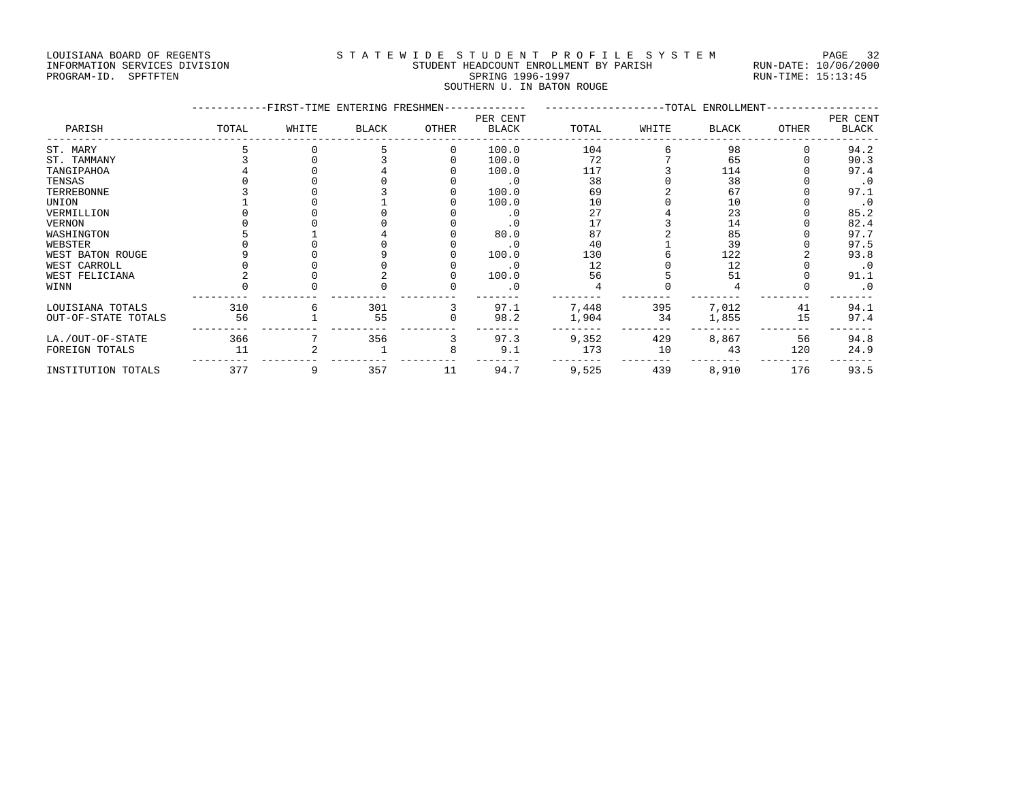## LOUISIANA BOARD OF REGENTS STATEWIDE STUDENT PROFILE SYSTEM PAGE 32 INFORMATION SERVICES DIVISION STUDENT HEADCOUNT ENROLLMENT BY PARISH RUN-DATE: 10/06/2000

# PROGRAM-ID. SPFTFTEN SARE SERING 1996-1997 SPRING 1996-1997 RUN-TIME: 15:13:45 SOUTHERN U. IN BATON ROUGE

|                     |       | -FIRST-TIME ENTERING FRESHMEN- |              |          |                          |       |       | ------------------TOTAL ENROLLMENT- |       |                          |
|---------------------|-------|--------------------------------|--------------|----------|--------------------------|-------|-------|-------------------------------------|-------|--------------------------|
| PARISH              | TOTAL | WHITE                          | <b>BLACK</b> | OTHER    | PER CENT<br><b>BLACK</b> | TOTAL | WHITE | BLACK                               | OTHER | PER CENT<br><b>BLACK</b> |
| ST. MARY            |       |                                |              | $\Omega$ | 100.0                    | 104   |       | 98                                  |       | 94.2                     |
| ST. TAMMANY         |       |                                |              |          | 100.0                    | 72    |       | 65                                  |       | 90.3                     |
| TANGIPAHOA          |       |                                |              |          | 100.0                    | 117   |       | 114                                 |       | 97.4                     |
| TENSAS              |       |                                |              |          | $\cdot$ 0                | 38    |       | 38                                  |       | $\cdot$ 0                |
| TERREBONNE          |       |                                |              |          | 100.0                    | 69    |       | 67                                  |       | 97.1                     |
| UNION               |       |                                |              |          | 100.0                    | 10    |       | 10                                  |       | $\cdot$ 0                |
| VERMILLION          |       |                                |              |          | $\cdot$ 0                | 27    |       | 23                                  |       | 85.2                     |
| VERNON              |       |                                |              |          | $\cdot$ 0                | 17    |       | 14                                  |       | 82.4                     |
| WASHINGTON          |       |                                |              |          | 80.0                     | 87    |       | 85                                  |       | 97.7                     |
| WEBSTER             |       |                                |              |          | $\cdot$ 0                | 40    |       | 39                                  |       | 97.5                     |
| WEST BATON ROUGE    |       |                                |              |          | 100.0                    | 130   |       | 122                                 |       | 93.8                     |
| WEST CARROLL        |       |                                |              |          | $\cdot$ 0                | 12    |       | 12                                  |       | $\cdot$ 0                |
| WEST FELICIANA      |       |                                |              |          | 100.0                    | 56    |       | 51                                  |       | 91.1                     |
| WINN                |       |                                |              |          | . 0                      |       |       |                                     |       | $\cdot$ 0                |
| LOUISIANA TOTALS    | 310   |                                | 301          |          | 97.1                     | 7,448 | 395   | 7,012                               | 41    | 94.1                     |
| OUT-OF-STATE TOTALS | 56    |                                | 55           |          | 98.2                     | 1,904 | 34    | 1,855                               | 15    | 97.4                     |
| LA./OUT-OF-STATE    | 366   |                                | 356          |          | 97.3                     | 9,352 | 429   | 8,867                               | 56    | 94.8                     |
| FOREIGN TOTALS      | 11    |                                |              | 8        | 9.1                      | 173   | 10    | 43                                  | 120   | 24.9                     |
| INSTITUTION TOTALS  | 377   | 9                              | 357          | 11       | 94.7                     | 9,525 | 439   | 8,910                               | 176   | 93.5                     |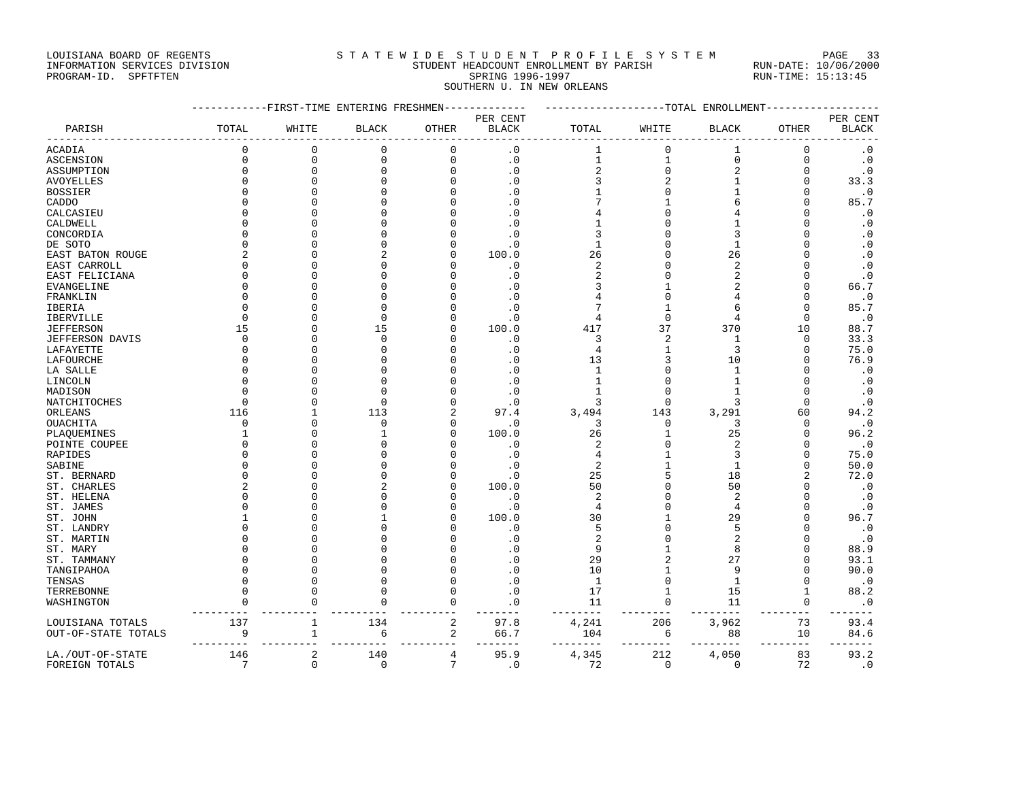### LOUISIANA BOARD OF REGENTS STATEWIDE STUDENT PROFILE SYSTEM PAGE 33 INFORMATION SERVICES DIVISION STUDENT HEADCOUNT ENROLLMENT BY PARISH RUN-DATE: 10/06/2000

PROGRAM-ID. SPFTFTEN SARE SERING 1996-1997 SPRING 1996-1997 RUN-TIME: 15:13:45 SOUTHERN U. IN NEW ORLEANS

|                        |                 | -------FIRST-TIME ENTERING FRESHMEN- |              |                  |                             |                    |                | --TOTAL ENROLLMENT |                |              |
|------------------------|-----------------|--------------------------------------|--------------|------------------|-----------------------------|--------------------|----------------|--------------------|----------------|--------------|
|                        |                 |                                      |              |                  | PER CENT                    |                    |                |                    |                | PER CENT     |
| PARISH                 | TOTAL           | WHITE                                | <b>BLACK</b> | OTHER            | <b>BLACK</b>                | TOTAL              | WHITE          | <b>BLACK</b>       | <b>OTHER</b>   | <b>BLACK</b> |
| <b>ACADIA</b>          | $\Omega$        | $\mathbf{0}$                         | $\Omega$     | 0                | $\overline{0}$              | $\mathbf 1$        | $\mathbf 0$    |                    | $\mathbf{0}$   | $\cdot$ 0    |
| <b>ASCENSION</b>       | 0               | $\mathbf 0$                          | 0            | 0                | $\cdot$ 0                   | $\mathbf 1$        | $\mathbf{1}$   | $\mathbf 0$        | $\mathbf 0$    | $\cdot$ 0    |
| ASSUMPTION             | $\Omega$        | $\Omega$                             | 0            | 0                | $\cdot$ 0                   | $\overline{c}$     | $\mathsf 0$    | $\overline{c}$     | $\Omega$       | $\cdot$ 0    |
| <b>AVOYELLES</b>       | $\Omega$        | $\Omega$                             | $\Omega$     | $\Omega$         | $\cdot$ 0                   | 3                  | $\overline{a}$ |                    | $\Omega$       | 33.3         |
| <b>BOSSIER</b>         | $\Omega$        | $\Omega$                             |              | $\Omega$         | $\cdot$ 0                   |                    | $\mathbf 0$    |                    | $\Omega$       | $\cdot$ 0    |
| CADDO                  | $\Omega$        | $\cap$                               |              |                  | $\cdot$ 0                   |                    |                |                    | $\Omega$       | 85.7         |
| CALCASIEU              | $\Omega$        |                                      |              |                  | . 0                         | 4                  | $\bigcap$      |                    | $\Omega$       | $\cdot$ 0    |
| CALDWELL               | $\Omega$        | $\Omega$                             |              |                  | $\overline{0}$              |                    | $\Omega$       |                    | $\Omega$       | $\cdot$ 0    |
| CONCORDIA              | $\Omega$        | $\Omega$                             |              |                  | $\cdot$ 0                   | 3                  | $\Omega$       |                    | $\Omega$       | $\cdot$ 0    |
| DE SOTO                | $\Omega$        | $\Omega$                             |              | N                | $\cdot$ 0                   | 1                  | $\Omega$       |                    | $\Omega$       | $\cdot$ 0    |
| EAST BATON ROUGE       | $\overline{2}$  | $\cap$                               |              | O                | 100.0                       | 26                 | $\cap$         | 26                 | $\Omega$       | $\cdot$ 0    |
| EAST CARROLL           | $\Omega$        | $\Omega$                             | $\Omega$     |                  | $\cdot$ 0                   | $\overline{a}$     | $\Omega$       | $\overline{2}$     | $\Omega$       | $\cdot$ 0    |
| EAST FELICIANA         | $\Omega$        | $\Omega$                             |              |                  | $\cdot$ 0                   | $\overline{c}$     | $\Omega$       | $\overline{2}$     | $\Omega$       | $\cdot$ 0    |
| <b>EVANGELINE</b>      | $\Omega$        | $\Omega$                             |              |                  | $\cdot$ 0                   | 3                  |                |                    | $\Omega$       | 66.7         |
| FRANKLIN               | $\Omega$        |                                      |              |                  | . 0                         | 4                  | $\Omega$       |                    | $\Omega$       | $\cdot$ 0    |
| <b>IBERIA</b>          | $\Omega$        | $\Omega$                             | $\Omega$     |                  | $\overline{0}$              | 7                  | $\overline{1}$ |                    | $\Omega$       | 85.7         |
| IBERVILLE              | $\Omega$        | $\Omega$                             | $\Omega$     |                  | $\cdot$ 0                   | 4                  | $\mathbf 0$    |                    | $\mathbf 0$    | $\cdot$ 0    |
| <b>JEFFERSON</b>       | 15              | $\cap$                               | 15           | U                | 100.0                       | 417                | 37             | 370                | 10             | 88.7         |
| <b>JEFFERSON DAVIS</b> | $\Omega$        | $\cap$                               | $\Omega$     | U                | $\cdot$ 0                   | 3                  | $\overline{2}$ | $\mathbf{1}$       | $\Omega$       | 33.3         |
| LAFAYETTE              | $\Omega$        | $\Omega$                             | U            |                  | $\cdot$ 0                   | 4                  | $\mathbf{1}$   | 3                  | $\mathbf 0$    | 75.0         |
|                        | $\Omega$        | $\Omega$                             |              | N                |                             |                    | 3              | 10                 | $\Omega$       |              |
| LAFOURCHE              | $\Omega$        |                                      |              |                  | $\cdot$ 0<br>$\overline{0}$ | 13<br>$\mathbf{1}$ | $\mathbf 0$    |                    | $\Omega$       | 76.9         |
| LA SALLE               | $\Omega$        |                                      |              |                  |                             |                    |                |                    | $\Omega$       | $\cdot$ 0    |
| LINCOLN                |                 |                                      |              |                  | $\cdot$ 0                   | 1                  | $\Omega$       |                    |                | $\cdot$ 0    |
| MADISON                | $\Omega$        | $\Omega$                             | U            |                  | $\cdot$ 0                   | 1                  | $\Omega$       |                    | $\Omega$       | $\cdot$ 0    |
| NATCHITOCHES           | $\Omega$        | $\Omega$                             | ∩            | U                | $\cdot$ 0                   | 3                  | $\Omega$       | 3                  | $\Omega$       | $\cdot$ 0    |
| ORLEANS                | 116             |                                      | 113          | 2                | 97.4                        | 3,494              | 143            | 3,291              | 60             | 94.2         |
| OUACHITA               | $\Omega$        | $\cap$                               | $\Omega$     | O                | $\cdot$ 0                   | 3                  | $\mathbf 0$    | 3                  | $\Omega$       | $\cdot$ 0    |
| PLAQUEMINES            | 1               | $\Omega$                             | $\mathbf{1}$ | O                | 100.0                       | 26                 | $\mathbf{1}$   | 25                 | $\Omega$       | 96.2         |
| POINTE COUPEE          | $\Omega$        | $\cap$                               |              | U                | $\cdot$ 0                   | 2                  | $\Omega$       | $\mathcal{D}$      | $\Omega$       | $\cdot$ 0    |
| RAPIDES                | $\Omega$        | $\Omega$                             |              |                  | $\cdot$ 0                   | 4                  |                |                    | $\Omega$       | 75.0         |
| SABINE                 | $\Omega$        |                                      |              |                  | $\cdot$ 0                   | $\overline{a}$     | $\mathbf{1}$   | $\mathbf{1}$       | $\Omega$       | 50.0         |
| ST. BERNARD            | $\Omega$        | $\Omega$                             |              |                  | $\cdot$ 0                   | 25                 | 5              | 18                 | $\overline{2}$ | 72.0         |
| ST. CHARLES            | $\overline{c}$  | $\Omega$                             |              | U                | 100.0                       | 50                 | $\Omega$       | 50                 | $\Omega$       | $\cdot$ 0    |
| ST. HELENA             | O               |                                      |              |                  | $\cdot$ 0                   | 2                  | $\Omega$       | $\overline{2}$     | $\Omega$       | $\cdot$ 0    |
| ST. JAMES              | $\Omega$        | ∩                                    |              | U                | $\cdot$ 0                   | 4                  | $\cap$         | $\overline{4}$     | $\Omega$       | $\cdot$ 0    |
| ST. JOHN               |                 |                                      |              |                  | 100.0                       | 30                 | $\mathbf{1}$   | 29                 | $\cap$         | 96.7         |
| ST. LANDRY             | O               | $\Omega$                             | O            |                  | $\cdot$ 0                   | 5                  | $\Omega$       | 5                  | $\Omega$       | $\cdot$ 0    |
| ST. MARTIN             | $\Omega$        |                                      |              |                  | $\cdot$ 0                   | $\sqrt{2}$         | $\Omega$       | $\overline{2}$     | $\Omega$       | $\cdot$ 0    |
| ST. MARY               | $\Omega$        |                                      |              |                  | . 0                         | 9                  | $\mathbf{1}$   | 8                  | $\Omega$       | 88.9         |
| ST. TAMMANY            | $\Omega$        |                                      |              |                  | $\Omega$                    | 29                 | $\overline{a}$ | 27                 | $\cap$         | 93.1         |
| TANGIPAHOA             | $\Omega$        | $\Omega$                             |              | O                | $\Omega$                    | 10                 | $\overline{1}$ | 9                  | $\Omega$       | 90.0         |
| TENSAS                 | $\Omega$        |                                      |              | O                | $\Omega$                    | $\mathbf{1}$       | $\mathbf 0$    | $\mathbf{1}$       | $\Omega$       | $\cdot$ 0    |
| TERREBONNE             | U               |                                      |              | $\Omega$         | . 0                         | 17                 | 1              | 15                 | 1              | 88.2         |
| WASHINGTON             |                 |                                      |              | $\Omega$         | $\overline{0}$              | 11                 | $\Omega$       | 11                 | $\Omega$       | $\cdot$ 0    |
| LOUISIANA TOTALS       | 137             | 1                                    | 134          | $\boldsymbol{2}$ | 97.8                        | 4,241              | 206            | 3,962              | 73             | 93.4         |
| OUT-OF-STATE TOTALS    | 9               | 1                                    | 6            | 2                | 66.7                        | 104                | 6              | 88                 | 10             | 84.6         |
| LA./OUT-OF-STATE       | 146             | $\overline{a}$                       | 140          | 4                | 95.9                        | 4,345              | 212            | 4,050              | 83             | 93.2         |
| FOREIGN TOTALS         | $7\phantom{.0}$ | $\mathbf{0}$                         | $\mathbf 0$  | 7                | $\cdot$ 0                   | 72                 | $\mathbf 0$    | $\Omega$           | 72             | $\cdot$ 0    |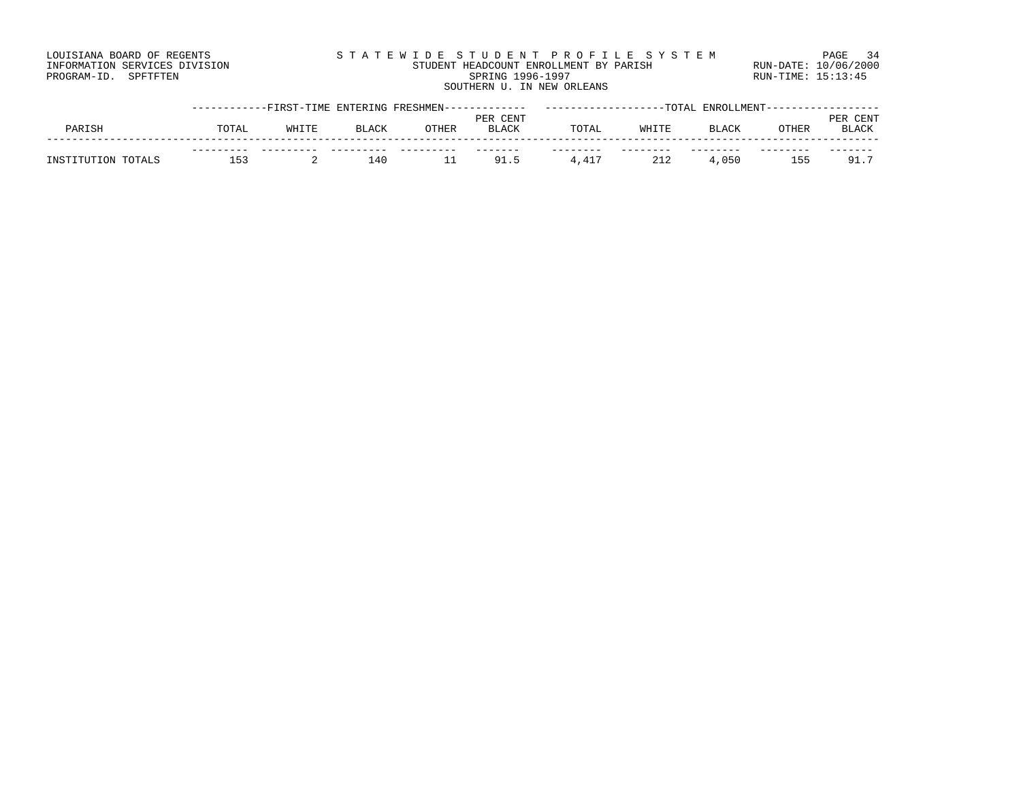| LOUISIANA BOARD OF REGENTS    | STATEWIDE STUDENT PROFILE SYSTEM       |                    | PAGE 34              |
|-------------------------------|----------------------------------------|--------------------|----------------------|
| INFORMATION SERVICES DIVISION | STUDENT HEADCOUNT ENROLLMENT BY PARISH |                    | RUN-DATE: 10/06/2000 |
| PROGRAM-ID. SPFTFTEN          | SPRING 1996-1997                       | RUN-TIME: 15:13:45 |                      |
|                               | SOUTHERN U. IN NEW ORLEANS             |                    |                      |

|                    | -----------FIRST-TIME ENTERING FRESHMEN------------- |       |              |       |              |       |       | -TOTAL ENROLLMENT---------- |       |                    |
|--------------------|------------------------------------------------------|-------|--------------|-------|--------------|-------|-------|-----------------------------|-------|--------------------|
|                    |                                                      |       |              |       | PER CENT     |       |       |                             |       | CENT<br><b>PER</b> |
| PARISH             | TOTAL                                                | WHITE | <b>BLACK</b> | OTHER | <b>BLACK</b> | TOTAL | WHITE | <b>BLACK</b>                | OTHER | <b>BLACK</b>       |
|                    |                                                      |       |              |       |              |       |       |                             |       |                    |
| INSTITUTION TOTALS | نہا ا                                                |       | ⊥40          |       | 91.5         | 4,417 |       | 4,050                       | 155   | 91.7               |
|                    |                                                      |       |              |       |              |       |       |                             |       |                    |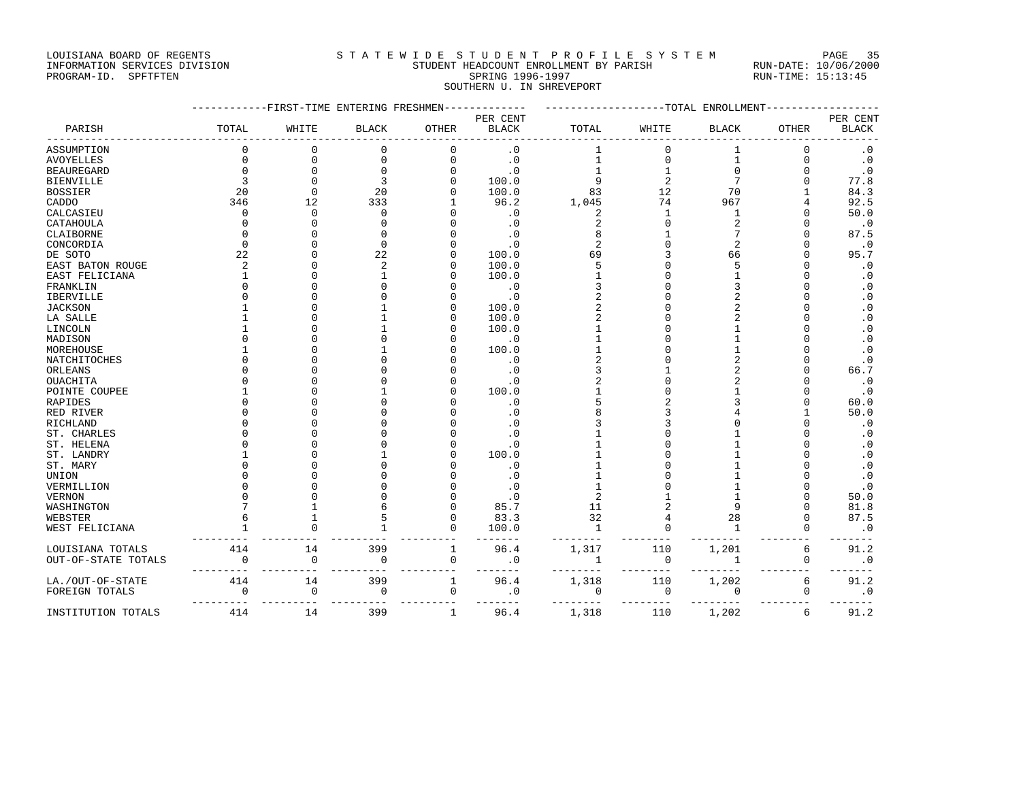### LOUISIANA BOARD OF REGENTS SAN STATEWIDE STUDENT PROFILE SYSTEM PAGE 35 INFORMATION SERVICES DIVISION STUDENT HEADCOUNT ENROLLMENT BY PARISH RUN-DATE: 10/06/2000

| RUN-DATE: $10/06$  |  |
|--------------------|--|
| $RUN-TIME: 15:13:$ |  |

# PROGRAM-ID. SPFTFTEN SARE SERING 1996-1997 SPRING 1996-1997 RUN-TIME: 15:13:45 SOUTHERN U. IN SHREVEPORT

|                      |          | -FIRST-TIME ENTERING FRESHMEN |                |              |                          |                |                | -----TOTAL ENROLLMENT |                    |                          |
|----------------------|----------|-------------------------------|----------------|--------------|--------------------------|----------------|----------------|-----------------------|--------------------|--------------------------|
| PARISH               | TOTAL    | WHITE                         | <b>BLACK</b>   | OTHER        | PER CENT<br><b>BLACK</b> | TOTAL          | WHITE          | <b>BLACK</b>          | OTHER              | PER CENT<br><b>BLACK</b> |
| ASSUMPTION           |          | 0                             | $\mathbf 0$    | $\mathbf 0$  | $\cdot$ 0                | 1              | $\Omega$       |                       | $\mathbf 0$        | $\cdot$ 0                |
| AVOYELLES            | $\Omega$ | $\mathbf 0$                   | $\Omega$       | 0            | $\cdot$ 0                | 1              | $\mathbf{0}$   |                       | $\Omega$           | $\cdot$ 0                |
| <b>BEAUREGARD</b>    |          | $\Omega$                      | $\Omega$       | O            | $\cdot$ 0                |                |                |                       | $\Omega$           | $\cdot$ 0                |
| <b>BIENVILLE</b>     |          | $\Omega$                      | 3              | U            | 100.0                    | 9              | $\overline{2}$ |                       | $\Omega$           | 77.8                     |
| <b>BOSSIER</b>       | 20       | $\mathbf 0$                   | 20             |              | 100.0                    | 83             | 12             | 70                    | 1                  | 84.3                     |
| CADDO                | 346      | 12                            | 333            |              | 96.2                     | 1,045          | 74             | 967                   | 4                  | 92.5                     |
| CALCASIEU            | $\cap$   | $\Omega$                      | $\Omega$       |              | $\cdot$ 0                | 2              | $\mathbf{1}$   | 1                     | $\cap$             | 50.0                     |
| CATAHOULA            |          | $\Omega$                      | n              |              | $\cdot$ 0                | $\overline{2}$ |                | $\overline{a}$        | $\cap$             | $\cdot$ 0                |
| CLAIBORNE            |          |                               | n              |              | $\cdot$ 0                | 8              |                |                       | $\Omega$           | 87.5                     |
| CONCORDIA            |          | U                             | $\Omega$       |              | $\cdot$ 0                | $\overline{c}$ |                | $\overline{c}$        | $\Omega$           | $\cdot$ 0                |
| DE SOTO              | 22       | U                             | 22             |              | 100.0                    | 69             |                | 66                    | $\Omega$           | 95.7                     |
| EAST BATON ROUGE     |          | U                             | $\overline{a}$ | U            | 100.0                    | 5              |                |                       | $\Omega$           | $\cdot$ 0                |
| EAST FELICIANA       |          | $\Omega$                      |                |              | 100.0                    |                |                |                       | $\Omega$           | $\cdot$ 0                |
| FRANKLIN             |          | U                             |                |              | $\cdot$ 0                |                |                |                       | $\cap$             | $\cdot$ 0                |
| <b>IBERVILLE</b>     |          | U                             |                |              | $\cdot$ 0                |                |                |                       | $\cap$             | $\cdot$ 0                |
| <b>JACKSON</b>       |          | $\Omega$                      |                |              | 100.0                    |                |                |                       | $\Omega$           | $\cdot$ 0                |
| LA SALLE             |          | U                             |                | U            | 100.0                    |                |                |                       | $\cap$             | $\cdot$ 0                |
| LINCOLN              |          | U                             |                |              | 100.0                    |                |                |                       | $\cap$             | $\cdot$ 0                |
| MADISON              |          | U                             |                |              | $\cdot$ 0                |                |                |                       | $\Omega$           | $\cdot$ 0                |
| MOREHOUSE            |          |                               |                |              | 100.0                    |                |                |                       | O                  | $\cdot$ 0                |
| <b>NATCHITOCHES</b>  |          |                               |                |              | $\cdot$ 0                | 2              |                |                       | $\cap$             | $\cdot$ 0                |
| ORLEANS              |          |                               |                |              | $\cdot$ 0                |                |                |                       | $\cap$             | 66.7                     |
| <b>OUACHITA</b>      |          |                               |                |              | $\cdot$ 0                |                |                |                       | $\cap$             | $\cdot$ 0                |
| POINTE COUPEE        |          |                               |                |              | 100.0                    |                |                |                       | $\Omega$           | $\cdot$ 0                |
| RAPIDES              |          |                               |                |              | $\cdot$ 0                |                |                |                       | $\Omega$           | 60.0                     |
| RED RIVER            |          |                               |                |              | $\cdot$ 0                |                |                |                       | 1                  | 50.0                     |
| RICHLAND             |          |                               |                |              | $\cdot$ 0                |                |                |                       | $\Omega$           | $\cdot$ 0                |
| ST. CHARLES          |          |                               |                |              | $\cdot$ 0                |                |                |                       | $\Omega$           | $\cdot$ 0                |
| ST. HELENA           |          |                               |                |              | $\cdot$ 0                |                |                |                       | $\cap$             | $\cdot$ 0                |
| ST. LANDRY           |          | U                             |                |              | 100.0                    |                |                |                       | $\cap$<br>$\Omega$ | $\cdot$ 0                |
| ST. MARY             |          |                               |                |              | $\cdot$ 0                |                |                |                       |                    | $\cdot$ 0                |
| UNION                |          |                               |                |              | $\cdot$ 0                |                |                |                       |                    | $\cdot$ 0                |
| VERMILLION           |          |                               |                |              | $\cdot$ 0                | 2              |                |                       | $\cap$             | $\cdot$ 0<br>50.0        |
| VERNON<br>WASHINGTON |          |                               |                |              | $\cdot$ 0<br>85.7        | 11             |                |                       | $\Omega$           | 81.8                     |
| WEBSTER              |          | 1                             |                | O            | 83.3                     | 32             |                | 28                    | $\Omega$           | 87.5                     |
| WEST FELICIANA       |          | U                             |                | O            | 100.0                    | $\mathbf{1}$   |                |                       | $\mathbf 0$        | $\cdot$ 0                |
|                      |          |                               |                |              |                          |                |                |                       |                    |                          |
| LOUISIANA TOTALS     | 414      | 14                            | 399            | $\,1$        | 96.4                     | 1,317          | 110            | 1,201                 | 6                  | 91.2                     |
| OUT-OF-STATE TOTALS  | $\Omega$ | $\mathbf 0$                   | 0              | $\mathbf 0$  | $\cdot$ 0                | 1              | $\mathbf 0$    | $\mathbf{1}$          | 0                  | $\cdot$ 0                |
| LA./OUT-OF-STATE     | 414      | 14                            | 399            | $\mathbf{1}$ | 96.4                     | 1,318          | 110            | 1,202                 | 6                  | 91.2                     |
| FOREIGN TOTALS       | 0        | 0                             | $\mathbf 0$    | $\mathbf 0$  | $\cdot$ 0                | 0              | $\mathbf 0$    | 0                     | 0                  | $\cdot$ 0                |
| INSTITUTION TOTALS   | 414      | 14                            | 399            | $\mathbf{1}$ | 96.4                     | 1,318          | 110            | 1,202                 | 6                  | 91.2                     |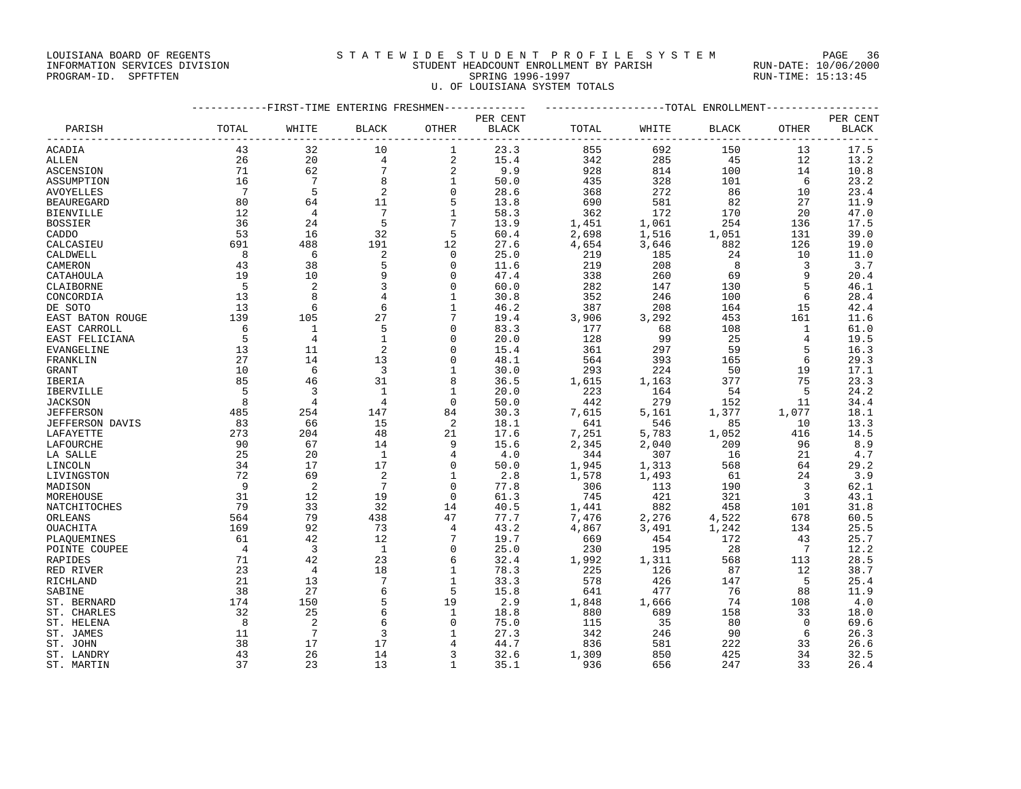### LOUISIANA BOARD OF REGENTS SAND STATEWIDE STUDENT PROFILE SYSTEM PAGE 36 INFORMATION SERVICES DIVISION STUDENT HEADCOUNT ENROLLMENT BY PARISH RUN-DATE: 10/06/2000 PROGRAM-ID. SPFTFTEN SARE SERING 1996-1997 SPRING 1996-1997 RUN-TIME: 15:13:45

U. OF LOUISIANA SYSTEM TOTALS

|                  |                |                         |                            |                 |                          | -----------FIRST-TIME ENTERING FRESHMEN------------- --------------------TOTAL ENROLLMENT---------------- |       |              |                |                          |
|------------------|----------------|-------------------------|----------------------------|-----------------|--------------------------|-----------------------------------------------------------------------------------------------------------|-------|--------------|----------------|--------------------------|
| PARISH           | TOTAL          | WHITE                   | <b>BLACK</b>               | OTHER           | PER CENT<br><b>BLACK</b> | TOTAL                                                                                                     | WHITE | <b>BLACK</b> | <b>OTHER</b>   | PER CENT<br><b>BLACK</b> |
| ACADIA           | 43             | 32                      | 10                         | 1               | 23.3                     | 855                                                                                                       | 692   | 150          | 13             | 17.5                     |
| ALLEN            | 26             | 20                      | 4                          | 2               | 15.4                     | 342                                                                                                       | 285   | 45           | 12             | 13.2                     |
| ASCENSION        | 71             | 62                      | $7\phantom{.0}$            | 2               | 9.9                      | 928                                                                                                       | 814   | 100          | 14             | 10.8                     |
| ASSUMPTION       | 16             | 7                       | 8                          | $\mathbf{1}$    | 50.0                     | 435                                                                                                       | 328   | 101          | - 6            | 23.2                     |
| AVOYELLES        | $\overline{7}$ | 5                       | $\overline{\phantom{0}}^2$ | $\Omega$        | 28.6                     | 368                                                                                                       | 272   | 86           | 10             | 23.4                     |
| BEAUREGARD       | 80             | 64                      | 11                         | 5               | 13.8                     | 690                                                                                                       | 581   | 82           | 27             | 11.9                     |
| BIENVILLE        | 12             | $\overline{4}$          | $7\phantom{.0}$            | $\mathbf{1}$    | 58.3                     | 362                                                                                                       | 172   | 170          | 20             | 47.0                     |
| BOSSIER          | 36             | 24                      | 5                          | $7\phantom{.0}$ | 13.9                     | 1,451                                                                                                     | 1,061 | 254          | 136            | 17.5                     |
| CADDO            | 53             | 16                      | 32                         | 5               | 60.4                     | 2,698                                                                                                     | 1,516 | 1,051        | 131            | 39.0                     |
| CALCASIEU        | 691            | 488                     | 191                        | 12              | 27.6                     | 4,654                                                                                                     | 3,646 | 882          | 126            | 19.0                     |
| CALDWELL         | 8              | - 6                     | 2                          | $\circ$         | 25.0                     | 219                                                                                                       | 185   | 24           | 10             | 11.0                     |
| CAMERON          | 43             | 38                      | 5                          | $\Omega$        | 11.6                     | 219                                                                                                       | 208   | 8            | 3              | 3.7                      |
| CATAHOULA        | 19             | 10                      | 9                          | $\Omega$        | 47.4                     | 338                                                                                                       | 260   | 69           | 9              | 20.4                     |
| CLAIBORNE        | - 5            | 2                       | 3                          | 0               | 60.0                     | 282                                                                                                       | 147   | 130          | 5              | 46.1                     |
| CONCORDIA        | 13             | 8                       | 4                          |                 | 30.8                     | 352                                                                                                       | 246   | 100          | 6              | 28.4                     |
| DE SOTO          | 13             | 6                       | 6                          | $\mathbf{1}$    | 46.2                     | 387                                                                                                       | 208   | 164          | 15             | 42.4                     |
| EAST BATON ROUGE | 139            | 105                     | 27                         | $7\phantom{.0}$ | 19.4                     | 3,906                                                                                                     | 3,292 | 453          | 161            | 11.6                     |
| EAST CARROLL     | 6              | 1                       | 5                          | $\Omega$        | 83.3                     | 177                                                                                                       | 68    | 108          | 1              | 61.0                     |
| EAST FELICIANA   | 5              | $\overline{4}$          | $\mathbf{1}$               | 0               | 20.0                     | 128                                                                                                       | 99    | 25           | 4              | 19.5                     |
| EVANGELINE       | 13             | 11                      | 2                          | $\Omega$        | 15.4                     | 361                                                                                                       | 297   | 59           | 5              | 16.3                     |
| FRANKLIN         | 27             | 14                      | 13                         | $\Omega$        | 48.1                     | 564                                                                                                       | 393   | 165          | 6              | 29.3                     |
| GRANT            | 10             | 6                       | $\overline{3}$             | 1               | 30.0                     | 293                                                                                                       | 224   | 50           | 19             | 17.1                     |
| IBERIA           | 85             | 46                      | 31                         | 8               | 36.5                     | 1,615                                                                                                     | 1,163 | 377          | 75             | 23.3                     |
| IBERVILLE        | $-5$           | $\overline{\mathbf{3}}$ | 1                          | 1               | 20.0                     | 223                                                                                                       | 164   | - 54         | 5              | 24.2                     |
| JACKSON          | 8              | $\overline{4}$          | 4                          | $\Omega$        | 50.0                     | 442                                                                                                       | 279   | 152          | 11             | 34.4                     |
| JEFFERSON        | 485            | 254                     | 147                        | 84              | 30.3                     | 7,615                                                                                                     | 5,161 | 1,377        | 1,077          | 18.1                     |
| JEFFERSON DAVIS  | 83             | 66                      | 15                         | 2               | 18.1                     | 641                                                                                                       | 546   | 85           | 10             | 13.3                     |
| LAFAYETTE        | 273            | 204                     | 48                         | 21              | 17.6                     | 7,251                                                                                                     | 5,783 | 1,052        | 416            | 14.5                     |
| LAFOURCHE        | 90             | 67                      | 14                         | 9               | 15.6                     | 2,345                                                                                                     | 2,040 | 209          | 96             | 8.9                      |
| LA SALLE         | 25             | 20                      | $\overline{1}$             | 4               | 4.0                      | 344                                                                                                       | 307   | 16           | 21             | 4.7                      |
| LINCOLN          | 34             | 17                      | 17                         | 0               | 50.0                     | 1,945                                                                                                     | 1,313 | 568          | 64             | 29.2                     |
| LIVINGSTON       | 72             | 69                      | 2                          | $\mathbf{1}$    | 2.8                      | 1,578                                                                                                     | 1,493 | 61           | 24             | 3.9                      |
| MADISON          | $\overline{9}$ | $\overline{2}$          | $7\phantom{.0}$            | 0               | 77.8                     | 306                                                                                                       | 113   | 190          | 3              | 62.1                     |
| MOREHOUSE        | 31             | 12                      | 19                         | 0               | 61.3                     | 745                                                                                                       | 421   | 321          | 3              | 43.1                     |
| NATCHITOCHES     | 79             | 33                      | 32                         | 14              | 40.5                     | 1,441                                                                                                     | 882   | 458          | 101            | 31.8                     |
| ORLEANS          | 564            | 79                      | 438                        | 47              | 77.7                     | 7,476                                                                                                     | 2,276 | 4,522        | 678            | 60.5                     |
| OUACHITA         | 169            | 92                      | 73                         | 4               | 43.2                     | 4,867                                                                                                     | 3,491 | 1,242        | 134            | 25.5                     |
| PLAOUEMINES      | 61             | 42                      | 12                         |                 | 19.7                     | 669                                                                                                       | 454   | 172          | 43             | 25.7                     |
| POINTE COUPEE    | $\overline{4}$ | $\overline{\mathbf{3}}$ | $\overline{1}$             | 0               | 25.0                     | 230                                                                                                       | 195   | 28           | $\overline{7}$ | 12.2                     |
| RAPIDES          | 71             | 42                      | 23                         | 6               | 32.4                     | 1,992                                                                                                     | 1,311 | 568          | 113            | 28.5                     |
| RED RIVER        | 23             | $\overline{4}$          | 18                         | 1               | 78.3                     | 225                                                                                                       | 126   | 87           | 12             | 38.7                     |
| RICHLAND         | 21             | 13                      | 7                          | $\mathbf{1}$    | 33.3                     | 578                                                                                                       | 426   | 147          | 5              | 25.4                     |
| SABINE           | 38             | 27                      | 6                          | 5               | 15.8                     | 641                                                                                                       | 477   | 76           | 88             | 11.9                     |
| ST. BERNARD      | 174            | 150                     | 5                          | 19              | 2.9                      | 1,848                                                                                                     | 1,666 | 74           | 108            | 4.0                      |
| ST. CHARLES      | 32             | 25                      | 6                          | 1               | 18.8                     | 880                                                                                                       | 689   | 158          | 33             | 18.0                     |
| ST. HELENA       | 8              | $\overline{2}$          | 6                          | $\Omega$        | 75.0                     | 115                                                                                                       | 35    | 80           | $\Omega$       | 69.6                     |
| ST. JAMES        | 11             | $7\phantom{.0}$         | 3                          | 1               | 27.3                     | 342                                                                                                       | 246   | 90           | 6              | 26.3                     |
| ST. JOHN         | 38             | 17                      | 17                         | 4               | 44.7                     | 836                                                                                                       | 581   | 222          | 33             | 26.6                     |
| ST. LANDRY       | 43             | 26                      | 14                         | 3               | 32.6                     | 1,309                                                                                                     | 850   | 425          | 34             | 32.5                     |

ST. MARTIN 37 23 13 1 35.1 936 656 247 33 26.4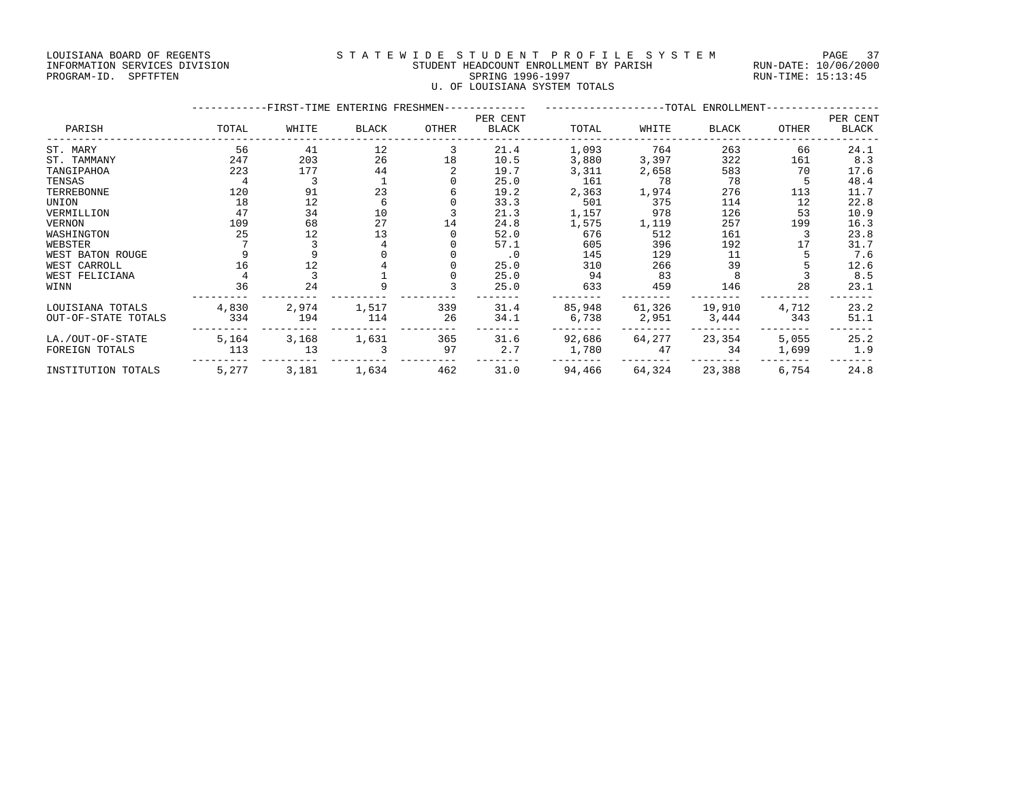### LOUISIANA BOARD OF REGENTS STATEWIDE STUDENT PROFILE SYSTEM PAGE 37 INFORMATION SERVICES DIVISION STUDENT HEADCOUNT ENROLLMENT BY PARISH RUN-DATE: 10/06/2000 PROGRAM-ID. SPFTFTEN SARE SERING 1996-1997 SPRING 1996-1997 RUN-TIME: 15:13:45

U. OF LOUISIANA SYSTEM TOTALS

|                     |       | -FIRST-TIME ENTERING FRESHMEN-- |              |       |                          |        |        | ---------TOTAL ENROLLMENT- |       |                   |
|---------------------|-------|---------------------------------|--------------|-------|--------------------------|--------|--------|----------------------------|-------|-------------------|
| PARISH              | TOTAL | WHITE                           | <b>BLACK</b> | OTHER | PER CENT<br><b>BLACK</b> | TOTAL  | WHITE  | BLACK                      | OTHER | PER CENT<br>BLACK |
| ST. MARY            | 56    | 41                              | 12           |       | 21.4                     | 1,093  | 764    | 263                        | 66    | 24.1              |
| ST. TAMMANY         | 247   | 203                             | 26           | 18    | 10.5                     | 3,880  | 3,397  | 322                        | 161   | 8.3               |
| TANGIPAHOA          | 223   | 177                             | 44           |       | 19.7                     | 3,311  | 2,658  | 583                        | 70    | 17.6              |
| TENSAS              |       | 3                               |              |       | 25.0                     | 161    | 78     | 78                         |       | 48.4              |
| TERREBONNE          | 120   | 91                              | 23           |       | 19.2                     | 2,363  | 1,974  | 276                        | 113   | 11.7              |
| UNION               | 18    | 12                              | 6            |       | 33.3                     | 501    | 375    | 114                        | 12    | 22.8              |
| VERMILLION          | 47    | 34                              | 10           |       | 21.3                     | 1,157  | 978    | 126                        | 53    | 10.9              |
| <b>VERNON</b>       | 109   | 68                              | 27           | 14    | 24.8                     | 1,575  | 1,119  | 257                        | 199   | 16.3              |
| WASHINGTON          | 25    | 12                              | 13           |       | 52.0                     | 676    | 512    | 161                        | 3     | 23.8              |
| WEBSTER             |       |                                 |              |       | 57.1                     | 605    | 396    | 192                        | 17    | 31.7              |
| WEST BATON ROUGE    |       |                                 |              |       | $\cdot$ 0                | 145    | 129    | 11                         |       | 7.6               |
| WEST CARROLL        | 16    | 12                              |              |       | 25.0                     | 310    | 266    | 39                         |       | 12.6              |
| WEST FELICIANA      |       |                                 |              |       | 25.0                     | 94     | 83     |                            |       | 8.5               |
| WINN                | 36    | 24                              |              |       | 25.0                     | 633    | 459    | 146                        | 28    | 23.1              |
| LOUISIANA TOTALS    | 4,830 | 2,974                           | 1,517        | 339   | 31.4                     | 85,948 | 61,326 | 19,910                     | 4,712 | 23.2              |
| OUT-OF-STATE TOTALS | 334   | 194                             | 114          | 26    | 34.1                     | 6,738  | 2,951  | 3,444                      | 343   | 51.1              |
| LA./OUT-OF-STATE    | 5,164 | 3,168                           | 1,631        | 365   | 31.6                     | 92,686 | 64,277 | 23,354                     | 5,055 | 25.2              |
| FOREIGN TOTALS      | 113   | 13                              |              | 97    | 2.7                      | 1,780  | 47     | 34                         | 1,699 | 1.9               |
| INSTITUTION TOTALS  | 5,277 | 3,181                           | 1,634        | 462   | 31.0                     | 94,466 | 64,324 | 23,388                     | 6,754 | 24.8              |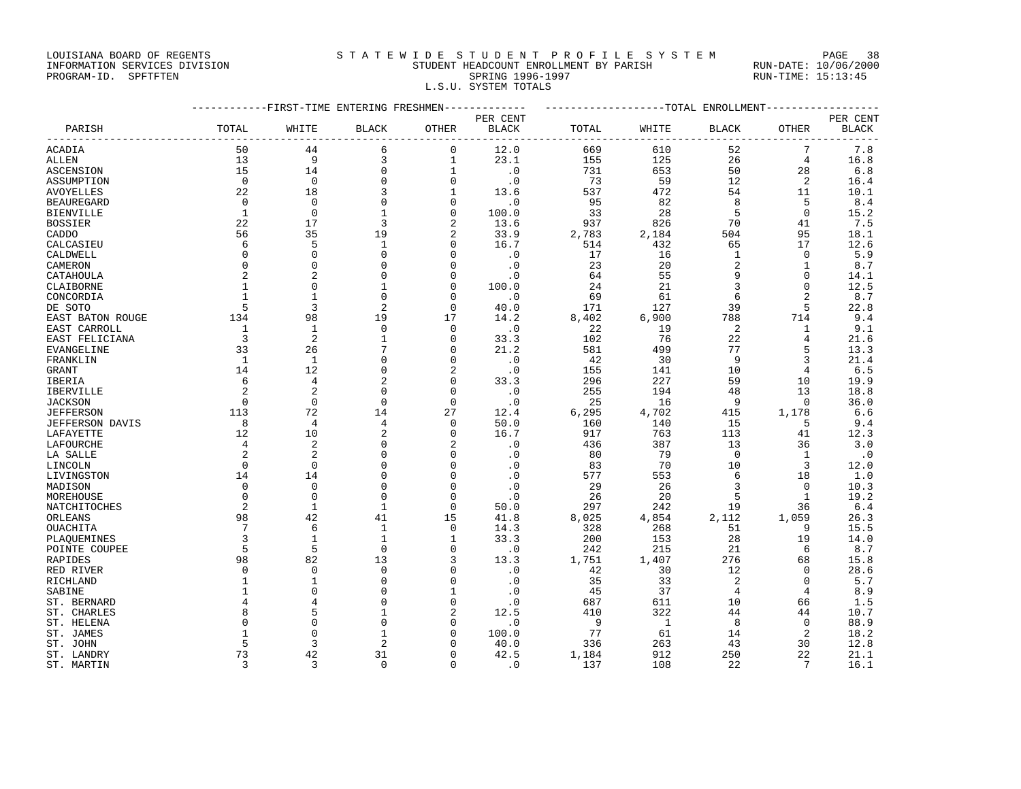LOUISIANA BOARD OF REGENTS STRTEWIDE STUDENT PROFILE SYSTEM PAGE 38

### INFORMATION SERVICES DIVISION STUDENT HEADCOUNT ENROLLMENT BY PARISH RUN-DATE: 10/06/2000 PROGRAM-ID. SPFTFTEN SARE SERING 1996-1997 SPRING 1996-1997 RUN-TIME: 15:13:45 L.S.U. SYSTEM TOTALS

|                   | -----------FIRST-TIME ENTERING FRESHMEN------------- |                |                |                |                        |       |       |                | ------------------TOTAL ENROLLMENT--------------- |           |  |  |  |  |
|-------------------|------------------------------------------------------|----------------|----------------|----------------|------------------------|-------|-------|----------------|---------------------------------------------------|-----------|--|--|--|--|
|                   |                                                      |                |                |                | PER CENT               |       |       |                |                                                   | PER CENT  |  |  |  |  |
| PARISH            | TOTAL                                                | WHITE          | <b>BLACK</b>   | <b>OTHER</b>   | BLACK                  | TOTAL | WHITE | <b>BLACK</b>   | OTHER                                             | BLACK     |  |  |  |  |
| ACADIA            | 50                                                   | 44             | 6              | 0              | 12.0                   | 669   | 610   | 52             | 7                                                 | 7.8       |  |  |  |  |
| ALLEN             | 13                                                   | 9              | 3              | $\mathbf{1}$   | 23.1                   | 155   | 125   | 26             | $\overline{4}$                                    | 16.8      |  |  |  |  |
| ASCENSION         | 15                                                   | 14             | $\mathbf 0$    | $\mathbf{1}$   | $\cdot$ 0              | 731   | 653   | 50             | 28                                                | 6.8       |  |  |  |  |
| ASSUMPTION        | $\Omega$                                             | $\mathbf 0$    | $\mathbf 0$    | $\mathbf 0$    | $\cdot$ 0              | 73    | 59    | 12             | 2                                                 | 16.4      |  |  |  |  |
| AVOYELLES         | 22                                                   | 18             | 3              | 1              | 13.6                   | 537   | 472   | 54             | 11                                                | 10.1      |  |  |  |  |
| <b>BEAUREGARD</b> | 0                                                    | $\mathbf 0$    | $\mathbf 0$    | 0              | $\cdot$ 0              | 95    | 82    | 8              | 5                                                 | 8.4       |  |  |  |  |
| BIENVILLE         | $\mathbf{1}$                                         | $\mathbf 0$    | $\mathbf{1}$   | 0              | 100.0                  | 33    | 28    | 5              | $\mathbf 0$                                       | 15.2      |  |  |  |  |
| BOSSIER           | 22                                                   | 17             | 3              | $\overline{a}$ | 13.6                   | 937   | 826   | 70             | 41                                                | 7.5       |  |  |  |  |
| CADDO             | 56                                                   | 35             | 19             | $\mathfrak{D}$ | 33.9                   | 2,783 | 2,184 | 504            | 95                                                | 18.1      |  |  |  |  |
| CALCASIEU         | 6                                                    | 5              | 1              | 0              | 16.7                   | 514   | 432   | 65             | 17                                                | 12.6      |  |  |  |  |
| CALDWELL          | $\mathbf 0$                                          | $\Omega$       | $\mathbf 0$    | $\Omega$       | $\cdot$ 0              | 17    | 16    | $\mathbf{1}$   | $\mathbf 0$                                       | 5.9       |  |  |  |  |
| CAMERON           | $\mathbf 0$                                          | $\mathbf 0$    | $\mathbf 0$    | $\Omega$       | $\cdot$ 0              | 23    | 20    | $\overline{2}$ | 1                                                 | 8.7       |  |  |  |  |
| CATAHOULA         | $\overline{2}$                                       | 2              | $\Omega$       | 0              | $\cdot$ 0              | 64    | 55    | 9              | $\Omega$                                          | 14.1      |  |  |  |  |
| CLAIBORNE         | $\mathbf{1}$                                         | $\Omega$       | $\mathbf{1}$   | $\Omega$       | 100.0                  | 24    | 21    | 3              | $\Omega$                                          | 12.5      |  |  |  |  |
| CONCORDIA         | $\mathbf{1}$                                         | 1              | $\mathbf 0$    | 0              | $\cdot$ 0              | 69    | 61    | 6              | 2                                                 | 8.7       |  |  |  |  |
| DE SOTO           | 5                                                    | 3              | $\overline{2}$ | $\Omega$       | 40.0                   | 171   | 127   | 39             | 5                                                 | 22.8      |  |  |  |  |
| EAST BATON ROUGE  | 134                                                  | 98             | 19             | 17             | 14.2                   | 8,402 | 6,900 | 788            | 714                                               | 9.4       |  |  |  |  |
| EAST CARROLL      | 1                                                    | 1              | $\Omega$       | 0              | $\cdot$ 0              | 22    | 19    | 2              | 1                                                 | 9.1       |  |  |  |  |
| EAST FELICIANA    | 3                                                    | 2              | $\mathbf{1}$   | $\Omega$       | 33.3                   | 102   | 76    | 22             | 4                                                 | 21.6      |  |  |  |  |
| EVANGELINE        | 33                                                   | 26             | 7              | 0              | 21.2                   | 581   | 499   | 77             | 5                                                 | 13.3      |  |  |  |  |
| FRANKLIN          | $\mathbf{1}$                                         | 1              | $\mathbf 0$    | $\Omega$       | $\boldsymbol{\cdot}$ 0 | 42    | 30    | 9              | 3                                                 | 21.4      |  |  |  |  |
| GRANT             | 14                                                   | 12             | 0              | 2              | $\cdot$ 0              | 155   | 141   | 10             | 4                                                 | 6.5       |  |  |  |  |
| IBERIA            | 6                                                    | 4              | 2              | 0              | 33.3                   | 296   | 227   | 59             | 10                                                | 19.9      |  |  |  |  |
| IBERVILLE         | $\overline{2}$                                       | 2              | $\Omega$       | $\Omega$       | $\cdot$ 0              | 255   | 194   | 48             | 13                                                | 18.8      |  |  |  |  |
| JACKSON           | $\Omega$                                             | $\mathbf 0$    | $\mathbf 0$    | $\mathbf 0$    | $\cdot$ 0              | 25    | 16    | 9              | 0                                                 | 36.0      |  |  |  |  |
| JEFFERSON         | 113                                                  | 72             | 14             | 27             | 12.4                   | 6,295 | 4,702 | 415            | 1,178                                             | 6.6       |  |  |  |  |
| JEFFERSON DAVIS   | 8                                                    | $\overline{4}$ | 4              | $\Omega$       | 50.0                   | 160   | 140   | 15             | 5                                                 | 9.4       |  |  |  |  |
| LAFAYETTE         | 12                                                   | 10             | 2              | $\Omega$       | 16.7                   | 917   | 763   | 113            | 41                                                | 12.3      |  |  |  |  |
| LAFOURCHE         | 4                                                    | 2              | $\Omega$       | 2              | $\cdot$ 0              | 436   | 387   | 13             | 36                                                | 3.0       |  |  |  |  |
| LA SALLE          | $\overline{2}$                                       | 2              | $\mathbf 0$    | $\Omega$       | $\cdot$ 0              | 80    | 79    | $\overline{0}$ | 1                                                 | $\cdot$ 0 |  |  |  |  |
| LINCOLN           | $\Omega$                                             | $\mathbf{0}$   | $\mathbf 0$    | $\Omega$       | $\cdot$ 0              | 83    | 70    | 10             | 3                                                 | 12.0      |  |  |  |  |
| LIVINGSTON        | 14                                                   | 14             | $\mathbf 0$    | 0              | $\cdot$ 0              | 577   | 553   | 6              | 18                                                | 1.0       |  |  |  |  |
| MADISON           | $\Omega$                                             | $\Omega$       | $\Omega$       | $\Omega$       | $\cdot$ 0              | 29    | 26    | 3              | 0                                                 | 10.3      |  |  |  |  |
| MOREHOUSE         | $\mathbf 0$                                          | $\mathbf{0}$   | $\mathbf 0$    | 0              | $\cdot$ 0              | 26    | 20    | 5              | 1                                                 | 19.2      |  |  |  |  |
| NATCHITOCHES      | $\overline{2}$                                       | $\mathbf{1}$   | $\mathbf{1}$   | $\Omega$       | 50.0                   | 297   | 242   | 19             | 36                                                | 6.4       |  |  |  |  |
| ORLEANS           | 98                                                   | 42             | 41             | 15             | 41.8                   | 8,025 | 4,854 | 2,112          | 1,059                                             | 26.3      |  |  |  |  |
| OUACHITA          | 7                                                    | 6              | 1              | 0              | 14.3                   | 328   | 268   | 51             | 9                                                 | 15.5      |  |  |  |  |
| PLAOUEMINES       | 3                                                    | $\mathbf{1}$   | 1              | -1             | 33.3                   | 200   | 153   | 28             | 19                                                | 14.0      |  |  |  |  |
| POINTE COUPEE     | 5                                                    | 5              | $\mathbf 0$    | 0              | $\cdot$ 0              | 242   | 215   | 21             | 6                                                 | 8.7       |  |  |  |  |
| RAPIDES           | 98                                                   | 82             | 13             | 3              | 13.3                   | 1,751 | 1,407 | 276            | 68                                                | 15.8      |  |  |  |  |
| RED RIVER         | $\Omega$                                             | $\Omega$       | $\Omega$       | $\Omega$       | $\cdot$ 0              | 42    | 30    | 12             | $\Omega$                                          | 28.6      |  |  |  |  |
| RICHLAND          | $\mathbf{1}$                                         | $\mathbf{1}$   | $\Omega$       | $\Omega$       | $\cdot$ 0              | 35    | 33    | 2              | $\Omega$                                          | 5.7       |  |  |  |  |
| SABINE            | 1                                                    | $\Omega$       | $\Omega$       | 1              | $\cdot$ 0              | 45    | 37    | 4              | 4                                                 | 8.9       |  |  |  |  |
| ST. BERNARD       | $\overline{4}$                                       | 4              | $\mathbf 0$    | $\Omega$       | $\cdot$ 0              | 687   | 611   | 10             | 66                                                | 1.5       |  |  |  |  |
| ST. CHARLES       |                                                      | 5              | $\mathbf{1}$   | $\overline{c}$ | 12.5                   | 410   | 322   | 44             | 44                                                | 10.7      |  |  |  |  |
| ST. HELENA        | $\Omega$                                             | O              | $\Omega$       | O              | $\cdot$ 0              | 9     | 1     | 8              | $\Omega$                                          | 88.9      |  |  |  |  |
| ST. JAMES         | -1                                                   | $\Omega$       | $\mathbf{1}$   | ∩              | 100.0                  | 77    | 61    | 14             | 2                                                 | 18.2      |  |  |  |  |
| ST. JOHN          | 5                                                    | 3              | 2              | O              | 40.0                   | 336   | 263   | 43             | 30                                                | 12.8      |  |  |  |  |
| ST. LANDRY        | 73                                                   | 42             | 31             | $\Omega$       | 42.5                   | 1,184 | 912   | 250            | 22                                                | 21.1      |  |  |  |  |

ST. MARTIN 3 3 0 0 .0 137 108 22 7 16.1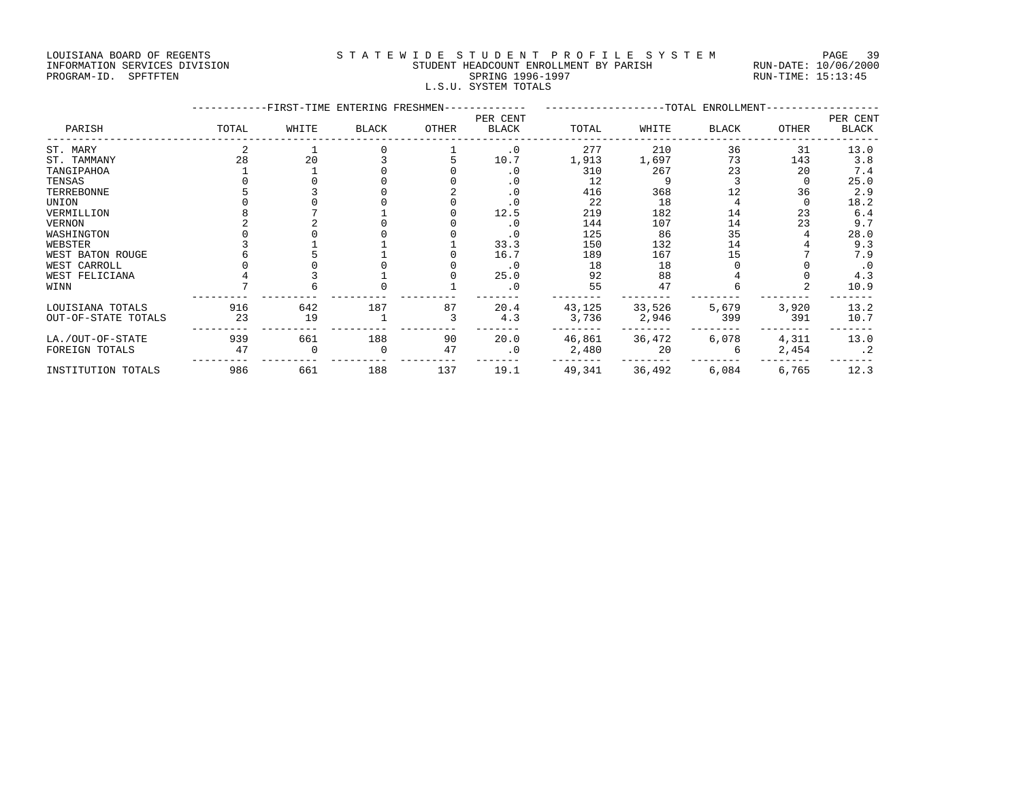LOUISIANA BOARD OF REGENTS STATEWIDE STUDENT PROFILE SYSTEM PAGE 39

|                               |                                        | -----<br>___         |
|-------------------------------|----------------------------------------|----------------------|
| INFORMATION SERVICES DIVISION | STUDENT HEADCOUNT ENROLLMENT BY PARISH | RUN-DATE: 10/06/2000 |
| PROGRAM-ID. SPFTFTEN          | SPRING 1996-1997                       | RUN-TIME: 15:13:45   |
|                               | L.S.U. SYSTEM TOTALS                   |                      |

|                     |       | -FIRST-TIME ENTERING FRESHMEN- |       |       |                          |        |        | --TOTAL ENROLLMENT- |       |                   |
|---------------------|-------|--------------------------------|-------|-------|--------------------------|--------|--------|---------------------|-------|-------------------|
| PARISH              | TOTAL | WHITE                          | BLACK | OTHER | PER CENT<br><b>BLACK</b> | TOTAL  | WHITE  | <b>BLACK</b>        | OTHER | PER CENT<br>BLACK |
| ST. MARY            |       |                                |       |       | $\cdot$ 0                | 277    | 210    | 36                  | 31    | 13.0              |
| ST. TAMMANY         | 28    | 20                             |       |       | 10.7                     | 1,913  | 1,697  | 73                  | 143   | 3.8               |
| TANGIPAHOA          |       |                                |       |       | . 0                      | 310    | 267    | 23                  | 20    | 7.4               |
| TENSAS              |       |                                |       |       | $\cdot$ 0                | 12     |        |                     |       | 25.0              |
| TERREBONNE          |       |                                |       |       | $\cdot$ 0                | 416    | 368    |                     | 36    | 2.9               |
| UNION               |       |                                |       |       | $\cdot$ 0                | 22     | 18     |                     |       | 18.2              |
| VERMILLION          |       |                                |       |       | 12.5                     | 219    | 182    | 14                  | 23    | 6.4               |
| VERNON              |       |                                |       |       | $\cdot$ 0                | 144    | 107    | 14                  | 23    | 9.7               |
| WASHINGTON          |       |                                |       |       | $\cdot$ 0                | 125    | 86     | 35                  |       | 28.0              |
| WEBSTER             |       |                                |       |       | 33.3                     | 150    | 132    | 14                  |       | 9.3               |
| WEST BATON ROUGE    |       |                                |       |       | 16.7                     | 189    | 167    | 15                  |       | 7.9               |
| WEST CARROLL        |       |                                |       |       | $\cdot$ 0                | 18     | 18     |                     |       | $\cdot$ 0         |
| WEST FELICIANA      |       |                                |       |       | 25.0                     | 92     | 88     |                     |       | 4.3               |
| WINN                |       |                                |       |       | . 0                      | 55     | 47     |                     |       | 10.9              |
| LOUISIANA TOTALS    | 916   | 642                            | 187   | 87    | 20.4                     | 43,125 | 33,526 | 5,679               | 3,920 | 13.2              |
| OUT-OF-STATE TOTALS | 23    | 19                             |       |       | 4.3                      | 3,736  | 2,946  | 399                 | 391   | 10.7              |
| LA./OUT-OF-STATE    | 939   | 661                            | 188   | 90    | 20.0                     | 46,861 | 36,472 | 6,078               | 4,311 | 13.0              |
| FOREIGN TOTALS      | 47    |                                |       | 47    | $\cdot$ 0                | 2,480  | 20     |                     | 2,454 | $\cdot$ 2         |
| INSTITUTION TOTALS  | 986   | 661                            | 188   | 137   | 19.1                     | 49,341 | 36,492 | 6,084               | 6,765 | 12.3              |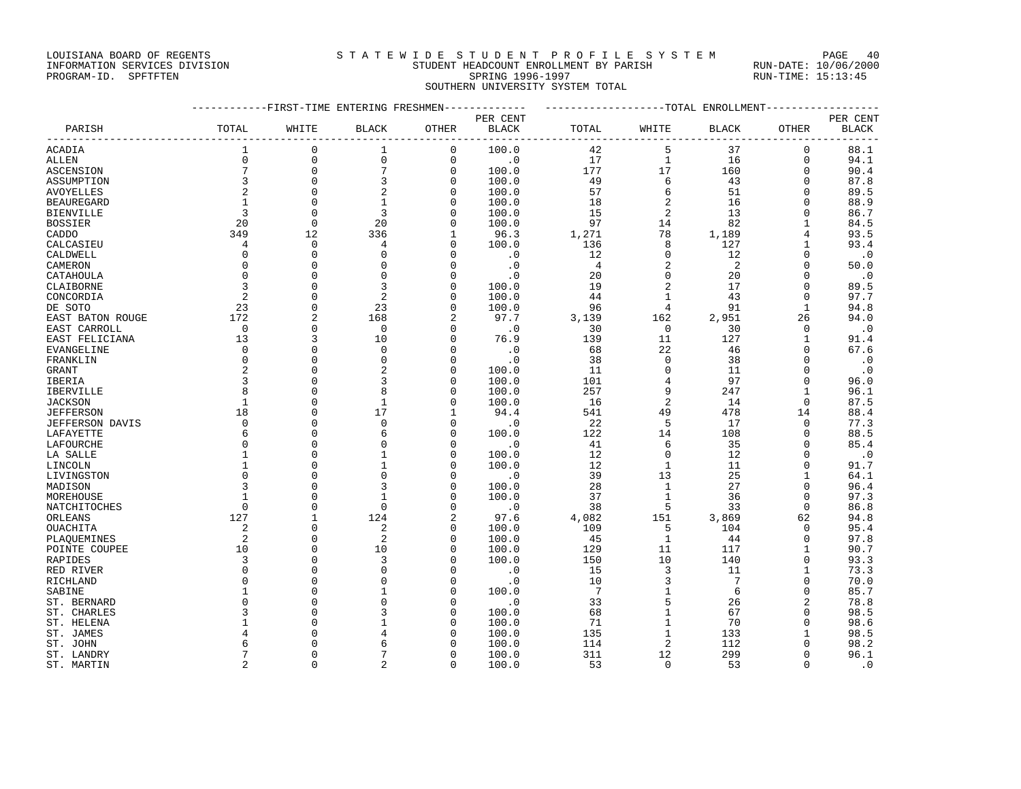### LOUISIANA BOARD OF REGENTS STATEWIDE STUDENT PROFILE SYSTEM PAGE 40 INFORMATION SERVICES DIVISION STUDENT HEADCOUNT ENROLLMENT BY PARISH RUN-DATE: 10/06/2000

PROGRAM-ID. SPFTFTEN SARE SERING 1996-1997 SPRING 1996-1997 RUN-TIME: 15:13:45 SOUTHERN UNIVERSITY SYSTEM TOTAL

|                   |                 | ----------FIRST-TIME ENTERING FRESHMEN------------- |                     |                |                             | -------------------TOTAL ENROLLMENT-------------- |                  |                 |                        |              |
|-------------------|-----------------|-----------------------------------------------------|---------------------|----------------|-----------------------------|---------------------------------------------------|------------------|-----------------|------------------------|--------------|
|                   |                 |                                                     |                     |                | PER CENT                    |                                                   |                  |                 |                        | PER CENT     |
| PARISH            | TOTAL           | WHITE                                               | <b>BLACK</b>        | OTHER          | <b>BLACK</b>                | TOTAL                                             | WHITE            | <b>BLACK</b>    | OTHER                  | <b>BLACK</b> |
| ACADIA            | $\mathbf{1}$    | $\mathbf 0$                                         | 1                   | $\mathbf 0$    | 100.0                       | 42                                                | 5                | 37              | -------<br>$\mathbf 0$ | 88.1         |
| <b>ALLEN</b>      | $\Omega$        | $\mathsf 0$                                         | $\mathsf{O}\xspace$ | $\mathsf{O}$   | $\overline{\phantom{0}}$ .0 | 17                                                | $\mathbf{1}$     | 16              | $\mathbf 0$            | 94.1         |
| ASCENSION         | $7\overline{ }$ | $\mathbf 0$                                         | 7                   | $\mathbf 0$    | 100.0                       | 177                                               | 17               | 160             | $\Omega$               | 90.4         |
| ASSUMPTION        | $\overline{3}$  | $\mathbf 0$                                         | 3                   | $\mathbf 0$    | 100.0                       | 49                                                | 6                | 43              | $\mathbf 0$            | 87.8         |
| AVOYELLES         | $\overline{2}$  | $\Omega$                                            | 2                   | $\Omega$       | 100.0                       | 57                                                | $\epsilon$       | 51              | $\Omega$               | 89.5         |
| <b>BEAUREGARD</b> | $\mathbf{1}$    | $\mathbf{0}$                                        | $\mathbf{1}$        | 0              | 100.0                       | 18                                                | $\overline{2}$   | 16              | $\mathbf 0$            | 88.9         |
| <b>BIENVILLE</b>  | 3               | $\Omega$                                            | 3                   | $\Omega$       | 100.0                       | 15                                                | $\overline{2}$   | 13              | $\Omega$               | 86.7         |
| <b>BOSSIER</b>    | 20              | $\mathbf 0$                                         | 20                  | $\mathbf 0$    | 100.0                       | 97                                                | 14               | 82              | $\mathbf{1}$           | 84.5         |
| CADDO             | 349             | 12                                                  | 336                 | 1              | 96.3                        | 1,271                                             | 78               | 1,189           | 4                      | 93.5         |
| CALCASIEU         | $\overline{4}$  | $\mathbf{0}$                                        | 4                   | $\mathbf 0$    | 100.0                       | 136                                               | 8                | 127             | 1                      | 93.4         |
| CALDWELL          | $\Omega$        | $\Omega$                                            | $\Omega$            | $\Omega$       | $\cdot$ 0                   | 12                                                | $\mathbf 0$      | 12              | $\Omega$               | $\cdot$ .0   |
| CAMERON           | $\Omega$        | $\Omega$                                            | $\Omega$            | $\Omega$       | $\cdot$ 0                   | $\overline{4}$                                    | $\overline{a}$   | 2               | $\Omega$               | 50.0         |
| CATAHOULA         | $\Omega$        | $\Omega$                                            | $\Omega$            | $\Omega$       | $\cdot$ 0                   | 20                                                | $\mathbf{0}$     | 20              | $\Omega$               | $\cdot$ 0    |
| CLAIBORNE         | 3               | $\Omega$                                            | 3                   | $\mathbf 0$    | 100.0                       | 19                                                | $\sqrt{2}$       | 17              | $\Omega$               | 89.5         |
| CONCORDIA         | $\overline{2}$  | $\Omega$                                            | $\mathfrak{D}$      | $\Omega$       | 100.0                       | 44                                                | $\mathbf{1}$     | 43              | $\Omega$               | 97.7         |
| DE SOTO           | 23              | $\Omega$                                            | 23                  | $\Omega$       | 100.0                       | 96                                                | 4                | 91              | $\mathbf{1}$           | 94.8         |
| EAST BATON ROUGE  | 172             | $\overline{a}$                                      | 168                 | $\overline{a}$ | 97.7                        | 3,139                                             | 162              | 2,951           | 26                     | 94.0         |
| EAST CARROLL      | $\overline{0}$  | $\mathbf{0}$                                        | $\mathbf 0$         | $\mathbf 0$    | $\cdot$ 0                   | 30                                                | $\overline{0}$   | 30              | $\mathbf 0$            | $\cdot$ 0    |
| EAST FELICIANA    | 13              | 3                                                   | 10                  | 0              | 76.9                        | 139                                               | 11               | 127             | 1                      | 91.4         |
| EVANGELINE        | $\Omega$        | $\Omega$                                            | $\Omega$            | $\Omega$       | $\cdot$ 0                   | 68                                                | 22               | 46              | $\Omega$               | 67.6         |
| FRANKLIN          | $\Omega$        | $\Omega$                                            | $\Omega$            | $\mathbf 0$    | $\cdot$ 0                   | 38                                                | $\mathbf 0$      | 38              | $\Omega$               | $\cdot$ 0    |
| <b>GRANT</b>      | $\overline{a}$  | $\mathbf{0}$                                        | $\overline{2}$      | $\mathbf 0$    | 100.0                       | 11                                                | $\mathbf 0$      | 11              | $\Omega$               | $\cdot$ .0   |
| IBERIA            | 3               | $\Omega$                                            | 3                   | $\Omega$       | 100.0                       | 101                                               | $\ensuremath{4}$ | 97              | $\Omega$               | 96.0         |
| IBERVILLE         |                 | $\Omega$                                            |                     | $\Omega$       | 100.0                       | 257                                               | 9                | 247             | $\mathbf{1}$           | 96.1         |
| <b>JACKSON</b>    |                 | $\Omega$                                            | $\mathbf{1}$        | $\Omega$       | 100.0                       | 16                                                | $\overline{a}$   | 14              | $\Omega$               | 87.5         |
| <b>JEFFERSON</b>  | 18              | $\Omega$                                            | 17                  | 1              | 94.4                        | 541                                               | 49               | 478             | 14                     | 88.4         |
| JEFFERSON DAVIS   | $\mathbf 0$     | $\mathbf{0}$                                        | $\mathbf{0}$        | $\mathbf 0$    | $\cdot$ 0                   | 22                                                | 5                | 17              | 0                      | 77.3         |
| LAFAYETTE         | 6               | $\Omega$                                            | 6                   | $\Omega$       | 100.0                       | 122                                               | 14               | 108             | $\Omega$               | 88.5         |
| LAFOURCHE         | $\Omega$        | $\mathbf{0}$                                        | $\Omega$            | 0              | $\cdot$ 0                   | 41                                                | 6                | 35              | $\Omega$               | 85.4         |
| LA SALLE          | 1               | $\Omega$                                            | $\mathbf{1}$        | $\Omega$       | 100.0                       | 12                                                | $\Omega$         | 12              | $\Omega$               | $\cdot$ 0    |
| LINCOLN           | $\mathbf{1}$    | $\mathbf{0}$                                        | $\mathbf{1}$        | $\mathbf 0$    | 100.0                       | 12                                                | $\mathbf{1}$     | 11              | $\mathbf{0}$           | 91.7         |
| LIVINGSTON        | $\Omega$        | $\Omega$                                            | $\Omega$            | $\Omega$       | $\cdot$ 0                   | 39                                                | 13               | 25              | 1                      | 64.1         |
| MADISON           |                 | $\Omega$                                            | 3                   | $\Omega$       | 100.0                       | 28                                                | $\mathbf{1}$     | 27              | $\Omega$               | 96.4         |
| MOREHOUSE         |                 | $\Omega$                                            |                     | $\Omega$       | 100.0                       | 37                                                | $\mathbf{1}$     | 36              | $\Omega$               | 97.3         |
| NATCHITOCHES      | $\Omega$        | $\Omega$                                            | $\Omega$            | $\Omega$       | $\cdot$ 0                   | 38                                                | 5                | 33              | $\Omega$               | 86.8         |
| ORLEANS           | 127             | $\mathbf{1}$                                        | 124                 | $\overline{a}$ | 97.6                        | 4,082                                             | 151              | 3,869           | 62                     | 94.8         |
| OUACHITA          | $\overline{2}$  | $\Omega$                                            | $\overline{a}$      | $\mathbf 0$    | 100.0                       | 109                                               | 5                | 104             | $\Omega$               | 95.4         |
| PLAOUEMINES       | 2               | $\Omega$                                            | $\overline{2}$      | $\Omega$       | 100.0                       | 45                                                | 1                | 44              | $\Omega$               | 97.8         |
| POINTE COUPEE     | 10              | $\Omega$                                            | 10                  | $\Omega$       | 100.0                       | 129                                               | 11               | 117             | $\mathbf{1}$           | 90.7         |
| RAPIDES           | 3               | $\Omega$                                            | 3                   | $\Omega$       | 100.0                       | 150                                               | 10               | 140             | $\Omega$               | 93.3         |
| RED RIVER         | $\Omega$        | $\Omega$                                            | $\Omega$            | $\Omega$       | $\cdot$ 0                   | 15                                                | 3                | 11              | 1                      | 73.3         |
| RICHLAND          | $\cap$          | $\Omega$                                            |                     | $\Omega$       | $\cdot$ 0                   | 10                                                | 3                | $7\phantom{.0}$ | $\Omega$               | 70.0         |
| SABINE            |                 | $\Omega$                                            |                     | $\Omega$       | 100.0                       | $7\overline{ }$                                   | $\mathbf{1}$     | 6               | $\Omega$               | 85.7         |
| ST. BERNARD       |                 | $\Omega$                                            |                     | $\Omega$       | $\cdot$ 0                   | 33                                                | 5                | 26              | $\overline{a}$         | 78.8         |
| ST. CHARLES       | ζ               | $\Omega$                                            |                     | $\mathbf 0$    | 100.0                       | 68                                                | $1\,$            | 67              | $\Omega$               | 98.5         |
| ST. HELENA        |                 | $\Omega$                                            |                     | $\Omega$       | 100.0                       | 71                                                | $\mathbf 1$      | 70              | $\Omega$               | 98.6         |
| ST. JAMES         |                 | $\Omega$                                            |                     | $\Omega$       | 100.0                       | 135                                               | $\mathbf{1}$     | 133             | 1                      | 98.5         |
| ST. JOHN          |                 | $\Omega$                                            | 6                   |                | 100.0                       | 114                                               | $\overline{2}$   | 112             | $\Omega$               | 98.2         |
| ST. LANDRY        |                 | $\Omega$                                            |                     | $\Omega$       | 100.0                       | 311                                               | 12               | 299             | $\Omega$               | 96.1         |
| ST. MARTIN        | $\mathfrak{D}$  | $\Omega$                                            | $\mathfrak{D}$      | $\Omega$       | 100.0                       | 53                                                | $\Omega$         | 53              | 0                      | $\cdot$ 0    |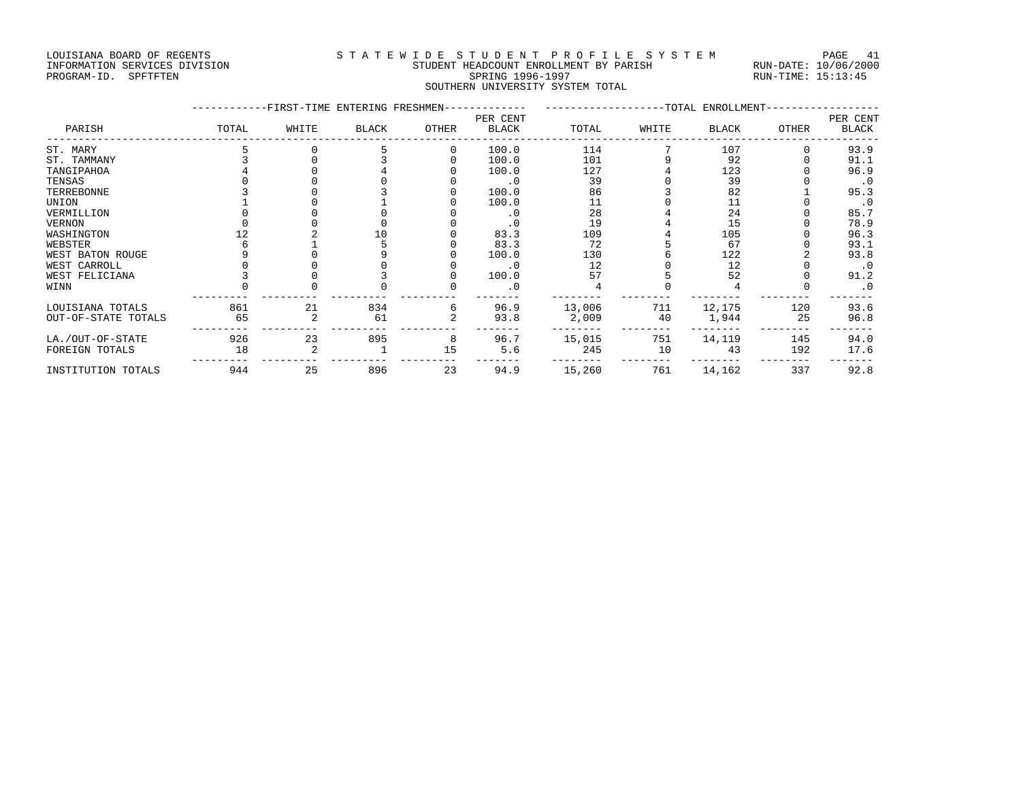## LOUISIANA BOARD OF REGENTS STATEWIDE STUDENT PROFILE SYSTEM PAGE 41 INFORMATION SERVICES DIVISION STUDENT HEADCOUNT ENROLLMENT BY PARISH RUN-DATE: 10/06/2000

# PROGRAM-ID. SPFTFTEN SARE SERING 1996-1997 SPRING 1996-1997 RUN-TIME: 15:13:45 SOUTHERN UNIVERSITY SYSTEM TOTAL

|                     |       | -FIRST-TIME ENTERING FRESHMEN- |              |          |                          |        |       | ------------------TOTAL ENROLLMENT- |       |                          |
|---------------------|-------|--------------------------------|--------------|----------|--------------------------|--------|-------|-------------------------------------|-------|--------------------------|
| PARISH              | TOTAL | WHITE                          | <b>BLACK</b> | OTHER    | PER CENT<br><b>BLACK</b> | TOTAL  | WHITE | BLACK                               | OTHER | PER CENT<br><b>BLACK</b> |
| ST. MARY            |       |                                |              | $\Omega$ | 100.0                    | 114    |       | 107                                 |       | 93.9                     |
| ST. TAMMANY         |       |                                |              |          | 100.0                    | 101    |       | 92                                  |       | 91.1                     |
| TANGIPAHOA          |       |                                |              |          | 100.0                    | 127    |       | 123                                 |       | 96.9                     |
| TENSAS              |       |                                |              |          | $\cdot$ 0                | 39     |       | 39                                  |       | $\cdot$ 0                |
| TERREBONNE          |       |                                |              |          | 100.0                    | 86     |       | 82                                  |       | 95.3                     |
| UNION               |       |                                |              |          | 100.0                    | 11     |       | 11                                  |       | $\cdot$ 0                |
| VERMILLION          |       |                                |              |          |                          | 28     |       | 24                                  |       | 85.7                     |
| VERNON              |       |                                |              |          |                          | 19     |       | 15                                  |       | 78.9                     |
| WASHINGTON          |       |                                |              |          | 83.3                     | 109    |       | 105                                 |       | 96.3                     |
| WEBSTER             |       |                                |              |          | 83.3                     | 72     |       | 67                                  |       | 93.1                     |
| WEST BATON ROUGE    |       |                                |              |          | 100.0                    | 130    |       | 122                                 |       | 93.8                     |
| WEST CARROLL        |       |                                |              |          | $\cdot$ 0                | 12     |       | 12                                  |       | $\cdot$ 0                |
| WEST FELICIANA      |       |                                |              |          | 100.0                    | 57     |       | 52                                  |       | 91.2                     |
| WINN                |       |                                |              |          |                          |        |       |                                     |       | $\cdot$ 0                |
| LOUISIANA TOTALS    | 861   | 21                             | 834          | 6        | 96.9                     | 13,006 | 711   | 12,175                              | 120   | 93.6                     |
| OUT-OF-STATE TOTALS | 65    |                                | 61           |          | 93.8                     | 2,009  | 40    | 1,944                               | 25    | 96.8                     |
| LA./OUT-OF-STATE    | 926   | 23                             | 895          | 8        | 96.7                     | 15,015 | 751   | 14,119                              | 145   | 94.0                     |
| FOREIGN TOTALS      | 18    |                                |              | 15       | 5.6                      | 245    | 10    | 43                                  | 192   | 17.6                     |
| INSTITUTION TOTALS  | 944   | 25                             | 896          | 23       | 94.9                     | 15,260 | 761   | 14,162                              | 337   | 92.8                     |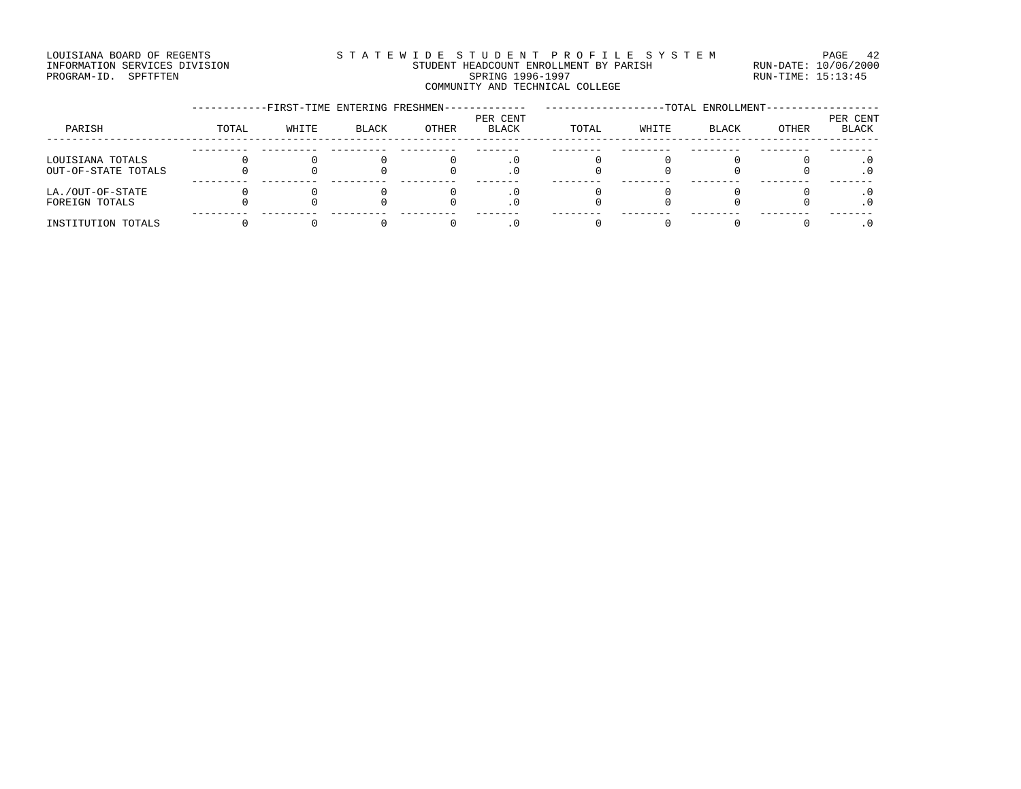### LOUISIANA BOARD OF REGENTS STATEWIDE STUDENT PROFILE SYSTEM PAGE 42 INFORMATION SERVICES DIVISION STUDENT HEADCOUNT ENROLLMENT BY PARISH RUN-DATE: 10/06/2000 PROGRAM-ID. SPFTFTEN SARE SERING 1996-1997 SPRING 1996-1997 RUN-TIME: 15:13:45 COMMUNITY AND TECHNICAL COLLEGE

|                                         | -FIRST-TIME ENTERING FRESHMEN- |       |       |       |                   | -TOTAL ENROLLMENT- |       |       |       |                          |
|-----------------------------------------|--------------------------------|-------|-------|-------|-------------------|--------------------|-------|-------|-------|--------------------------|
| PARISH                                  | TOTAL                          | WHITE | BLACK | OTHER | PER CENT<br>BLACK | TOTAL              | WHITE | BLACK | OTHER | PER CENT<br><b>BLACK</b> |
| LOUISIANA TOTALS<br>OUT-OF-STATE TOTALS |                                |       |       |       |                   |                    |       |       |       |                          |
| LA./OUT-OF-STATE<br>FOREIGN TOTALS      |                                |       |       |       |                   |                    |       |       |       |                          |
| INSTITUTION TOTALS                      |                                |       |       |       |                   |                    |       |       |       |                          |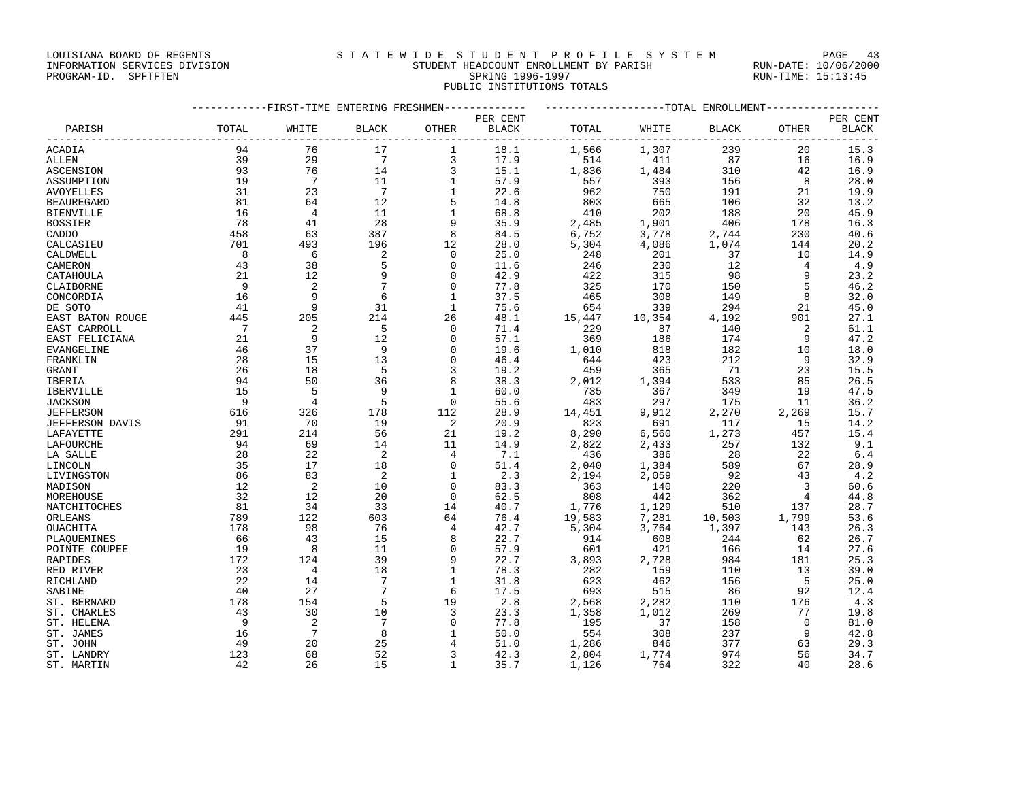### LOUISIANA BOARD OF REGENTS STATEWIDE STUDENT PROFILE SYSTEM PAGE 43 INFORMATION SERVICES DIVISION STUDENT HEADCOUNT ENROLLMENT BY PARISH RUN-DATE: 10/06/2000

# PROGRAM-ID. SPFTFTEN SARE SERING 1996-1997 SPRING 1996-1997 RUN-TIME: 15:13:45 PUBLIC INSTITUTIONS TOTALS

|                   | -----------FIRST-TIME ENTERING FRESHMEN------------- |                 |                            |              |          | ------------------TOTAL ENROLLMENT----------------- |        |              |                          |              |  |
|-------------------|------------------------------------------------------|-----------------|----------------------------|--------------|----------|-----------------------------------------------------|--------|--------------|--------------------------|--------------|--|
|                   |                                                      |                 |                            |              | PER CENT |                                                     |        |              |                          | PER CENT     |  |
| PARISH            | TOTAL                                                | WHITE           | <b>BLACK</b>               | OTHER        | BLACK    | TOTAL                                               | WHITE  | <b>BLACK</b> | OTHER                    | <b>BLACK</b> |  |
| ACADIA            | 94                                                   | 76              | 17                         | 1            | 18.1     | 1,566                                               | 1,307  | 239          | 20                       | 15.3         |  |
| <b>ALLEN</b>      | 39                                                   | 29              | $7\overline{ }$            | 3            | 17.9     | 514                                                 | 411    | 87           | 16                       | 16.9         |  |
| <b>ASCENSION</b>  | 93                                                   | 76              | 14                         | 3            | 15.1     | 1,836                                               | 1,484  | 310          | 42                       | 16.9         |  |
| ASSUMPTION        | 19                                                   | $\overline{7}$  | 11                         | $\mathbf{1}$ | 57.9     | 557                                                 | 393    | 156          | 8                        | 28.0         |  |
| AVOYELLES         | 31                                                   | 23              | $\overline{7}$             | $\mathbf{1}$ | 22.6     | 962                                                 | 750    | 191          | 21                       | 19.9         |  |
| <b>BEAUREGARD</b> | 81                                                   | 64              | 12                         | 5            | 14.8     | 803                                                 | 665    | 106          | 32                       | 13.2         |  |
| <b>BIENVILLE</b>  | 16                                                   | $\overline{4}$  | 11                         | $\mathbf{1}$ | 68.8     | 410                                                 | 202    | 188          | 20                       | 45.9         |  |
| <b>BOSSIER</b>    | 78                                                   | 41              | 28                         | 9            | 35.9     | 2,485                                               | 1,901  | 406          | 178                      | 16.3         |  |
| CADDO             | 458                                                  | 63              | 387                        | 8            | 84.5     | 6,752                                               | 3,778  | 2,744        | 230                      | 40.6         |  |
| CALCASIEU         | 701                                                  | 493             | 196                        | 12           | 28.0     | 5,304                                               | 4,086  | 1,074        | 144                      | 20.2         |  |
| CALDWELL          | 8                                                    | 6               | $\overline{c}$             | $\mathbf 0$  | 25.0     | 248                                                 | 201    | 37           | 10                       | 14.9         |  |
| CAMERON           | 43                                                   | 38              | 5                          | $\mathbf 0$  | 11.6     | 246                                                 | 230    | 12           | $\overline{4}$           | 4.9          |  |
| CATAHOULA         | 21                                                   | 12              | 9                          | $\mathbf 0$  | 42.9     | 422                                                 | 315    | 98           | 9                        | 23.2         |  |
| CLAIBORNE         | - 9                                                  | 2               | 7                          | $\mathbf 0$  | 77.8     | 325                                                 | 170    | 150          | 5                        | 46.2         |  |
| CONCORDIA         | 16                                                   | 9               | 6                          | $\mathbf{1}$ | 37.5     | 465                                                 | 308    | 149          | 8                        | 32.0         |  |
| DE SOTO           | 41                                                   | 9               | 31                         | 1            | 75.6     | 654                                                 | 339    | 294          | 21                       | 45.0         |  |
| EAST BATON ROUGE  | 445                                                  | 205             | 214                        | 26           | 48.1     | 15,447                                              | 10,354 | 4,192        | 901                      | 27.1         |  |
| EAST CARROLL      | $\overline{7}$                                       | 2               | $-5$                       | $\mathbf 0$  | 71.4     | 229                                                 | 87     | 140          | 2                        | 61.1         |  |
| EAST FELICIANA    | 21                                                   | 9               | 12                         | $\mathbf 0$  | 57.1     | 369                                                 | 186    | 174          | 9                        | 47.2         |  |
| EVANGELINE        | 46                                                   | 37              | - 9                        | $\mathbf 0$  | 19.6     | 1,010                                               | 818    | 182          | 10                       | 18.0         |  |
| FRANKLIN          | 28                                                   | 15              | 13                         | $\mathbf 0$  | 46.4     | 644                                                 | 423    | 212          | 9                        | 32.9         |  |
| GRANT             | 26                                                   | 18              | 5                          | 3            | 19.2     | 459                                                 | 365    | 71           | 23                       | 15.5         |  |
| IBERIA            | 94                                                   | 50              | 36                         | 8            | 38.3     | 2,012                                               | 1,394  | 533          | 85                       | 26.5         |  |
| IBERVILLE         | 15                                                   | 5               | 9                          | $\mathbf{1}$ | 60.0     | 735                                                 | 367    | 349          | 19                       | 47.5         |  |
| <b>JACKSON</b>    | $\overline{9}$                                       | $\overline{4}$  | 5                          | $\Omega$     | 55.6     | 483                                                 | 297    | 175          | 11                       | 36.2         |  |
| <b>JEFFERSON</b>  | 616                                                  | 326             | 178                        | 112          | 28.9     | 14,451                                              | 9,912  | 2,270        | 2,269                    | 15.7         |  |
| JEFFERSON DAVIS   | 91                                                   | 70              | 19                         | 2            | 20.9     | 823                                                 | 691    | 117          | 15                       | 14.2         |  |
| LAFAYETTE         | 291                                                  | 214             | 56                         | 21           | 19.2     | 8,290                                               | 6,560  | 1,273        | 457                      | 15.4         |  |
| LAFOURCHE         | 94                                                   | 69              | 14                         | 11           | 14.9     | 2,822                                               | 2,433  | 257          | 132                      | 9.1          |  |
| LA SALLE          | 28                                                   | 22              | $\overline{\phantom{0}}^2$ | 4            | 7.1      | 436                                                 | 386    | 28           | 22                       | 6.4          |  |
| LINCOLN           | 35                                                   | 17              | 18                         | $\mathbf{0}$ | 51.4     | 2,040                                               | 1,384  | 589          | 67                       | 28.9         |  |
| LIVINGSTON        | 86                                                   | 83              | $\overline{c}$             | 1            | 2.3      | 2,194                                               | 2,059  | 92           | 43                       | 4.2          |  |
| MADISON           | 12                                                   | 2               | 10                         | $\mathbf 0$  | 83.3     | 363                                                 | 140    | 220          | $\overline{\phantom{a}}$ | 60.6         |  |
| MOREHOUSE         | 32                                                   | 12              | 20                         | $\mathbf 0$  | 62.5     | 808                                                 | 442    | 362          | $\overline{4}$           | 44.8         |  |
| NATCHITOCHES      | 81                                                   | 34              | 33                         | 14           | 40.7     | 1,776                                               | 1,129  | 510          | 137                      | 28.7         |  |
| ORLEANS           | 789                                                  | 122             | 603                        | 64           | 76.4     | 19,583                                              | 7,281  | 10,503       | 1,799                    | 53.6         |  |
| OUACHITA          | 178                                                  | 98              | 76                         | 4            | 42.7     | 5,304                                               | 3,764  | 1,397        | 143                      | 26.3         |  |
| PLAQUEMINES       | 66                                                   | 43              | 15                         | 8            | 22.7     | 914                                                 | 608    | 244          | 62                       | 26.7         |  |
| POINTE COUPEE     | 19                                                   | $_{\rm 8}$      | 11                         | $\mathbf 0$  | 57.9     | 601                                                 | 421    | 166          | 14                       | 27.6         |  |
| RAPIDES           | 172                                                  | 124             | 39                         | 9            | 22.7     | 3,893                                               | 2,728  | 984          | 181                      | 25.3         |  |
| RED RIVER         | 23                                                   | $\overline{4}$  | 18                         | $\mathbf{1}$ | 78.3     | 282                                                 | 159    | 110          | 13                       | 39.0         |  |
| RICHLAND          | 22                                                   | 14              | $7\phantom{.0}$            | 1            | 31.8     | 623                                                 | 462    | 156          | - 5                      | 25.0         |  |
| SABINE            | 40                                                   | 27              | 7                          | 6            | 17.5     | 693                                                 | 515    | 86           | 92                       | 12.4         |  |
| ST. BERNARD       | 178                                                  | 154             | 5                          | 19           | 2.8      | 2,568                                               | 2,282  | 110          | 176                      | 4.3          |  |
| ST. CHARLES       | 43                                                   | 30              | 10                         | 3            | 23.3     | 1,358                                               | 1,012  | 269          | 77                       | 19.8         |  |
| ST. HELENA        | - 9                                                  | 2               | $7\phantom{.0}$            | $\Omega$     | 77.8     | 195                                                 | 37     | 158          | $\Omega$                 | 81.0         |  |
| ST. JAMES         | 16                                                   | $7\phantom{.0}$ | 8                          | 1            | 50.0     | 554                                                 | 308    | 237          | 9                        | 42.8         |  |
| ST. JOHN          | 49                                                   | 20              | 25                         | 4            | 51.0     | 1,286                                               | 846    | 377          | 63                       | 29.3         |  |
| ST. LANDRY        | 123                                                  | 68              | 52                         | 3            | 42.3     | 2,804                                               | 1,774  | 974          | 56                       | 34.7         |  |
| ST. MARTIN        | 42                                                   | 26              | 15                         | $\mathbf{1}$ | 35.7     | 1,126                                               | 764    | 322          | 40                       | 28.6         |  |